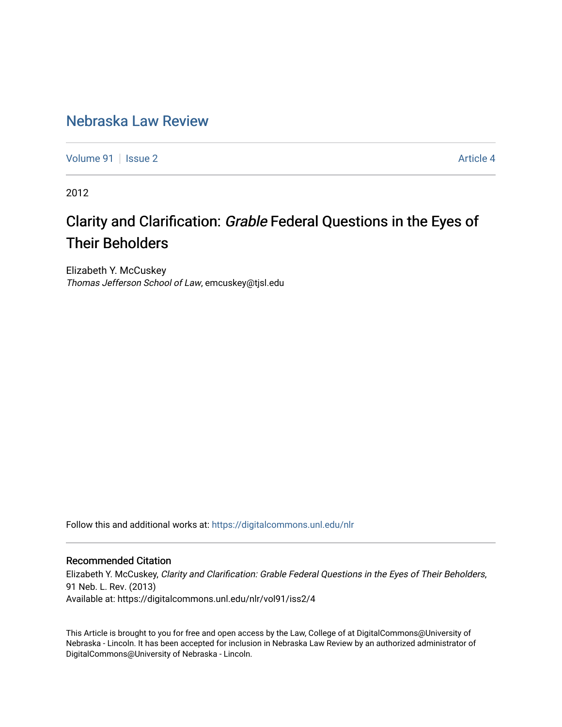## [Nebraska Law Review](https://digitalcommons.unl.edu/nlr)

[Volume 91](https://digitalcommons.unl.edu/nlr/vol91) | [Issue 2](https://digitalcommons.unl.edu/nlr/vol91/iss2) Article 4

2012

# Clarity and Clarification: Grable Federal Questions in the Eyes of Their Beholders

Elizabeth Y. McCuskey Thomas Jefferson School of Law, emcuskey@tjsl.edu

Follow this and additional works at: [https://digitalcommons.unl.edu/nlr](https://digitalcommons.unl.edu/nlr?utm_source=digitalcommons.unl.edu%2Fnlr%2Fvol91%2Fiss2%2F4&utm_medium=PDF&utm_campaign=PDFCoverPages) 

### Recommended Citation

Elizabeth Y. McCuskey, Clarity and Clarification: Grable Federal Questions in the Eyes of Their Beholders, 91 Neb. L. Rev. (2013) Available at: https://digitalcommons.unl.edu/nlr/vol91/iss2/4

This Article is brought to you for free and open access by the Law, College of at DigitalCommons@University of Nebraska - Lincoln. It has been accepted for inclusion in Nebraska Law Review by an authorized administrator of DigitalCommons@University of Nebraska - Lincoln.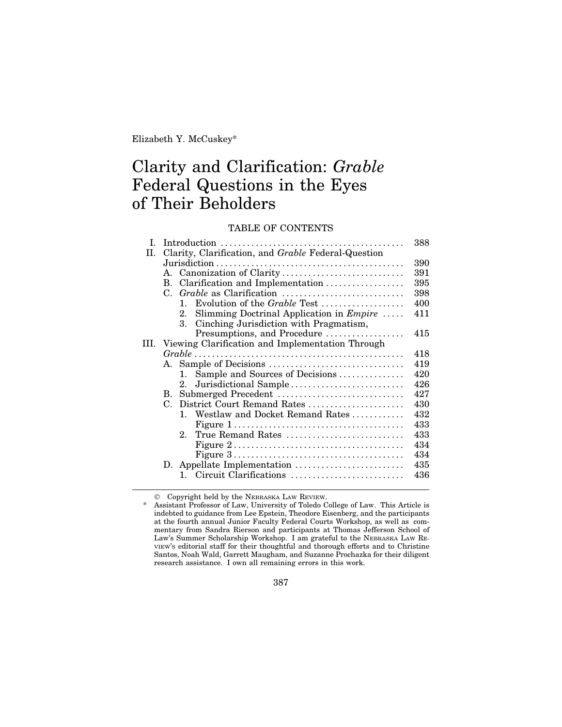## Clarity and Clarification: *Grable* Federal Questions in the Eyes of Their Beholders

### TABLE OF CONTENTS

| I.   |    |                                                                                         | 388 |
|------|----|-----------------------------------------------------------------------------------------|-----|
| H.   |    | Clarity, Clarification, and Grable Federal-Question                                     |     |
|      |    |                                                                                         |     |
|      |    | A. Canonization of Clarity                                                              | 391 |
|      | В. | Clarification and Implementation                                                        | 395 |
|      |    |                                                                                         | 398 |
|      |    | Evolution of the <i>Grable</i> Test<br>$\mathbf{1}$                                     | 400 |
|      |    | Slimming Doctrinal Application in $Empire$<br>$2_{-}$                                   | 411 |
|      |    | Cinching Jurisdiction with Pragmatism,<br>3.                                            |     |
|      |    | Presumptions, and Procedure                                                             | 415 |
| III. |    | Viewing Clarification and Implementation Through                                        |     |
|      |    |                                                                                         | 418 |
|      |    |                                                                                         | 419 |
|      |    | Sample and Sources of Decisions<br>$1_{-}$                                              | 420 |
|      |    | Jurisdictional Sample<br>$2_{-}$                                                        | 426 |
|      |    | B. Submerged Precedent                                                                  | 427 |
|      | C. | District Court Remand Rates                                                             | 430 |
|      |    | 1. Westlaw and Docket Remand Rates                                                      | 432 |
|      |    | Figure $1, \ldots, \ldots, \ldots, \ldots, \ldots, \ldots, \ldots, \ldots, \ldots$      | 433 |
|      |    | 2. True Remand Rates                                                                    | 433 |
|      |    | Figure $2 \ldots \ldots \ldots \ldots \ldots \ldots \ldots \ldots \ldots \ldots \ldots$ | 434 |
|      |    | Figure $3 \ldots \ldots \ldots \ldots \ldots \ldots \ldots \ldots \ldots \ldots \ldots$ | 434 |
|      |    | D. Appellate Implementation                                                             | 435 |
|      |    | Circuit Clarifications<br>1.                                                            | 436 |

© Copyright held by the NEBRASKA LAW REVIEW.

<sup>\*</sup> Assistant Professor of Law, University of Toledo College of Law. This Article is indebted to guidance from Lee Epstein, Theodore Eisenberg, and the participants at the fourth annual Junior Faculty Federal Courts Workshop, as well as commentary from Sandra Rierson and participants at Thomas Jefferson School of Law's Summer Scholarship Workshop. I am grateful to the NEBRASKA LAW RE-VIEW'S editorial staff for their thoughtful and thorough efforts and to Christine Santos, Noah Wald, Garrett Maugham, and Suzanne Prochazka for their diligent research assistance. I own all remaining errors in this work.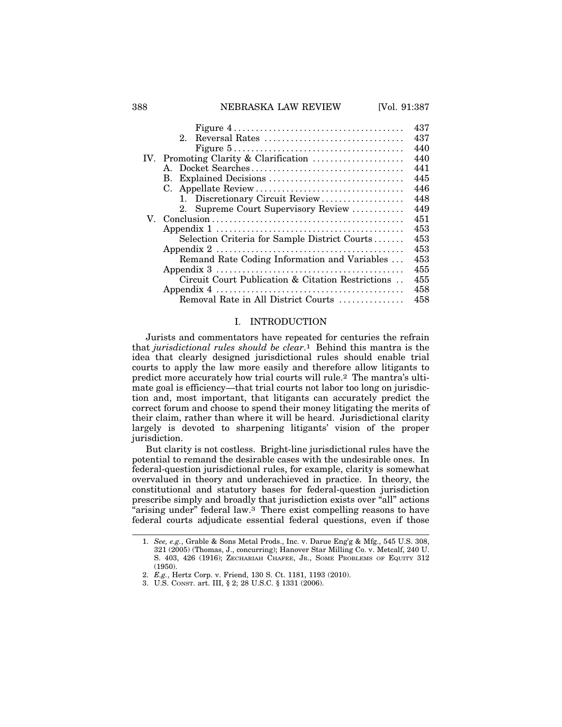#### 388 **NEBRASKA LAW REVIEW [Vol. 91:387**]

|     | Figure $4 \ldots \ldots \ldots \ldots \ldots \ldots \ldots \ldots \ldots \ldots \ldots$          | 437 |
|-----|--------------------------------------------------------------------------------------------------|-----|
|     | $2^{\circ}$                                                                                      | 437 |
|     | Figure $5 \ldots \ldots \ldots \ldots \ldots \ldots \ldots \ldots \ldots \ldots \ldots$          | 440 |
| IV. | Promoting Clarity & Clarification                                                                | 440 |
|     | $\mathbf{A}$                                                                                     | 441 |
|     | В.                                                                                               | 445 |
|     |                                                                                                  | 446 |
|     | 1. Discretionary Circuit Review                                                                  | 448 |
|     | Supreme Court Supervisory Review                                                                 | 449 |
|     |                                                                                                  | 451 |
|     |                                                                                                  | 453 |
|     | Selection Criteria for Sample District Courts                                                    | 453 |
|     | Appendix $2 \ldots \ldots \ldots \ldots \ldots \ldots \ldots \ldots \ldots \ldots \ldots \ldots$ | 453 |
|     | Remand Rate Coding Information and Variables                                                     | 453 |
|     |                                                                                                  | 455 |
|     | Circuit Court Publication & Citation Restrictions                                                | 455 |
|     |                                                                                                  | 458 |
|     | Removal Rate in All District Courts                                                              | 458 |

#### I. INTRODUCTION

Jurists and commentators have repeated for centuries the refrain that *jurisdictional rules should be clear*.1 Behind this mantra is the idea that clearly designed jurisdictional rules should enable trial courts to apply the law more easily and therefore allow litigants to predict more accurately how trial courts will rule.2 The mantra's ultimate goal is efficiency—that trial courts not labor too long on jurisdiction and, most important, that litigants can accurately predict the correct forum and choose to spend their money litigating the merits of their claim, rather than where it will be heard. Jurisdictional clarity largely is devoted to sharpening litigants' vision of the proper jurisdiction.

But clarity is not costless. Bright-line jurisdictional rules have the potential to remand the desirable cases with the undesirable ones. In federal-question jurisdictional rules, for example, clarity is somewhat overvalued in theory and underachieved in practice. In theory, the constitutional and statutory bases for federal-question jurisdiction prescribe simply and broadly that jurisdiction exists over "all" actions "arising under" federal law.<sup>3</sup> There exist compelling reasons to have federal courts adjudicate essential federal questions, even if those

<sup>1.</sup> *See, e.g.*, Grable & Sons Metal Prods., Inc. v. Darue Eng'g & Mfg., 545 U.S. 308, 321 (2005) (Thomas, J., concurring); Hanover Star Milling Co. v. Metcalf, 240 U. S. 403, 426 (1916); ZECHARIAH CHAFEE, JR., SOME PROBLEMS OF EQUITY 312 (1950).

<sup>2.</sup> *E.g.*, Hertz Corp. v. Friend, 130 S. Ct. 1181, 1193 (2010).

<sup>3.</sup> U.S. CONST. art. III, § 2; 28 U.S.C. § 1331 (2006).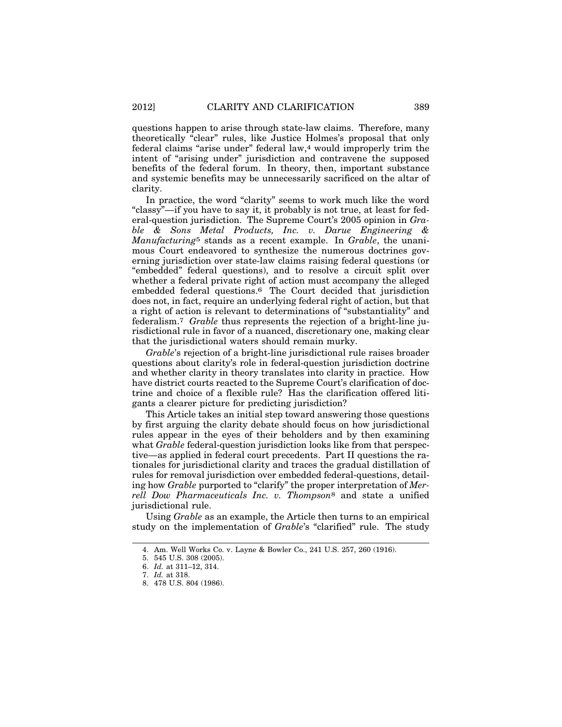questions happen to arise through state-law claims. Therefore, many theoretically "clear" rules, like Justice Holmes's proposal that only federal claims "arise under" federal law,4 would improperly trim the intent of "arising under" jurisdiction and contravene the supposed benefits of the federal forum. In theory, then, important substance and systemic benefits may be unnecessarily sacrificed on the altar of clarity.

In practice, the word "clarity" seems to work much like the word "classy"—if you have to say it, it probably is not true, at least for federal-question jurisdiction. The Supreme Court's 2005 opinion in *Grable & Sons Metal Products, Inc. v. Darue Engineering & Manufacturing*5 stands as a recent example. In *Grable*, the unanimous Court endeavored to synthesize the numerous doctrines governing jurisdiction over state-law claims raising federal questions (or "embedded" federal questions), and to resolve a circuit split over whether a federal private right of action must accompany the alleged embedded federal questions.6 The Court decided that jurisdiction does not, in fact, require an underlying federal right of action, but that a right of action is relevant to determinations of "substantiality" and federalism.7 *Grable* thus represents the rejection of a bright-line jurisdictional rule in favor of a nuanced, discretionary one, making clear that the jurisdictional waters should remain murky.

*Grable*'s rejection of a bright-line jurisdictional rule raises broader questions about clarity's role in federal-question jurisdiction doctrine and whether clarity in theory translates into clarity in practice. How have district courts reacted to the Supreme Court's clarification of doctrine and choice of a flexible rule? Has the clarification offered litigants a clearer picture for predicting jurisdiction?

This Article takes an initial step toward answering those questions by first arguing the clarity debate should focus on how jurisdictional rules appear in the eyes of their beholders and by then examining what *Grable* federal-question jurisdiction looks like from that perspective—as applied in federal court precedents. Part II questions the rationales for jurisdictional clarity and traces the gradual distillation of rules for removal jurisdiction over embedded federal-questions, detailing how *Grable* purported to "clarify" the proper interpretation of *Merrell Dow Pharmaceuticals Inc. v. Thompson*8 and state a unified jurisdictional rule.

Using *Grable* as an example, the Article then turns to an empirical study on the implementation of *Grable*'s "clarified" rule. The study

<sup>4.</sup> Am. Well Works Co. v. Layne & Bowler Co., 241 U.S. 257, 260 (1916).

<sup>5. 545</sup> U.S. 308 (2005).

<sup>6.</sup> *Id.* at 311–12, 314.

<sup>7.</sup> *Id.* at 318.

<sup>8. 478</sup> U.S. 804 (1986).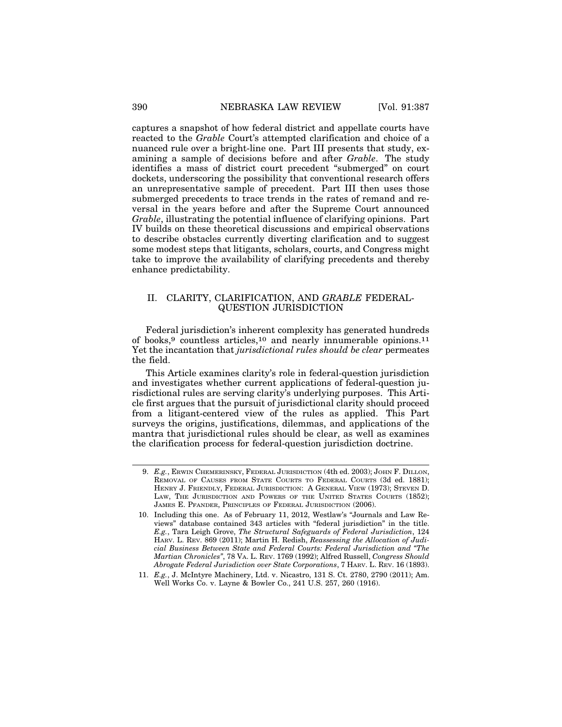captures a snapshot of how federal district and appellate courts have reacted to the *Grable* Court's attempted clarification and choice of a nuanced rule over a bright-line one. Part III presents that study, examining a sample of decisions before and after *Grable*. The study identifies a mass of district court precedent "submerged" on court dockets, underscoring the possibility that conventional research offers an unrepresentative sample of precedent. Part III then uses those submerged precedents to trace trends in the rates of remand and reversal in the years before and after the Supreme Court announced *Grable*, illustrating the potential influence of clarifying opinions. Part IV builds on these theoretical discussions and empirical observations to describe obstacles currently diverting clarification and to suggest some modest steps that litigants, scholars, courts, and Congress might take to improve the availability of clarifying precedents and thereby enhance predictability.

#### II. CLARITY, CLARIFICATION, AND *GRABLE* FEDERAL-QUESTION JURISDICTION

Federal jurisdiction's inherent complexity has generated hundreds of books,9 countless articles,10 and nearly innumerable opinions.11 Yet the incantation that *jurisdictional rules should be clear* permeates the field.

This Article examines clarity's role in federal-question jurisdiction and investigates whether current applications of federal-question jurisdictional rules are serving clarity's underlying purposes. This Article first argues that the pursuit of jurisdictional clarity should proceed from a litigant-centered view of the rules as applied. This Part surveys the origins, justifications, dilemmas, and applications of the mantra that jurisdictional rules should be clear, as well as examines the clarification process for federal-question jurisdiction doctrine.

<sup>9.</sup> *E.g.*, ERWIN CHEMERINSKY, FEDERAL JURISDICTION (4th ed. 2003); JOHN F. DILLON, REMOVAL OF CAUSES FROM STATE COURTS TO FEDERAL COURTS (3d ed. 1881); HENRY J. FRIENDLY, FEDERAL JURISDICTION: A GENERAL VIEW (1973); STEVEN D. LAW, THE JURISDICTION AND POWERS OF THE UNITED STATES COURTS (1852); JAMES E. PFANDER, PRINCIPLES OF FEDERAL JURISDICTION (2006).

<sup>10.</sup> Including this one. As of February 11, 2012, Westlaw's "Journals and Law Reviews" database contained 343 articles with "federal jurisdiction" in the title. *E.g.*, Tara Leigh Grove, *The Structural Safeguards of Federal Jurisdiction*, 124 HARV. L. REV. 869 (2011); Martin H. Redish, *Reassessing the Allocation of Judicial Business Between State and Federal Courts: Federal Jurisdiction and "The Martian Chronicles"*, 78 VA. L. REV. 1769 (1992); Alfred Russell, *Congress Should Abrogate Federal Jurisdiction over State Corporations*, 7 HARV. L. REV. 16 (1893).

<sup>11.</sup> *E.g.*, J. McIntyre Machinery, Ltd. v. Nicastro, 131 S. Ct. 2780, 2790 (2011); Am. Well Works Co. v. Layne & Bowler Co., 241 U.S. 257, 260 (1916).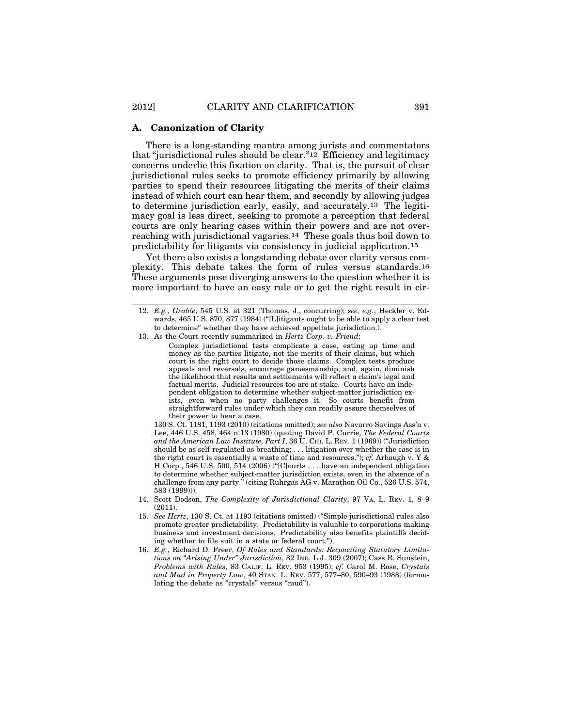#### **A. Canonization of Clarity**

There is a long-standing mantra among jurists and commentators that "jurisdictional rules should be clear."12 Efficiency and legitimacy concerns underlie this fixation on clarity. That is, the pursuit of clear jurisdictional rules seeks to promote efficiency primarily by allowing parties to spend their resources litigating the merits of their claims instead of which court can hear them, and secondly by allowing judges to determine jurisdiction early, easily, and accurately.13 The legitimacy goal is less direct, seeking to promote a perception that federal courts are only hearing cases within their powers and are not overreaching with jurisdictional vagaries.14 These goals thus boil down to predictability for litigants via consistency in judicial application.15

Yet there also exists a longstanding debate over clarity versus complexity. This debate takes the form of rules versus standards.16 These arguments pose diverging answers to the question whether it is more important to have an easy rule or to get the right result in cir-

13. As the Court recently summarized in *Hertz Corp. v. Friend*:

Complex jurisdictional tests complicate a case, eating up time and money as the parties litigate, not the merits of their claims, but which court is the right court to decide those claims. Complex tests produce appeals and reversals, encourage gamesmanship, and, again, diminish the likelihood that results and settlements will reflect a claim's legal and factual merits. Judicial resources too are at stake. Courts have an independent obligation to determine whether subject-matter jurisdiction exists, even when no party challenges it. So courts benefit from straightforward rules under which they can readily assure themselves of their power to hear a case.

130 S. Ct. 1181, 1193 (2010) (citations omitted); *see also* Navarro Savings Ass'n v. Lee, 446 U.S. 458, 464 n.13 (1980) (quoting David P. Currie, *The Federal Courts and the American Law Institute, Part I*, 36 U. CHI. L. REV. 1 (1969)) ("Jurisdiction should be as self-regulated as breathing; . . . litigation over whether the case is in the right court is essentially a waste of time and resources."); *cf.* Arbaugh v. Y & H Corp., 546 U.S. 500, 514 (2006) ("[C]ourts . . . have an independent obligation to determine whether subject-matter jurisdiction exists, even in the absence of a challenge from any party." (citing Ruhrgas AG v. Marathon Oil Co., 526 U.S. 574, 583 (1999))).

- 14. Scott Dodson, *The Complexity of Jurisdictional Clarity*, 97 VA. L. REV. 1, 8–9 (2011).
- 15. *See Hertz*, 130 S. Ct. at 1193 (citations omitted) ("Simple jurisdictional rules also promote greater predictability. Predictability is valuable to corporations making business and investment decisions. Predictability also benefits plaintiffs deciding whether to file suit in a state or federal court.").
- 16. *E.g.*, Richard D. Freer, *Of Rules and Standards: Reconciling Statutory Limitations on "Arising Under" Jurisdiction*, 82 IND. L.J. 309 (2007); Cass R. Sunstein, *Problems with Rules*, 83 CALIF. L. REV. 953 (1995); *cf.* Carol M. Rose, *Crystals and Mud in Property Law*, 40 STAN. L. REV. 577, 577–80, 590–93 (1988) (formulating the debate as "crystals" versus "mud").

<sup>12.</sup> *E.g.*, *Grable*, 545 U.S. at 321 (Thomas, J., concurring); *see, e.g.*, Heckler v. Edwards, 465 U.S. 870, 877 (1984) ("[L]itigants ought to be able to apply a clear test to determine" whether they have achieved appellate jurisdiction.).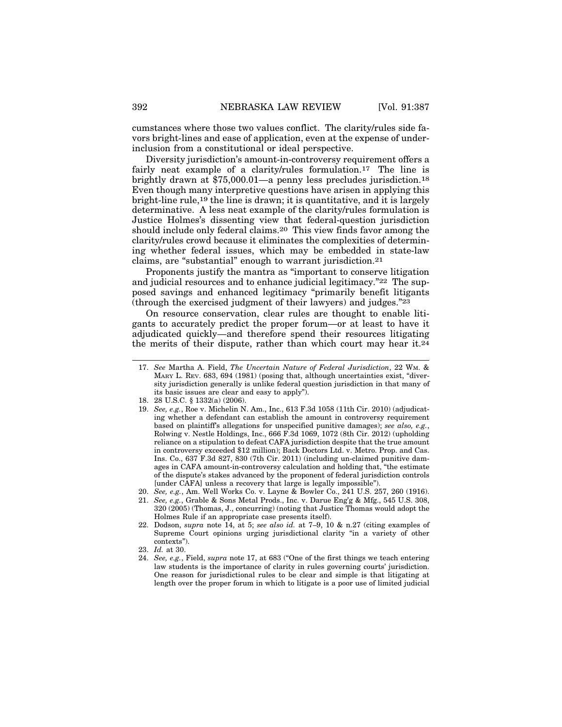cumstances where those two values conflict. The clarity/rules side favors bright-lines and ease of application, even at the expense of underinclusion from a constitutional or ideal perspective.

Diversity jurisdiction's amount-in-controversy requirement offers a fairly neat example of a clarity/rules formulation.<sup>17</sup> The line is brightly drawn at \$75,000.01—a penny less precludes jurisdiction.18 Even though many interpretive questions have arisen in applying this bright-line rule,19 the line is drawn; it is quantitative, and it is largely determinative. A less neat example of the clarity/rules formulation is Justice Holmes's dissenting view that federal-question jurisdiction should include only federal claims.20 This view finds favor among the clarity/rules crowd because it eliminates the complexities of determining whether federal issues, which may be embedded in state-law claims, are "substantial" enough to warrant jurisdiction.21

Proponents justify the mantra as "important to conserve litigation and judicial resources and to enhance judicial legitimacy."22 The supposed savings and enhanced legitimacy "primarily benefit litigants (through the exercised judgment of their lawyers) and judges."23

On resource conservation, clear rules are thought to enable litigants to accurately predict the proper forum—or at least to have it adjudicated quickly—and therefore spend their resources litigating the merits of their dispute, rather than which court may hear it.24

<sup>17.</sup> *See* Martha A. Field, *The Uncertain Nature of Federal Jurisdiction*, 22 WM. & MARY L. REV. 683, 694 (1981) (posing that, although uncertainties exist, "diversity jurisdiction generally is unlike federal question jurisdiction in that many of its basic issues are clear and easy to apply").

<sup>18. 28</sup> U.S.C. § 1332(a) (2006).

<sup>19.</sup> *See, e.g.*, Roe v. Michelin N. Am., Inc., 613 F.3d 1058 (11th Cir. 2010) (adjudicating whether a defendant can establish the amount in controversy requirement based on plaintiff's allegations for unspecified punitive damages); *see also, e.g.*, Rolwing v. Nestle Holdings, Inc., 666 F.3d 1069, 1072 (8th Cir. 2012) (upholding reliance on a stipulation to defeat CAFA jurisdiction despite that the true amount in controversy exceeded \$12 million); Back Doctors Ltd. v. Metro. Prop. and Cas. Ins. Co., 637 F.3d 827, 830 (7th Cir. 2011) (including un-claimed punitive damages in CAFA amount-in-controversy calculation and holding that, "the estimate of the dispute's stakes advanced by the proponent of federal jurisdiction controls [under CAFA] unless a recovery that large is legally impossible").

<sup>20.</sup> *See, e.g.*, Am. Well Works Co. v. Layne & Bowler Co., 241 U.S. 257, 260 (1916).

<sup>21.</sup> *See, e.g.*, Grable & Sons Metal Prods., Inc. v. Darue Eng'g & Mfg., 545 U.S. 308, 320 (2005) (Thomas, J., concurring) (noting that Justice Thomas would adopt the Holmes Rule if an appropriate case presents itself).

<sup>22.</sup> Dodson, *supra* note 14, at 5; *see also id.* at 7–9, 10 & n.27 (citing examples of Supreme Court opinions urging jurisdictional clarity "in a variety of other contexts").

<sup>23.</sup> *Id.* at 30.

<sup>24.</sup> *See, e.g.*, Field, *supra* note 17, at 683 ("One of the first things we teach entering law students is the importance of clarity in rules governing courts' jurisdiction. One reason for jurisdictional rules to be clear and simple is that litigating at length over the proper forum in which to litigate is a poor use of limited judicial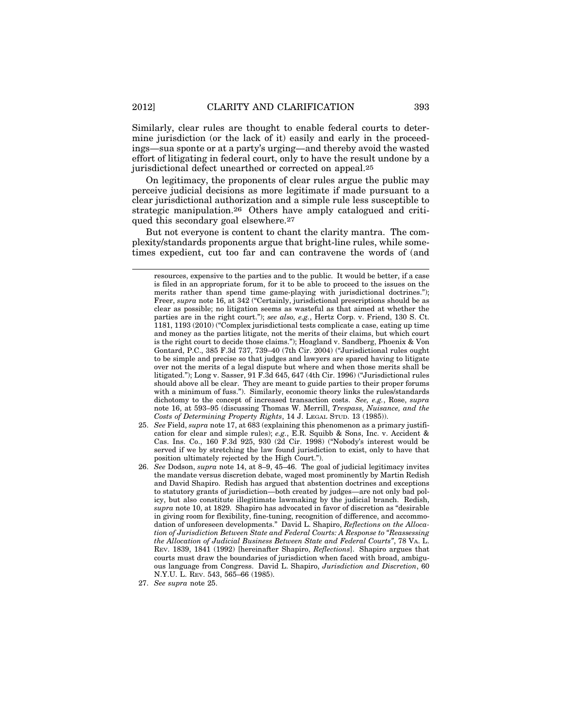Similarly, clear rules are thought to enable federal courts to determine jurisdiction (or the lack of it) easily and early in the proceedings—sua sponte or at a party's urging—and thereby avoid the wasted effort of litigating in federal court, only to have the result undone by a jurisdictional defect unearthed or corrected on appeal.25

On legitimacy, the proponents of clear rules argue the public may perceive judicial decisions as more legitimate if made pursuant to a clear jurisdictional authorization and a simple rule less susceptible to strategic manipulation.26 Others have amply catalogued and critiqued this secondary goal elsewhere.27

But not everyone is content to chant the clarity mantra. The complexity/standards proponents argue that bright-line rules, while sometimes expedient, cut too far and can contravene the words of (and

resources, expensive to the parties and to the public. It would be better, if a case is filed in an appropriate forum, for it to be able to proceed to the issues on the merits rather than spend time game-playing with jurisdictional doctrines."); Freer, *supra* note 16, at 342 ("Certainly, jurisdictional prescriptions should be as clear as possible; no litigation seems as wasteful as that aimed at whether the parties are in the right court."); *see also, e.g.*, Hertz Corp. v. Friend, 130 S. Ct. 1181, 1193 (2010) ("Complex jurisdictional tests complicate a case, eating up time and money as the parties litigate, not the merits of their claims, but which court is the right court to decide those claims."); Hoagland v. Sandberg, Phoenix & Von Gontard, P.C., 385 F.3d 737, 739–40 (7th Cir. 2004) ("Jurisdictional rules ought to be simple and precise so that judges and lawyers are spared having to litigate over not the merits of a legal dispute but where and when those merits shall be litigated."); Long v. Sasser, 91 F.3d 645, 647 (4th Cir. 1996) ("Jurisdictional rules should above all be clear. They are meant to guide parties to their proper forums with a minimum of fuss."). Similarly, economic theory links the rules/standards dichotomy to the concept of increased transaction costs. *See, e.g.*, Rose, *supra* note 16, at 593–95 (discussing Thomas W. Merrill, *Trespass, Nuisance, and the Costs of Determining Property Rights*, 14 J. LEGAL STUD. 13 (1985)).

- 25. *See* Field, *supra* note 17, at 683 (explaining this phenomenon as a primary justification for clear and simple rules); *e.g.*, E.R. Squibb & Sons, Inc. v. Accident & Cas. Ins. Co., 160 F.3d 925, 930 (2d Cir. 1998) ("Nobody's interest would be served if we by stretching the law found jurisdiction to exist, only to have that position ultimately rejected by the High Court.").
- 26. *See* Dodson, *supra* note 14, at 8–9, 45–46. The goal of judicial legitimacy invites the mandate versus discretion debate, waged most prominently by Martin Redish and David Shapiro. Redish has argued that abstention doctrines and exceptions to statutory grants of jurisdiction—both created by judges—are not only bad policy, but also constitute illegitimate lawmaking by the judicial branch. Redish, *supra* note 10, at 1829. Shapiro has advocated in favor of discretion as "desirable in giving room for flexibility, fine-tuning, recognition of difference, and accommodation of unforeseen developments." David L. Shapiro, *Reflections on the Allocation of Jurisdiction Between State and Federal Courts: A Response to "Reassessing the Allocation of Judicial Business Between State and Federal Courts"*, 78 VA. L. REV. 1839, 1841 (1992) [hereinafter Shapiro, *Reflections*]. Shapiro argues that courts must draw the boundaries of jurisdiction when faced with broad, ambiguous language from Congress. David L. Shapiro, *Jurisdiction and Discretion*, 60 N.Y.U. L. REV. 543, 565–66 (1985).
- 27. *See supra* note 25.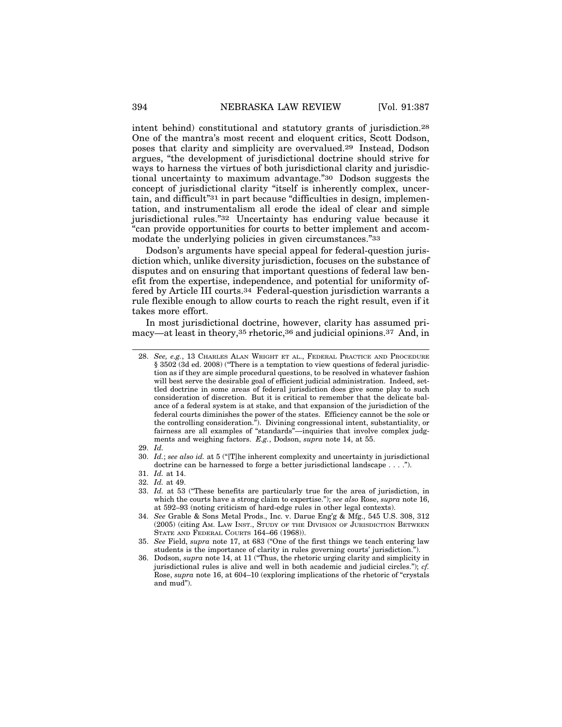intent behind) constitutional and statutory grants of jurisdiction.28 One of the mantra's most recent and eloquent critics, Scott Dodson, poses that clarity and simplicity are overvalued.29 Instead, Dodson argues, "the development of jurisdictional doctrine should strive for ways to harness the virtues of both jurisdictional clarity and jurisdictional uncertainty to maximum advantage."30 Dodson suggests the concept of jurisdictional clarity "itself is inherently complex, uncertain, and difficult"31 in part because "difficulties in design, implementation, and instrumentalism all erode the ideal of clear and simple jurisdictional rules."32 Uncertainty has enduring value because it "can provide opportunities for courts to better implement and accommodate the underlying policies in given circumstances."<sup>33</sup>

Dodson's arguments have special appeal for federal-question jurisdiction which, unlike diversity jurisdiction, focuses on the substance of disputes and on ensuring that important questions of federal law benefit from the expertise, independence, and potential for uniformity offered by Article III courts.34 Federal-question jurisdiction warrants a rule flexible enough to allow courts to reach the right result, even if it takes more effort.

In most jurisdictional doctrine, however, clarity has assumed primacy—at least in theory,35 rhetoric,36 and judicial opinions.37 And, in

- 30. *Id.*; *see also id.* at 5 ("[T]he inherent complexity and uncertainty in jurisdictional doctrine can be harnessed to forge a better jurisdictional landscape . . . .").
- 31. *Id.* at 14.
- 32. *Id.* at 49.

<sup>28.</sup> *See, e.g.*, 13 CHARLES ALAN WRIGHT ET AL., FEDERAL PRACTICE AND PROCEDURE § 3502 (3d ed. 2008) ("There is a temptation to view questions of federal jurisdiction as if they are simple procedural questions, to be resolved in whatever fashion will best serve the desirable goal of efficient judicial administration. Indeed, settled doctrine in some areas of federal jurisdiction does give some play to such consideration of discretion. But it is critical to remember that the delicate balance of a federal system is at stake, and that expansion of the jurisdiction of the federal courts diminishes the power of the states. Efficiency cannot be the sole or the controlling consideration."). Divining congressional intent, substantiality, or fairness are all examples of "standards"—inquiries that involve complex judgments and weighing factors. *E.g.*, Dodson, *supra* note 14, at 55.

<sup>29.</sup> *Id.*

<sup>33.</sup> *Id.* at 53 ("These benefits are particularly true for the area of jurisdiction, in which the courts have a strong claim to expertise."); *see also* Rose, *supra* note 16, at 592–93 (noting criticism of hard-edge rules in other legal contexts).

<sup>34.</sup> *See* Grable & Sons Metal Prods., Inc. v. Darue Eng'g & Mfg., 545 U.S. 308, 312 (2005) (citing AM. LAW INST., STUDY OF THE DIVISION OF JURISDICTION BETWEEN STATE AND FEDERAL COURTS 164-66 (1968)).

<sup>35.</sup> *See* Field, *supra* note 17, at 683 ("One of the first things we teach entering law students is the importance of clarity in rules governing courts' jurisdiction.").

<sup>36.</sup> Dodson, *supra* note 14, at 11 ("Thus, the rhetoric urging clarity and simplicity in jurisdictional rules is alive and well in both academic and judicial circles."); *cf.* Rose, *supra* note 16, at 604–10 (exploring implications of the rhetoric of "crystals and mud").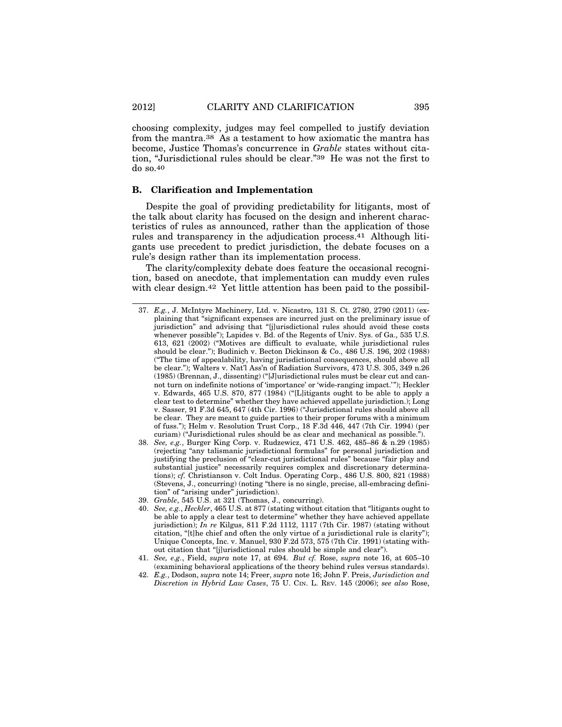choosing complexity, judges may feel compelled to justify deviation from the mantra.38 As a testament to how axiomatic the mantra has become, Justice Thomas's concurrence in *Grable* states without citation, "Jurisdictional rules should be clear."39 He was not the first to do so.40

#### **B. Clarification and Implementation**

Despite the goal of providing predictability for litigants, most of the talk about clarity has focused on the design and inherent characteristics of rules as announced, rather than the application of those rules and transparency in the adjudication process.41 Although litigants use precedent to predict jurisdiction, the debate focuses on a rule's design rather than its implementation process.

The clarity/complexity debate does feature the occasional recognition, based on anecdote, that implementation can muddy even rules with clear design.<sup>42</sup> Yet little attention has been paid to the possibil-

- 37. *E.g.*, J. McIntyre Machinery, Ltd. v. Nicastro, 131 S. Ct. 2780, 2790 (2011) (explaining that "significant expenses are incurred just on the preliminary issue of jurisdiction" and advising that "[j]urisdictional rules should avoid these costs whenever possible"); Lapides v. Bd. of the Regents of Univ. Sys. of Ga., 535 U.S. 613, 621 (2002) ("Motives are difficult to evaluate, while jurisdictional rules should be clear."); Budinich v. Becton Dickinson & Co., 486 U.S. 196, 202 (1988) ("The time of appealability, having jurisdictional consequences, should above all be clear."); Walters v. Nat'l Ass'n of Radiation Survivors, 473 U.S. 305, 349 n.26 (1985) (Brennan, J., dissenting) ("[J]urisdictional rules must be clear cut and cannot turn on indefinite notions of 'importance' or 'wide-ranging impact.'"); Heckler v. Edwards, 465 U.S. 870, 877 (1984) ("[L]itigants ought to be able to apply a clear test to determine" whether they have achieved appellate jurisdiction.); Long v. Sasser, 91 F.3d 645, 647 (4th Cir. 1996) ("Jurisdictional rules should above all be clear. They are meant to guide parties to their proper forums with a minimum of fuss."); Helm v. Resolution Trust Corp., 18 F.3d 446, 447 (7th Cir. 1994) (per curiam) ("Jurisdictional rules should be as clear and mechanical as possible.").
- 38. *See, e.g.*, Burger King Corp. v. Rudzewicz, 471 U.S. 462, 485–86 & n.29 (1985) (rejecting "any talismanic jurisdictional formulas" for personal jurisdiction and justifying the preclusion of "clear-cut jurisdictional rules" because "fair play and substantial justice" necessarily requires complex and discretionary determinations); *cf.* Christianson v. Colt Indus. Operating Corp., 486 U.S. 800, 821 (1988) (Stevens, J., concurring) (noting "there is no single, precise, all-embracing definition" of "arising under" jurisdiction).
- 39. *Grable*, 545 U.S. at 321 (Thomas, J., concurring).
- 40. *See, e.g.*, *Heckler*, 465 U.S. at 877 (stating without citation that "litigants ought to be able to apply a clear test to determine" whether they have achieved appellate jurisdiction); *In re* Kilgus, 811 F.2d 1112, 1117 (7th Cir. 1987) (stating without citation, "[t]he chief and often the only virtue of a jurisdictional rule is clarity"); Unique Concepts, Inc. v. Manuel, 930 F.2d 573, 575 (7th Cir. 1991) (stating without citation that "[j]urisdictional rules should be simple and clear").
- 41. *See, e.g.*, Field, *supra* note 17, at 694. *But cf.* Rose, *supra* note 16, at 605–10 (examining behavioral applications of the theory behind rules versus standards).
- 42. *E.g.*, Dodson, *supra* note 14; Freer, *supra* note 16; John F. Preis, *Jurisdiction and Discretion in Hybrid Law Cases*, 75 U. CIN. L. REV. 145 (2006); *see also* Rose,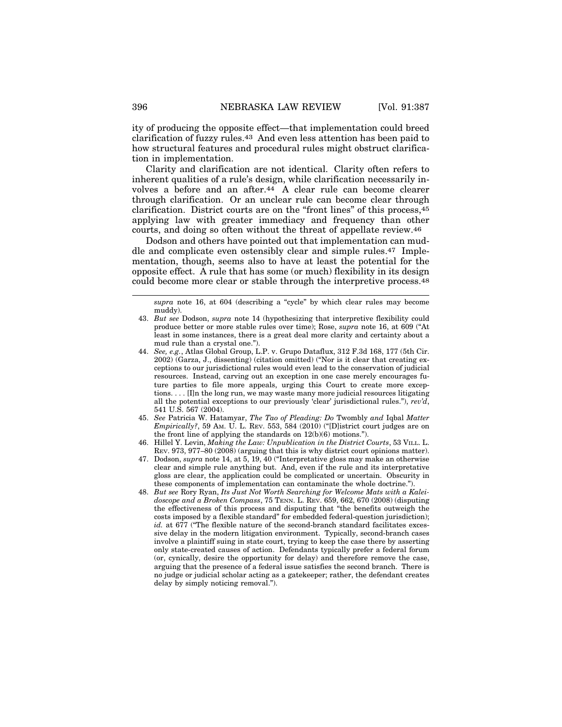ity of producing the opposite effect—that implementation could breed clarification of fuzzy rules.43 And even less attention has been paid to how structural features and procedural rules might obstruct clarification in implementation.

Clarity and clarification are not identical. Clarity often refers to inherent qualities of a rule's design, while clarification necessarily involves a before and an after.44 A clear rule can become clearer through clarification. Or an unclear rule can become clear through clarification. District courts are on the "front lines" of this process,45 applying law with greater immediacy and frequency than other courts, and doing so often without the threat of appellate review.46

Dodson and others have pointed out that implementation can muddle and complicate even ostensibly clear and simple rules.47 Implementation, though, seems also to have at least the potential for the opposite effect. A rule that has some (or much) flexibility in its design could become more clear or stable through the interpretive process.48

*supra* note 16, at 604 (describing a "cycle" by which clear rules may become muddy).

- 43. *But see* Dodson, *supra* note 14 (hypothesizing that interpretive flexibility could produce better or more stable rules over time); Rose, *supra* note 16, at 609 ("At least in some instances, there is a great deal more clarity and certainty about a mud rule than a crystal one.").
- 44. *See, e.g.*, Atlas Global Group, L.P. v. Grupo Dataflux, 312 F.3d 168, 177 (5th Cir. 2002) (Garza, J., dissenting) (citation omitted) ("Nor is it clear that creating exceptions to our jurisdictional rules would even lead to the conservation of judicial resources. Instead, carving out an exception in one case merely encourages future parties to file more appeals, urging this Court to create more exceptions. . . . [I]n the long run, we may waste many more judicial resources litigating all the potential exceptions to our previously 'clear' jurisdictional rules."), *rev'd*, 541 U.S. 567 (2004).
- 45. *See* Patricia W. Hatamyar, *The Tao of Pleading: Do* Twombly *and* Iqbal *Matter Empirically?*, 59 AM. U. L. REV. 553, 584 (2010) ("[D]istrict court judges are on the front line of applying the standards on 12(b)(6) motions.").
- 46. Hillel Y. Levin, *Making the Law: Unpublication in the District Courts*, 53 VILL. L. REV. 973, 977–80 (2008) (arguing that this is why district court opinions matter).
- 47. Dodson, *supra* note 14, at 5, 19, 40 ("Interpretative gloss may make an otherwise clear and simple rule anything but. And, even if the rule and its interpretative gloss are clear, the application could be complicated or uncertain. Obscurity in these components of implementation can contaminate the whole doctrine.").
- 48. *But see* Rory Ryan, *Its Just Not Worth Searching for Welcome Mats with a Kaleidoscope and a Broken Compass*, 75 TENN. L. REV. 659, 662, 670 (2008) (disputing the effectiveness of this process and disputing that "the benefits outweigh the costs imposed by a flexible standard" for embedded federal-question jurisdiction); *id.* at 677 ("The flexible nature of the second-branch standard facilitates excessive delay in the modern litigation environment. Typically, second-branch cases involve a plaintiff suing in state court, trying to keep the case there by asserting only state-created causes of action. Defendants typically prefer a federal forum (or, cynically, desire the opportunity for delay) and therefore remove the case, arguing that the presence of a federal issue satisfies the second branch. There is no judge or judicial scholar acting as a gatekeeper; rather, the defendant creates delay by simply noticing removal.").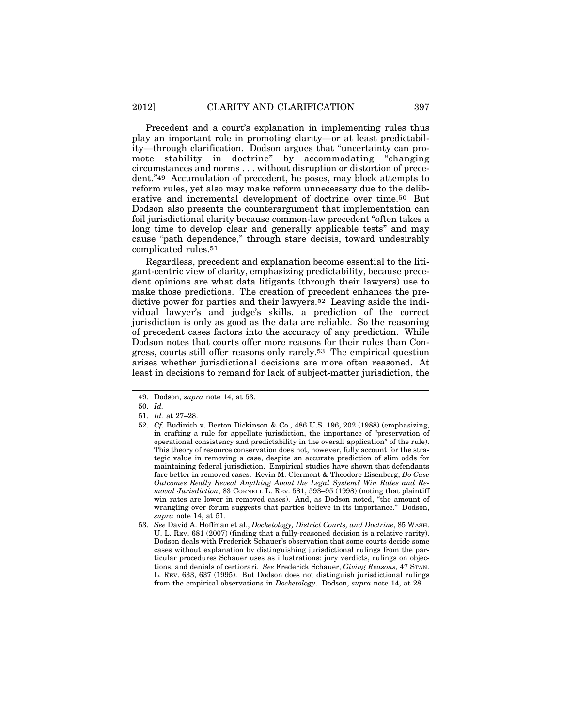Precedent and a court's explanation in implementing rules thus play an important role in promoting clarity—or at least predictability—through clarification. Dodson argues that "uncertainty can promote stability in doctrine" by accommodating "changing circumstances and norms . . . without disruption or distortion of precedent."49 Accumulation of precedent, he poses, may block attempts to reform rules, yet also may make reform unnecessary due to the deliberative and incremental development of doctrine over time.50 But Dodson also presents the counterargument that implementation can foil jurisdictional clarity because common-law precedent "often takes a long time to develop clear and generally applicable tests" and may cause "path dependence," through stare decisis, toward undesirably complicated rules.51

Regardless, precedent and explanation become essential to the litigant-centric view of clarity, emphasizing predictability, because precedent opinions are what data litigants (through their lawyers) use to make those predictions. The creation of precedent enhances the predictive power for parties and their lawyers.52 Leaving aside the individual lawyer's and judge's skills, a prediction of the correct jurisdiction is only as good as the data are reliable. So the reasoning of precedent cases factors into the accuracy of any prediction. While Dodson notes that courts offer more reasons for their rules than Congress, courts still offer reasons only rarely.53 The empirical question arises whether jurisdictional decisions are more often reasoned. At least in decisions to remand for lack of subject-matter jurisdiction, the

<sup>49.</sup> Dodson, *supra* note 14, at 53.

<sup>50.</sup> *Id.*

<sup>51.</sup> *Id.* at 27–28.

<sup>52.</sup> *Cf.* Budinich v. Becton Dickinson & Co., 486 U.S. 196, 202 (1988) (emphasizing, in crafting a rule for appellate jurisdiction, the importance of "preservation of operational consistency and predictability in the overall application" of the rule). This theory of resource conservation does not, however, fully account for the strategic value in removing a case, despite an accurate prediction of slim odds for maintaining federal jurisdiction. Empirical studies have shown that defendants fare better in removed cases. Kevin M. Clermont & Theodore Eisenberg, *Do Case Outcomes Really Reveal Anything About the Legal System? Win Rates and Removal Jurisdiction*, 83 CORNELL L. REV. 581, 593–95 (1998) (noting that plaintiff win rates are lower in removed cases). And, as Dodson noted, "the amount of wrangling over forum suggests that parties believe in its importance." Dodson, *supra* note 14, at 51.

<sup>53.</sup> *See* David A. Hoffman et al., *Docketology, District Courts, and Doctrine*, 85 WASH. U. L. REV. 681 (2007) (finding that a fully-reasoned decision is a relative rarity). Dodson deals with Frederick Schauer's observation that some courts decide some cases without explanation by distinguishing jurisdictional rulings from the particular procedures Schauer uses as illustrations: jury verdicts, rulings on objections, and denials of certiorari. *See* Frederick Schauer, *Giving Reasons*, 47 STAN. L. REV. 633, 637 (1995). But Dodson does not distinguish jurisdictional rulings from the empirical observations in *Docketology*. Dodson, *supra* note 14, at 28.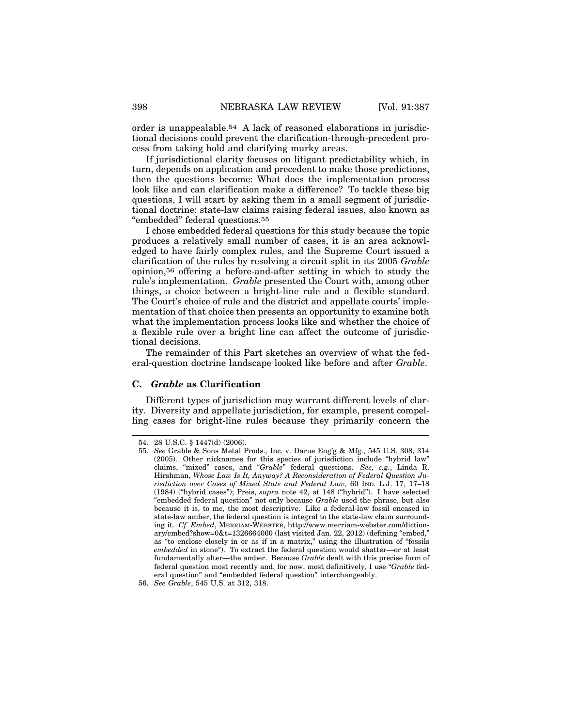order is unappealable.54 A lack of reasoned elaborations in jurisdictional decisions could prevent the clarification-through-precedent process from taking hold and clarifying murky areas.

If jurisdictional clarity focuses on litigant predictability which, in turn, depends on application and precedent to make those predictions, then the questions become: What does the implementation process look like and can clarification make a difference? To tackle these big questions, I will start by asking them in a small segment of jurisdictional doctrine: state-law claims raising federal issues, also known as "embedded" federal questions.55

I chose embedded federal questions for this study because the topic produces a relatively small number of cases, it is an area acknowledged to have fairly complex rules, and the Supreme Court issued a clarification of the rules by resolving a circuit split in its 2005 *Grable* opinion,56 offering a before-and-after setting in which to study the rule's implementation. *Grable* presented the Court with, among other things, a choice between a bright-line rule and a flexible standard. The Court's choice of rule and the district and appellate courts' implementation of that choice then presents an opportunity to examine both what the implementation process looks like and whether the choice of a flexible rule over a bright line can affect the outcome of jurisdictional decisions.

The remainder of this Part sketches an overview of what the federal-question doctrine landscape looked like before and after *Grable*.

#### **C.** *Grable* **as Clarification**

Different types of jurisdiction may warrant different levels of clarity. Diversity and appellate jurisdiction, for example, present compelling cases for bright-line rules because they primarily concern the

<sup>54. 28</sup> U.S.C. § 1447(d) (2006).

<sup>55.</sup> *See* Grable & Sons Metal Prods., Inc. v. Darue Eng'g & Mfg., 545 U.S. 308, 314 (2005). Other nicknames for this species of jurisdiction include "hybrid law" claims, "mixed" cases, and "*Grable*" federal questions. *See, e.g.*, Linda R. Hirshman, *Whose Law Is It, Anyway? A Reconsideration of Federal Question Jurisdiction over Cases of Mixed State and Federal Law*, 60 IND. L.J. 17, 17–18 (1984) ("hybrid cases"); Preis, *supra* note 42, at 148 ("hybrid"). I have selected "embedded federal question" not only because *Grable* used the phrase, but also because it is, to me, the most descriptive. Like a federal-law fossil encased in state-law amber, the federal question is integral to the state-law claim surrounding it. *Cf. Embed*, MERRIAM-WEBSTER, http://www.merriam-webster.com/dictionary/embed?show=0&t=1326664060 (last visited Jan. 22, 2012) (defining "embed," as "to enclose closely in or as if in a matrix," using the illustration of "fossils *embedded* in stone"). To extract the federal question would shatter—or at least fundamentally alter—the amber. Because *Grable* dealt with this precise form of federal question most recently and, for now, most definitively, I use "*Grable* federal question" and "embedded federal question" interchangeably.

<sup>56.</sup> *See Grable*, 545 U.S. at 312, 318.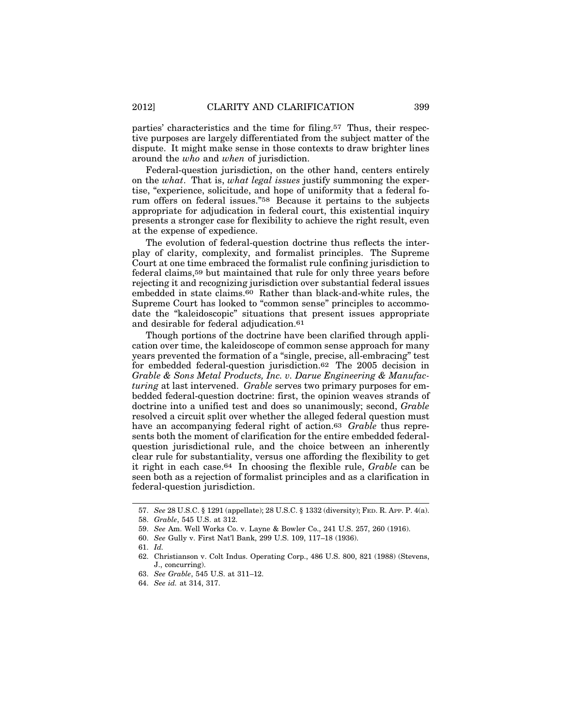parties' characteristics and the time for filing.57 Thus, their respective purposes are largely differentiated from the subject matter of the dispute. It might make sense in those contexts to draw brighter lines around the *who* and *when* of jurisdiction.

Federal-question jurisdiction, on the other hand, centers entirely on the *what*. That is, *what legal issues* justify summoning the expertise, "experience, solicitude, and hope of uniformity that a federal forum offers on federal issues."58 Because it pertains to the subjects appropriate for adjudication in federal court, this existential inquiry presents a stronger case for flexibility to achieve the right result, even at the expense of expedience.

The evolution of federal-question doctrine thus reflects the interplay of clarity, complexity, and formalist principles. The Supreme Court at one time embraced the formalist rule confining jurisdiction to federal claims,59 but maintained that rule for only three years before rejecting it and recognizing jurisdiction over substantial federal issues embedded in state claims.60 Rather than black-and-white rules, the Supreme Court has looked to "common sense" principles to accommodate the "kaleidoscopic" situations that present issues appropriate and desirable for federal adjudication.61

Though portions of the doctrine have been clarified through application over time, the kaleidoscope of common sense approach for many years prevented the formation of a "single, precise, all-embracing" test for embedded federal-question jurisdiction.62 The 2005 decision in *Grable & Sons Metal Products, Inc. v. Darue Engineering & Manufacturing* at last intervened. *Grable* serves two primary purposes for embedded federal-question doctrine: first, the opinion weaves strands of doctrine into a unified test and does so unanimously; second, *Grable* resolved a circuit split over whether the alleged federal question must have an accompanying federal right of action.63 *Grable* thus represents both the moment of clarification for the entire embedded federalquestion jurisdictional rule, and the choice between an inherently clear rule for substantiality, versus one affording the flexibility to get it right in each case.64 In choosing the flexible rule, *Grable* can be seen both as a rejection of formalist principles and as a clarification in federal-question jurisdiction.

- 63. *See Grable*, 545 U.S. at 311–12.
- 64. *See id.* at 314, 317.

<sup>57.</sup> *See* 28 U.S.C. § 1291 (appellate); 28 U.S.C. § 1332 (diversity); FED. R. APP. P. 4(a).

<sup>58.</sup> *Grable*, 545 U.S. at 312.

<sup>59.</sup> *See* Am. Well Works Co. v. Layne & Bowler Co., 241 U.S. 257, 260 (1916).

<sup>60.</sup> *See* Gully v. First Nat'l Bank, 299 U.S. 109, 117–18 (1936).

<sup>61.</sup> *Id.*

<sup>62.</sup> Christianson v. Colt Indus. Operating Corp., 486 U.S. 800, 821 (1988) (Stevens, J., concurring).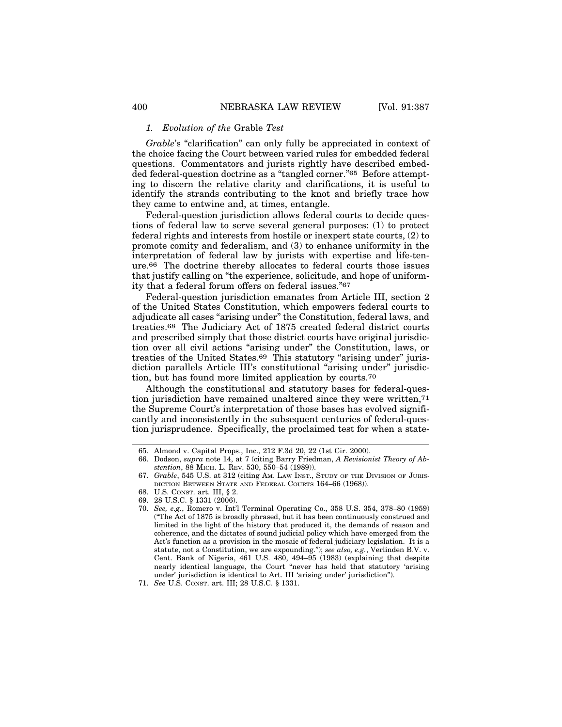#### *1. Evolution of the* Grable *Test*

*Grable*'s "clarification" can only fully be appreciated in context of the choice facing the Court between varied rules for embedded federal questions. Commentators and jurists rightly have described embedded federal-question doctrine as a "tangled corner."65 Before attempting to discern the relative clarity and clarifications, it is useful to identify the strands contributing to the knot and briefly trace how they came to entwine and, at times, entangle.

Federal-question jurisdiction allows federal courts to decide questions of federal law to serve several general purposes: (1) to protect federal rights and interests from hostile or inexpert state courts, (2) to promote comity and federalism, and (3) to enhance uniformity in the interpretation of federal law by jurists with expertise and life-tenure.66 The doctrine thereby allocates to federal courts those issues that justify calling on "the experience, solicitude, and hope of uniformity that a federal forum offers on federal issues."67

Federal-question jurisdiction emanates from Article III, section 2 of the United States Constitution, which empowers federal courts to adjudicate all cases "arising under" the Constitution, federal laws, and treaties.68 The Judiciary Act of 1875 created federal district courts and prescribed simply that those district courts have original jurisdiction over all civil actions "arising under" the Constitution, laws, or treaties of the United States.69 This statutory "arising under" jurisdiction parallels Article III's constitutional "arising under" jurisdiction, but has found more limited application by courts.70

Although the constitutional and statutory bases for federal-question jurisdiction have remained unaltered since they were written,71 the Supreme Court's interpretation of those bases has evolved significantly and inconsistently in the subsequent centuries of federal-question jurisprudence. Specifically, the proclaimed test for when a state-

<sup>65.</sup> Almond v. Capital Props., Inc., 212 F.3d 20, 22 (1st Cir. 2000).

<sup>66.</sup> Dodson, *supra* note 14, at 7 (citing Barry Friedman, *A Revisionist Theory of Abstention*, 88 MICH. L. REV. 530, 550–54 (1989)).

<sup>67.</sup> *Grable*, 545 U.S. at 312 (citing AM. LAW INST., STUDY OF THE DIVISION OF JURIS-DICTION BETWEEN STATE AND FEDERAL COURTS 164–66 (1968)).

<sup>68.</sup> U.S. CONST. art. III, § 2.

<sup>69. 28</sup> U.S.C. § 1331 (2006).

<sup>70.</sup> *See, e.g.*, Romero v. Int'l Terminal Operating Co., 358 U.S. 354, 378–80 (1959) ("The Act of 1875 is broadly phrased, but it has been continuously construed and limited in the light of the history that produced it, the demands of reason and coherence, and the dictates of sound judicial policy which have emerged from the Act's function as a provision in the mosaic of federal judiciary legislation. It is a statute, not a Constitution, we are expounding."); *see also, e.g.*, Verlinden B.V. v. Cent. Bank of Nigeria, 461 U.S. 480, 494–95 (1983) (explaining that despite nearly identical language, the Court "never has held that statutory 'arising under' jurisdiction is identical to Art. III 'arising under' jurisdiction").

<sup>71.</sup> *See* U.S. CONST. art. III; 28 U.S.C. § 1331.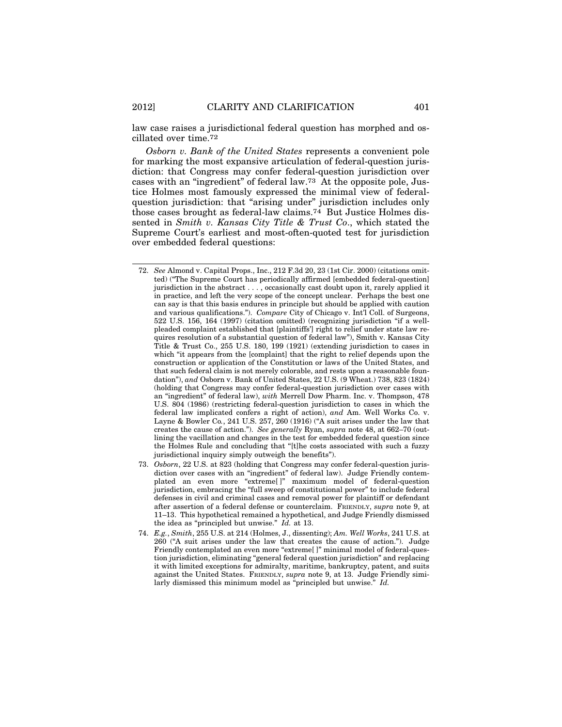law case raises a jurisdictional federal question has morphed and oscillated over time.72

*Osborn v. Bank of the United States* represents a convenient pole for marking the most expansive articulation of federal-question jurisdiction: that Congress may confer federal-question jurisdiction over cases with an "ingredient" of federal law.73 At the opposite pole, Justice Holmes most famously expressed the minimal view of federalquestion jurisdiction: that "arising under" jurisdiction includes only those cases brought as federal-law claims.74 But Justice Holmes dissented in *Smith v. Kansas City Title & Trust Co*., which stated the Supreme Court's earliest and most-often-quoted test for jurisdiction over embedded federal questions:

- 72. *See* Almond v. Capital Props., Inc., 212 F.3d 20, 23 (1st Cir. 2000) (citations omitted) ("The Supreme Court has periodically affirmed [embedded federal-question] jurisdiction in the abstract . . . , occasionally cast doubt upon it, rarely applied it in practice, and left the very scope of the concept unclear. Perhaps the best one can say is that this basis endures in principle but should be applied with caution and various qualifications."). *Compare* City of Chicago v. Int'l Coll. of Surgeons, 522 U.S. 156, 164 (1997) (citation omitted) (recognizing jurisdiction "if a wellpleaded complaint established that [plaintiffs'] right to relief under state law requires resolution of a substantial question of federal law"), Smith v. Kansas City Title & Trust Co., 255 U.S. 180, 199 (1921) (extending jurisdiction to cases in which "it appears from the [complaint] that the right to relief depends upon the construction or application of the Constitution or laws of the United States, and that such federal claim is not merely colorable, and rests upon a reasonable foundation"), *and* Osborn v. Bank of United States, 22 U.S. (9 Wheat.) 738, 823 (1824) (holding that Congress may confer federal-question jurisdiction over cases with an "ingredient" of federal law), *with* Merrell Dow Pharm. Inc. v. Thompson, 478 U.S. 804 (1986) (restricting federal-question jurisdiction to cases in which the federal law implicated confers a right of action), *and* Am. Well Works Co. v. Layne & Bowler Co*.*, 241 U.S. 257, 260 (1916) ("A suit arises under the law that creates the cause of action."). *See generally* Ryan, *supra* note 48, at 662–70 (outlining the vacillation and changes in the test for embedded federal question since the Holmes Rule and concluding that "[t]he costs associated with such a fuzzy jurisdictional inquiry simply outweigh the benefits").
- 73. *Osborn*, 22 U.S. at 823 (holding that Congress may confer federal-question jurisdiction over cases with an "ingredient" of federal law). Judge Friendly contemplated an even more "extreme[ ]" maximum model of federal-question jurisdiction, embracing the "full sweep of constitutional power" to include federal defenses in civil and criminal cases and removal power for plaintiff or defendant after assertion of a federal defense or counterclaim. FRIENDLY, *supra* note 9, at 11–13. This hypothetical remained a hypothetical, and Judge Friendly dismissed the idea as "principled but unwise." *Id.* at 13.
- 74. *E.g.*, *Smith*, 255 U.S. at 214 (Holmes, J., dissenting); *Am. Well Works*, 241 U.S. at 260 ("A suit arises under the law that creates the cause of action."). Judge Friendly contemplated an even more "extreme[ ]" minimal model of federal-question jurisdiction, eliminating "general federal question jurisdiction" and replacing it with limited exceptions for admiralty, maritime, bankruptcy, patent, and suits against the United States. FRIENDLY, *supra* note 9, at 13. Judge Friendly similarly dismissed this minimum model as "principled but unwise." *Id.*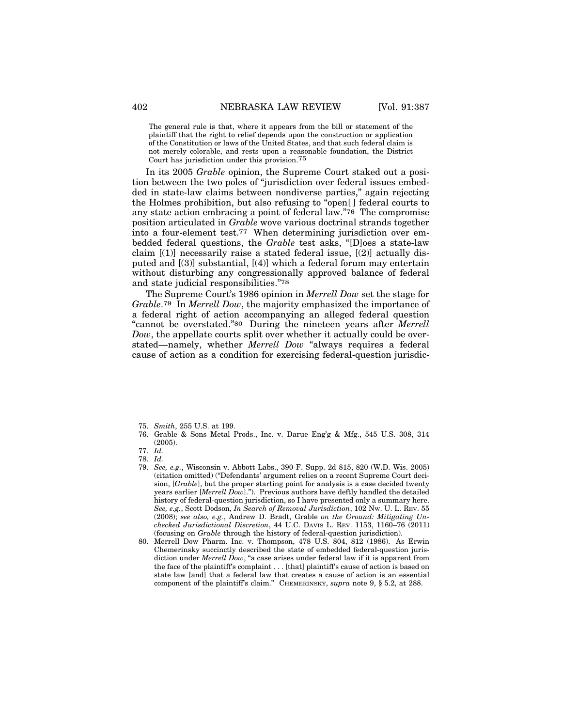The general rule is that, where it appears from the bill or statement of the plaintiff that the right to relief depends upon the construction or application of the Constitution or laws of the United States, and that such federal claim is not merely colorable, and rests upon a reasonable foundation, the District Court has jurisdiction under this provision.75

In its 2005 *Grable* opinion, the Supreme Court staked out a position between the two poles of "jurisdiction over federal issues embedded in state-law claims between nondiverse parties," again rejecting the Holmes prohibition, but also refusing to "open[ ] federal courts to any state action embracing a point of federal law."76 The compromise position articulated in *Grable* wove various doctrinal strands together into a four-element test.77 When determining jurisdiction over embedded federal questions, the *Grable* test asks, "[D]oes a state-law claim  $[(1)]$  necessarily raise a stated federal issue,  $[(2)]$  actually disputed and [(3)] substantial, [(4)] which a federal forum may entertain without disturbing any congressionally approved balance of federal and state judicial responsibilities."78

The Supreme Court's 1986 opinion in *Merrell Dow* set the stage for *Grable*.79 In *Merrell Dow*, the majority emphasized the importance of a federal right of action accompanying an alleged federal question "cannot be overstated."80 During the nineteen years after *Merrell Dow*, the appellate courts split over whether it actually could be overstated—namely, whether *Merrell Dow* "always requires a federal cause of action as a condition for exercising federal-question jurisdic-

<sup>75.</sup> *Smith*, 255 U.S. at 199.

<sup>76.</sup> Grable & Sons Metal Prods., Inc. v. Darue Eng'g & Mfg., 545 U.S. 308, 314 (2005).

<sup>77.</sup> *Id.*

<sup>78.</sup> *Id.*

<sup>79.</sup> *See, e.g.*, Wisconsin v. Abbott Labs., 390 F. Supp. 2d 815, 820 (W.D. Wis. 2005) (citation omitted) ("Defendants' argument relies on a recent Supreme Court decision, [*Grable*], but the proper starting point for analysis is a case decided twenty years earlier [*Merrell Dow*]."). Previous authors have deftly handled the detailed history of federal-question jurisdiction, so I have presented only a summary here. *See, e.g.*, Scott Dodson, *In Search of Removal Jurisdiction*, 102 NW. U. L. REV. 55 (2008); *see also, e.g.*, Andrew D. Bradt, Grable *on the Ground: Mitigating Unchecked Jurisdictional Discretion*, 44 U.C. DAVIS L. REV. 1153, 1160–76 (2011) (focusing on *Grable* through the history of federal-question jurisdiction).

<sup>80.</sup> Merrell Dow Pharm. Inc. v. Thompson, 478 U.S. 804, 812 (1986). As Erwin Chemerinsky succinctly described the state of embedded federal-question jurisdiction under *Merrell Dow*, "a case arises under federal law if it is apparent from the face of the plaintiff's complaint . . . [that] plaintiff's cause of action is based on state law [and] that a federal law that creates a cause of action is an essential component of the plaintiff's claim." CHEMERINSKY, *supra* note 9, § 5.2, at 288.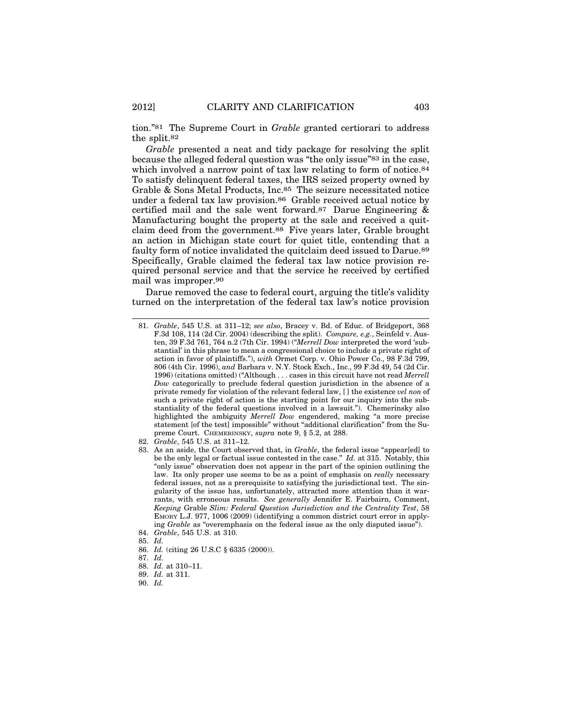tion."81 The Supreme Court in *Grable* granted certiorari to address the split.82

*Grable* presented a neat and tidy package for resolving the split because the alleged federal question was "the only issue"83 in the case, which involved a narrow point of tax law relating to form of notice.<sup>84</sup> To satisfy delinquent federal taxes, the IRS seized property owned by Grable & Sons Metal Products, Inc.<sup>85</sup> The seizure necessitated notice under a federal tax law provision.86 Grable received actual notice by certified mail and the sale went forward.87 Darue Engineering & Manufacturing bought the property at the sale and received a quitclaim deed from the government.88 Five years later, Grable brought an action in Michigan state court for quiet title, contending that a faulty form of notice invalidated the quitclaim deed issued to Darue.89 Specifically, Grable claimed the federal tax law notice provision required personal service and that the service he received by certified mail was improper.90

Darue removed the case to federal court, arguing the title's validity turned on the interpretation of the federal tax law's notice provision

84. *Grable*, 545 U.S. at 310.

86. *Id.* (citing 26 U.S.C § 6335 (2000)).

- 88. *Id.* at 310–11.
- 89. *Id.* at 311.
- 90. *Id.*

<sup>81.</sup> *Grable*, 545 U.S. at 311–12; *see also*, Bracey v. Bd. of Educ. of Bridgeport, 368 F.3d 108, 114 (2d Cir. 2004) (describing the split). *Compare, e.g.*, Seinfeld v. Austen, 39 F.3d 761, 764 n.2 (7th Cir. 1994) ("*Merrell Dow* interpreted the word 'substantial' in this phrase to mean a congressional choice to include a private right of action in favor of plaintiffs."), *with* Ormet Corp. v. Ohio Power Co., 98 F.3d 799, 806 (4th Cir. 1996), *and* Barbara v. N.Y. Stock Exch., Inc., 99 F.3d 49, 54 (2d Cir. 1996) (citations omitted) ("Although . . . cases in this circuit have not read *Merrell Dow* categorically to preclude federal question jurisdiction in the absence of a private remedy for violation of the relevant federal law, [ ] the existence *vel non* of such a private right of action is the starting point for our inquiry into the substantiality of the federal questions involved in a lawsuit."). Chemerinsky also highlighted the ambiguity *Merrell Dow* engendered, making "a more precise statement [of the test] impossible" without "additional clarification" from the Supreme Court. CHEMERINSKY, *supra* note 9, § 5.2, at 288.

<sup>82.</sup> *Grable*, 545 U.S. at 311–12.

<sup>83.</sup> As an aside, the Court observed that, in *Grable*, the federal issue "appear[ed] to be the only legal or factual issue contested in the case." *Id.* at 315. Notably, this "only issue" observation does not appear in the part of the opinion outlining the law. Its only proper use seems to be as a point of emphasis on *really* necessary federal issues, not as a prerequisite to satisfying the jurisdictional test. The singularity of the issue has, unfortunately, attracted more attention than it warrants, with erroneous results. *See generally* Jennifer E. Fairbairn, Comment, *Keeping* Grable *Slim: Federal Question Jurisdiction and the Centrality Test*, 58 EMORY L.J. 977, 1006 (2009) (identifying a common district court error in applying *Grable* as "overemphasis on the federal issue as the only disputed issue").

<sup>85.</sup> *Id.*

<sup>87.</sup> *Id.*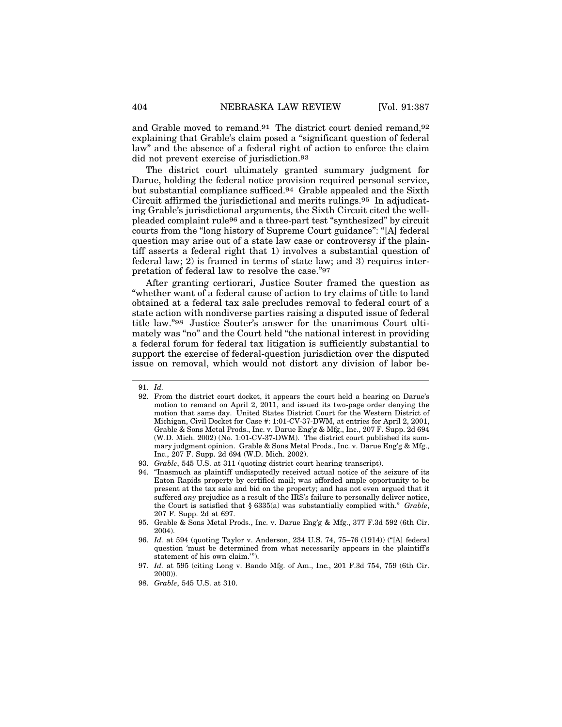and Grable moved to remand.91 The district court denied remand,92 explaining that Grable's claim posed a "significant question of federal law" and the absence of a federal right of action to enforce the claim did not prevent exercise of jurisdiction.93

The district court ultimately granted summary judgment for Darue, holding the federal notice provision required personal service, but substantial compliance sufficed.94 Grable appealed and the Sixth Circuit affirmed the jurisdictional and merits rulings.95 In adjudicating Grable's jurisdictional arguments, the Sixth Circuit cited the wellpleaded complaint rule96 and a three-part test "synthesized" by circuit courts from the "long history of Supreme Court guidance": "[A] federal question may arise out of a state law case or controversy if the plaintiff asserts a federal right that 1) involves a substantial question of federal law; 2) is framed in terms of state law; and 3) requires interpretation of federal law to resolve the case."97

After granting certiorari, Justice Souter framed the question as "whether want of a federal cause of action to try claims of title to land obtained at a federal tax sale precludes removal to federal court of a state action with nondiverse parties raising a disputed issue of federal title law."98 Justice Souter's answer for the unanimous Court ultimately was "no" and the Court held "the national interest in providing a federal forum for federal tax litigation is sufficiently substantial to support the exercise of federal-question jurisdiction over the disputed issue on removal, which would not distort any division of labor be-

<sup>91.</sup> *Id.*

<sup>92.</sup> From the district court docket, it appears the court held a hearing on Darue's motion to remand on April 2, 2011, and issued its two-page order denying the motion that same day. United States District Court for the Western District of Michigan, Civil Docket for Case #: 1:01-CV-37-DWM, at entries for April 2, 2001, Grable & Sons Metal Prods., Inc. v. Darue Eng'g & Mfg., Inc., 207 F. Supp. 2d 694 (W.D. Mich. 2002) (No. 1:01-CV-37-DWM). The district court published its summary judgment opinion. Grable & Sons Metal Prods., Inc. v. Darue Eng'g & Mfg., Inc., 207 F. Supp. 2d 694 (W.D. Mich. 2002).

<sup>93.</sup> *Grable*, 545 U.S. at 311 (quoting district court hearing transcript).

<sup>94. &</sup>quot;Inasmuch as plaintiff undisputedly received actual notice of the seizure of its Eaton Rapids property by certified mail; was afforded ample opportunity to be present at the tax sale and bid on the property; and has not even argued that it suffered *any* prejudice as a result of the IRS's failure to personally deliver notice, the Court is satisfied that § 6335(a) was substantially complied with." *Grable*, 207 F. Supp. 2d at 697.

<sup>95.</sup> Grable & Sons Metal Prods., Inc. v. Darue Eng'g & Mfg., 377 F.3d 592 (6th Cir. 2004).

<sup>96.</sup> *Id.* at 594 (quoting Taylor v. Anderson, 234 U.S. 74, 75–76 (1914)) ("[A] federal question 'must be determined from what necessarily appears in the plaintiff's statement of his own claim.'").

<sup>97.</sup> *Id.* at 595 (citing Long v. Bando Mfg. of Am., Inc., 201 F.3d 754, 759 (6th Cir. 2000)).

<sup>98.</sup> *Grable*, 545 U.S. at 310.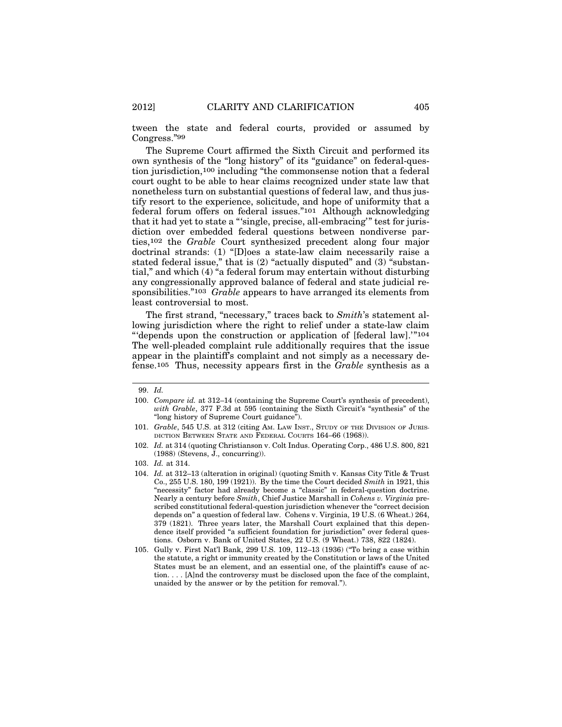tween the state and federal courts, provided or assumed by Congress."99

The Supreme Court affirmed the Sixth Circuit and performed its own synthesis of the "long history" of its "guidance" on federal-question jurisdiction,100 including "the commonsense notion that a federal court ought to be able to hear claims recognized under state law that nonetheless turn on substantial questions of federal law, and thus justify resort to the experience, solicitude, and hope of uniformity that a federal forum offers on federal issues."101 Although acknowledging that it had yet to state a "'single, precise, all-embracing'" test for jurisdiction over embedded federal questions between nondiverse parties,102 the *Grable* Court synthesized precedent along four major doctrinal strands: (1) "[D]oes a state-law claim necessarily raise a stated federal issue," that is  $(2)$  "actually disputed" and  $(3)$  "substantial," and which (4) "a federal forum may entertain without disturbing any congressionally approved balance of federal and state judicial responsibilities."103 *Grable* appears to have arranged its elements from least controversial to most.

The first strand, "necessary," traces back to *Smith*'s statement allowing jurisdiction where the right to relief under a state-law claim "'depends upon the construction or application of [federal law].'"104 The well-pleaded complaint rule additionally requires that the issue appear in the plaintiff's complaint and not simply as a necessary defense.105 Thus, necessity appears first in the *Grable* synthesis as a

<sup>99.</sup> *Id.*

<sup>100.</sup> *Compare id.* at 312–14 (containing the Supreme Court's synthesis of precedent), *with Grable*, 377 F.3d at 595 (containing the Sixth Circuit's "synthesis" of the "long history of Supreme Court guidance").

<sup>101.</sup> *Grable*, 545 U.S. at 312 (citing AM. LAW INST., STUDY OF THE DIVISION OF JURIS-DICTION BETWEEN STATE AND FEDERAL COURTS 164–66 (1968)).

<sup>102.</sup> *Id.* at 314 (quoting Christianson v. Colt Indus. Operating Corp., 486 U.S. 800, 821 (1988) (Stevens, J., concurring)).

<sup>103.</sup> *Id.* at 314.

<sup>104.</sup> *Id.* at 312–13 (alteration in original) (quoting Smith v. Kansas City Title & Trust Co., 255 U.S. 180, 199 (1921)). By the time the Court decided *Smith* in 1921, this "necessity" factor had already become a "classic" in federal-question doctrine. Nearly a century before *Smith*, Chief Justice Marshall in *Cohens v. Virginia* prescribed constitutional federal-question jurisdiction whenever the "correct decision depends on" a question of federal law. Cohens v. Virginia, 19 U.S. (6 Wheat.) 264, 379 (1821). Three years later, the Marshall Court explained that this dependence itself provided "a sufficient foundation for jurisdiction" over federal questions. Osborn v. Bank of United States, 22 U.S. (9 Wheat.) 738, 822 (1824).

<sup>105.</sup> Gully v. First Nat'l Bank, 299 U.S. 109, 112–13 (1936) ("To bring a case within the statute, a right or immunity created by the Constitution or laws of the United States must be an element, and an essential one, of the plaintiff's cause of action. . . . [A]nd the controversy must be disclosed upon the face of the complaint, unaided by the answer or by the petition for removal.").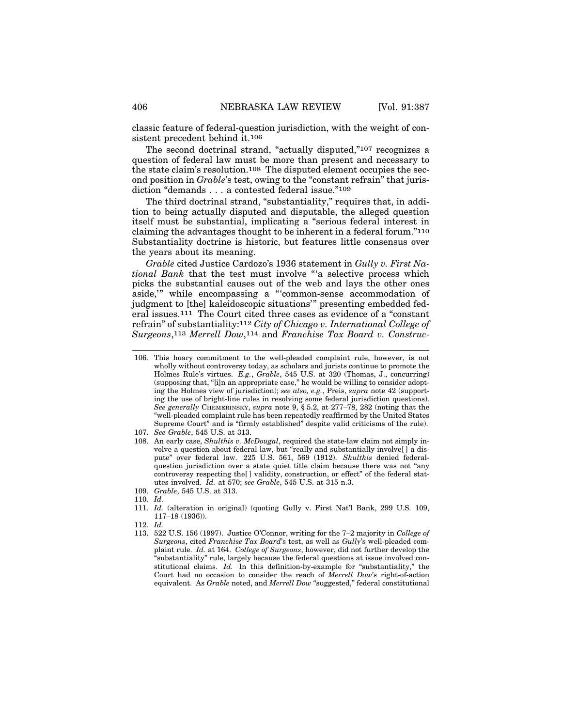classic feature of federal-question jurisdiction, with the weight of consistent precedent behind it.106

The second doctrinal strand, "actually disputed,"107 recognizes a question of federal law must be more than present and necessary to the state claim's resolution.108 The disputed element occupies the second position in *Grable*'s test, owing to the "constant refrain" that jurisdiction "demands . . . a contested federal issue."109

The third doctrinal strand, "substantiality," requires that, in addition to being actually disputed and disputable, the alleged question itself must be substantial, implicating a "serious federal interest in claiming the advantages thought to be inherent in a federal forum."110 Substantiality doctrine is historic, but features little consensus over the years about its meaning.

*Grable* cited Justice Cardozo's 1936 statement in *Gully v. First National Bank* that the test must involve "'a selective process which picks the substantial causes out of the web and lays the other ones aside,'" while encompassing a "'common-sense accommodation of judgment to [the] kaleidoscopic situations'" presenting embedded federal issues.111 The Court cited three cases as evidence of a "constant refrain" of substantiality:112 *City of Chicago v. International College of Surgeons*,113 *Merrell Dow*,114 and *Franchise Tax Board v. Construc-*

- 109. *Grable*, 545 U.S. at 313.
- 110. *Id.*

112. *Id.*

<sup>106.</sup> This hoary commitment to the well-pleaded complaint rule, however, is not wholly without controversy today, as scholars and jurists continue to promote the Holmes Rule's virtues. *E.g.*, *Grable*, 545 U.S. at 320 (Thomas, J., concurring) (supposing that, "[i]n an appropriate case," he would be willing to consider adopting the Holmes view of jurisdiction); *see also, e.g.*, Preis, *supra* note 42 (supporting the use of bright-line rules in resolving some federal jurisdiction questions). *See generally* CHEMERINSKY, *supra* note 9, § 5.2, at 277–78, 282 (noting that the "well-pleaded complaint rule has been repeatedly reaffirmed by the United States Supreme Court" and is "firmly established" despite valid criticisms of the rule).

<sup>107.</sup> *See Grable*, 545 U.S. at 313.

<sup>108.</sup> An early case, *Shulthis v. McDougal*, required the state-law claim not simply involve a question about federal law, but "really and substantially involve[ ] a dispute" over federal law. 225 U.S. 561, 569 (1912). *Shulthis* denied federalquestion jurisdiction over a state quiet title claim because there was not "any controversy respecting the[ ] validity, construction, or effect" of the federal statutes involved. *Id.* at 570; *see Grable*, 545 U.S. at 315 n.3.

<sup>111.</sup> *Id.* (alteration in original) (quoting Gully v. First Nat'l Bank, 299 U.S. 109, 117–18 (1936)).

<sup>113. 522</sup> U.S. 156 (1997). Justice O'Connor, writing for the 7–2 majority in *College of Surgeons*, cited *Franchise Tax Board*'s test, as well as *Gully*'s well-pleaded complaint rule. *Id.* at 164. *College of Surgeons*, however, did not further develop the "substantiality" rule, largely because the federal questions at issue involved constitutional claims. *Id.* In this definition-by-example for "substantiality," the Court had no occasion to consider the reach of *Merrell Dow*'s right-of-action equivalent. As *Grable* noted, and *Merrell Dow* "suggested," federal constitutional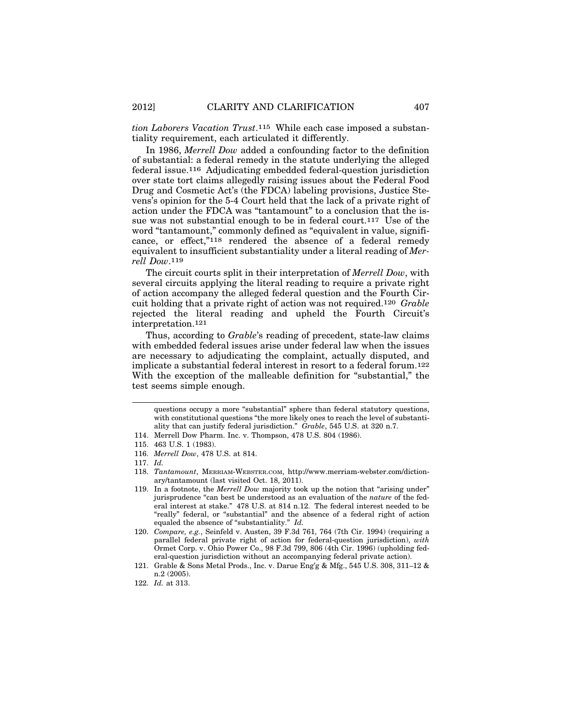*tion Laborers Vacation Trust*.115 While each case imposed a substantiality requirement, each articulated it differently.

In 1986, *Merrell Dow* added a confounding factor to the definition of substantial: a federal remedy in the statute underlying the alleged federal issue.116 Adjudicating embedded federal-question jurisdiction over state tort claims allegedly raising issues about the Federal Food Drug and Cosmetic Act's (the FDCA) labeling provisions, Justice Stevens's opinion for the 5-4 Court held that the lack of a private right of action under the FDCA was "tantamount" to a conclusion that the issue was not substantial enough to be in federal court.117 Use of the word "tantamount," commonly defined as "equivalent in value, significance, or effect,"118 rendered the absence of a federal remedy equivalent to insufficient substantiality under a literal reading of *Merrell Dow*.119

The circuit courts split in their interpretation of *Merrell Dow*, with several circuits applying the literal reading to require a private right of action accompany the alleged federal question and the Fourth Circuit holding that a private right of action was not required.120 *Grable* rejected the literal reading and upheld the Fourth Circuit's interpretation.121

Thus, according to *Grable*'s reading of precedent, state-law claims with embedded federal issues arise under federal law when the issues are necessary to adjudicating the complaint, actually disputed, and implicate a substantial federal interest in resort to a federal forum.122 With the exception of the malleable definition for "substantial," the test seems simple enough.

questions occupy a more "substantial" sphere than federal statutory questions, with constitutional questions "the more likely ones to reach the level of substantiality that can justify federal jurisdiction." *Grable*, 545 U.S. at 320 n.7.

<sup>114.</sup> Merrell Dow Pharm. Inc. v. Thompson, 478 U.S. 804 (1986).

<sup>115. 463</sup> U.S. 1 (1983).

<sup>116.</sup> *Merrell Dow*, 478 U.S. at 814.

<sup>117.</sup> *Id.*

<sup>118.</sup> *Tantamount*, MERRIAM-WEBSTER.COM, http://www.merriam-webster.com/dictionary/tantamount (last visited Oct. 18, 2011).

<sup>119.</sup> In a footnote, the *Merrell Dow* majority took up the notion that "arising under" jurisprudence "can best be understood as an evaluation of the *nature* of the federal interest at stake." 478 U.S. at 814 n.12. The federal interest needed to be "really" federal, or "substantial" and the absence of a federal right of action equaled the absence of "substantiality." *Id.*

<sup>120.</sup> *Compare, e.g.*, Seinfeld v. Austen, 39 F.3d 761, 764 (7th Cir. 1994) (requiring a parallel federal private right of action for federal-question jurisdiction), *with* Ormet Corp. v. Ohio Power Co., 98 F.3d 799, 806 (4th Cir. 1996) (upholding federal-question jurisdiction without an accompanying federal private action).

<sup>121.</sup> Grable & Sons Metal Prods., Inc. v. Darue Eng'g & Mfg., 545 U.S. 308, 311–12 & n.2 (2005).

<sup>122.</sup> *Id.* at 313.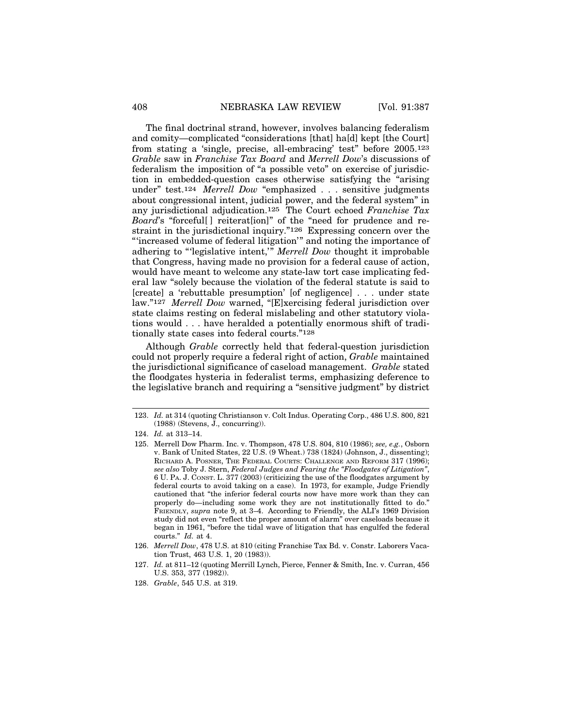The final doctrinal strand, however, involves balancing federalism and comity—complicated "considerations [that] ha[d] kept [the Court] from stating a 'single, precise, all-embracing' test" before 2005.123 *Grable* saw in *Franchise Tax Board* and *Merrell Dow*'s discussions of federalism the imposition of "a possible veto" on exercise of jurisdiction in embedded-question cases otherwise satisfying the "arising under" test.124 *Merrell Dow* "emphasized . . . sensitive judgments about congressional intent, judicial power, and the federal system" in any jurisdictional adjudication.125 The Court echoed *Franchise Tax Board*'s "forceful<sup>[]</sup> reiterat<sup>[ion]</sup>" of the "need for prudence and restraint in the jurisdictional inquiry."126 Expressing concern over the "'increased volume of federal litigation'" and noting the importance of adhering to "'legislative intent,'" *Merrell Dow* thought it improbable that Congress, having made no provision for a federal cause of action, would have meant to welcome any state-law tort case implicating federal law "solely because the violation of the federal statute is said to [create] a 'rebuttable presumption' [of negligence] . . . under state law."127 *Merrell Dow* warned, "[E]xercising federal jurisdiction over state claims resting on federal mislabeling and other statutory violations would . . . have heralded a potentially enormous shift of traditionally state cases into federal courts."128

Although *Grable* correctly held that federal-question jurisdiction could not properly require a federal right of action, *Grable* maintained the jurisdictional significance of caseload management. *Grable* stated the floodgates hysteria in federalist terms, emphasizing deference to the legislative branch and requiring a "sensitive judgment" by district

128. *Grable*, 545 U.S. at 319.

<sup>123.</sup> *Id.* at 314 (quoting Christianson v. Colt Indus. Operating Corp., 486 U.S. 800, 821 (1988) (Stevens, J., concurring)).

<sup>124.</sup> *Id.* at 313–14.

<sup>125.</sup> Merrell Dow Pharm. Inc. v. Thompson, 478 U.S. 804, 810 (1986); *see, e.g.*, Osborn v. Bank of United States, 22 U.S. (9 Wheat.) 738 (1824) (Johnson, J., dissenting); RICHARD A. POSNER, THE FEDERAL COURTS: CHALLENGE AND REFORM 317 (1996); *see also* Toby J. Stern, *Federal Judges and Fearing the "Floodgates of Litigation"*, 6 U. PA. J. CONST. L. 377 (2003) (criticizing the use of the floodgates argument by federal courts to avoid taking on a case). In 1973, for example, Judge Friendly cautioned that "the inferior federal courts now have more work than they can properly do—including some work they are not institutionally fitted to do." FRIENDLY, *supra* note 9, at 3–4. According to Friendly, the ALI's 1969 Division study did not even "reflect the proper amount of alarm" over caseloads because it began in 1961, "before the tidal wave of litigation that has engulfed the federal courts." *Id.* at 4.

<sup>126.</sup> *Merrell Dow*, 478 U.S. at 810 (citing Franchise Tax Bd. v. Constr. Laborers Vacation Trust, 463 U.S. 1, 20 (1983)).

<sup>127.</sup> *Id.* at 811–12 (quoting Merrill Lynch, Pierce, Fenner & Smith, Inc. v. Curran, 456 U.S. 353, 377 (1982)).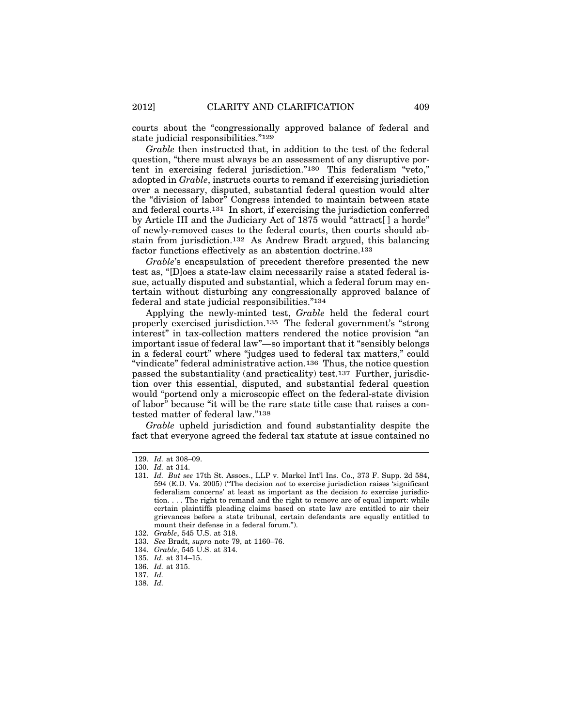courts about the "congressionally approved balance of federal and state judicial responsibilities."129

*Grable* then instructed that, in addition to the test of the federal question, "there must always be an assessment of any disruptive portent in exercising federal jurisdiction."130 This federalism "veto," adopted in *Grable*, instructs courts to remand if exercising jurisdiction over a necessary, disputed, substantial federal question would alter the "division of labor" Congress intended to maintain between state and federal courts.131 In short, if exercising the jurisdiction conferred by Article III and the Judiciary Act of 1875 would "attract[ ] a horde" of newly-removed cases to the federal courts, then courts should abstain from jurisdiction.132 As Andrew Bradt argued, this balancing factor functions effectively as an abstention doctrine.133

*Grable*'s encapsulation of precedent therefore presented the new test as, "[D]oes a state-law claim necessarily raise a stated federal issue, actually disputed and substantial, which a federal forum may entertain without disturbing any congressionally approved balance of federal and state judicial responsibilities."134

Applying the newly-minted test, *Grable* held the federal court properly exercised jurisdiction.135 The federal government's "strong interest" in tax-collection matters rendered the notice provision "an important issue of federal law"—so important that it "sensibly belongs in a federal court" where "judges used to federal tax matters," could "vindicate" federal administrative action.136 Thus, the notice question passed the substantiality (and practicality) test.137 Further, jurisdiction over this essential, disputed, and substantial federal question would "portend only a microscopic effect on the federal-state division of labor" because "it will be the rare state title case that raises a contested matter of federal law."138

*Grable* upheld jurisdiction and found substantiality despite the fact that everyone agreed the federal tax statute at issue contained no

- 137. *Id.*
- 138. *Id.*

<sup>129.</sup> *Id.* at 308–09.

<sup>130.</sup> *Id.* at 314.

<sup>131.</sup> *Id. But see* 17th St. Assocs., LLP v. Markel Int'l Ins. Co., 373 F. Supp. 2d 584, 594 (E.D. Va. 2005) ("The decision *not* to exercise jurisdiction raises 'significant federalism concerns' at least as important as the decision *to* exercise jurisdiction. . . . The right to remand and the right to remove are of equal import: while certain plaintiffs pleading claims based on state law are entitled to air their grievances before a state tribunal, certain defendants are equally entitled to mount their defense in a federal forum.").

<sup>132.</sup> *Grable*, 545 U.S. at 318.

<sup>133.</sup> *See* Bradt, *supra* note 79, at 1160–76.

<sup>134.</sup> *Grable*, 545 U.S. at 314.

<sup>135.</sup> *Id.* at 314–15.

<sup>136.</sup> *Id.* at 315.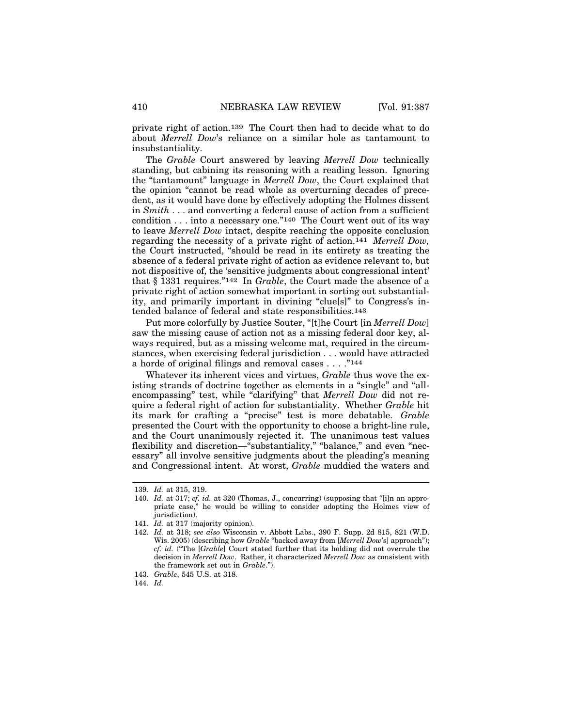private right of action.139 The Court then had to decide what to do about *Merrell Dow*'s reliance on a similar hole as tantamount to insubstantiality.

The *Grable* Court answered by leaving *Merrell Dow* technically standing, but cabining its reasoning with a reading lesson. Ignoring the "tantamount" language in *Merrell Dow*, the Court explained that the opinion "cannot be read whole as overturning decades of precedent, as it would have done by effectively adopting the Holmes dissent in *Smith* . . . and converting a federal cause of action from a sufficient condition  $\dots$  into a necessary one."<sup>140</sup> The Court went out of its way to leave *Merrell Dow* intact, despite reaching the opposite conclusion regarding the necessity of a private right of action.141 *Merrell Dow,* the Court instructed, "should be read in its entirety as treating the absence of a federal private right of action as evidence relevant to, but not dispositive of, the 'sensitive judgments about congressional intent' that § 1331 requires."142 In *Grable*, the Court made the absence of a private right of action somewhat important in sorting out substantiality, and primarily important in divining "clue[s]" to Congress's intended balance of federal and state responsibilities.143

Put more colorfully by Justice Souter, "[t]he Court [in *Merrell Dow*] saw the missing cause of action not as a missing federal door key, always required, but as a missing welcome mat, required in the circumstances, when exercising federal jurisdiction . . . would have attracted a horde of original filings and removal cases . . . ."144

Whatever its inherent vices and virtues, *Grable* thus wove the existing strands of doctrine together as elements in a "single" and "allencompassing" test, while "clarifying" that *Merrell Dow* did not require a federal right of action for substantiality. Whether *Grable* hit its mark for crafting a "precise" test is more debatable. *Grable* presented the Court with the opportunity to choose a bright-line rule, and the Court unanimously rejected it. The unanimous test values flexibility and discretion—"substantiality," "balance," and even "necessary" all involve sensitive judgments about the pleading's meaning and Congressional intent. At worst, *Grable* muddied the waters and

<sup>139.</sup> *Id.* at 315, 319.

<sup>140.</sup> *Id.* at 317; *cf. id.* at 320 (Thomas, J., concurring) (supposing that "[i]n an appropriate case," he would be willing to consider adopting the Holmes view of jurisdiction).

<sup>141.</sup> *Id.* at 317 (majority opinion).

<sup>142.</sup> *Id.* at 318; *see also* Wisconsin v. Abbott Labs., 390 F. Supp. 2d 815, 821 (W.D. Wis. 2005) (describing how *Grable* "backed away from [*Merrell Dow*'s] approach"); *cf. id.* ("The [*Grable*] Court stated further that its holding did not overrule the decision in *Merrell Dow*. Rather, it characterized *Merrell Dow* as consistent with the framework set out in *Grable*.").

<sup>143.</sup> *Grable*, 545 U.S. at 318.

<sup>144.</sup> *Id.*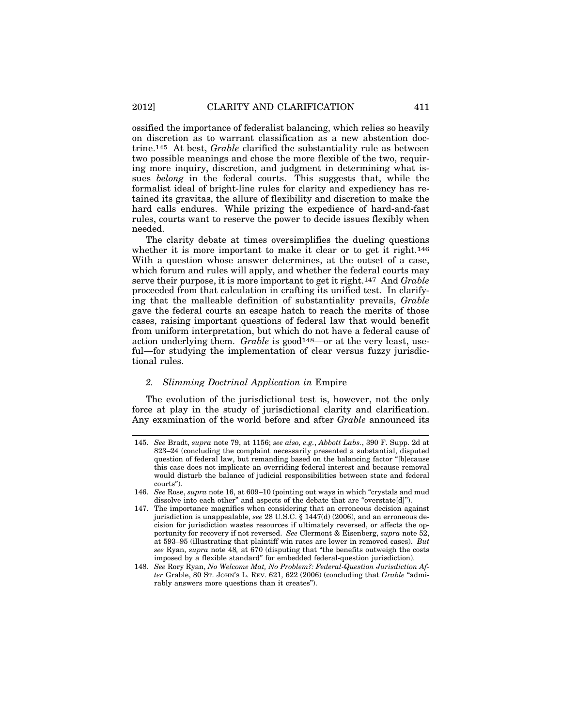ossified the importance of federalist balancing, which relies so heavily on discretion as to warrant classification as a new abstention doctrine.145 At best, *Grable* clarified the substantiality rule as between two possible meanings and chose the more flexible of the two, requiring more inquiry, discretion, and judgment in determining what issues *belong* in the federal courts. This suggests that, while the formalist ideal of bright-line rules for clarity and expediency has retained its gravitas, the allure of flexibility and discretion to make the hard calls endures. While prizing the expedience of hard-and-fast rules, courts want to reserve the power to decide issues flexibly when needed.

The clarity debate at times oversimplifies the dueling questions whether it is more important to make it clear or to get it right.<sup>146</sup> With a question whose answer determines, at the outset of a case, which forum and rules will apply, and whether the federal courts may serve their purpose, it is more important to get it right.147 And *Grable* proceeded from that calculation in crafting its unified test. In clarifying that the malleable definition of substantiality prevails, *Grable* gave the federal courts an escape hatch to reach the merits of those cases, raising important questions of federal law that would benefit from uniform interpretation, but which do not have a federal cause of action underlying them. *Grable* is good<sup>148</sup>-or at the very least, useful—for studying the implementation of clear versus fuzzy jurisdictional rules.

#### *2. Slimming Doctrinal Application in* Empire

The evolution of the jurisdictional test is, however, not the only force at play in the study of jurisdictional clarity and clarification. Any examination of the world before and after *Grable* announced its

<sup>145.</sup> *See* Bradt, *supra* note 79, at 1156; *see also, e.g.*, *Abbott Labs.*, 390 F. Supp. 2d at 823–24 (concluding the complaint necessarily presented a substantial, disputed question of federal law, but remanding based on the balancing factor "[b]ecause this case does not implicate an overriding federal interest and because removal would disturb the balance of judicial responsibilities between state and federal courts").

<sup>146.</sup> *See* Rose, *supra* note 16, at 609–10 (pointing out ways in which "crystals and mud dissolve into each other" and aspects of the debate that are "overstate[d]").

<sup>147.</sup> The importance magnifies when considering that an erroneous decision against jurisdiction is unappealable, *see* 28 U.S.C. § 1447(d) (2006), and an erroneous decision for jurisdiction wastes resources if ultimately reversed, or affects the opportunity for recovery if not reversed. *See* Clermont & Eisenberg, *supra* note 52, at 593–95 (illustrating that plaintiff win rates are lower in removed cases). *But see* Ryan, *supra* note 48*,* at 670 (disputing that "the benefits outweigh the costs imposed by a flexible standard" for embedded federal-question jurisdiction).

<sup>148.</sup> *See* Rory Ryan, *No Welcome Mat, No Problem?: Federal-Question Jurisdiction After* Grable, 80 ST. JOHN'S L. REV. 621, 622 (2006) (concluding that *Grable* "admirably answers more questions than it creates").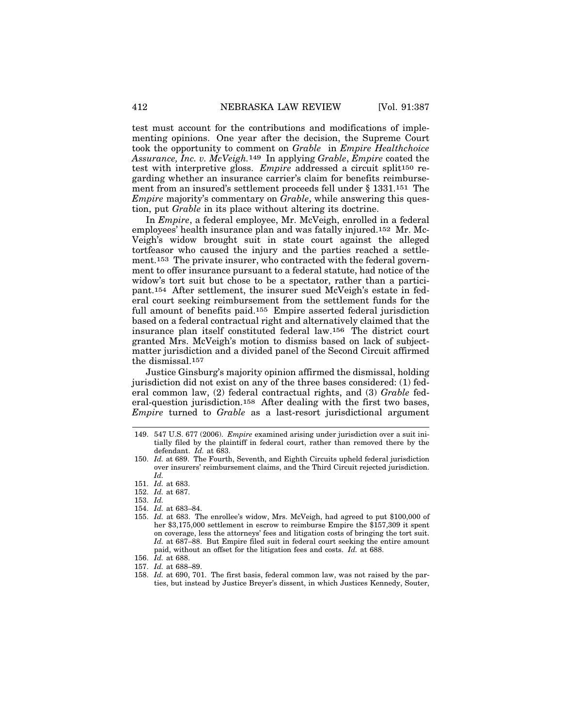test must account for the contributions and modifications of implementing opinions. One year after the decision, the Supreme Court took the opportunity to comment on *Grable* in *Empire Healthchoice Assurance, Inc. v. McVeigh.*149 In applying *Grable*, *Empire* coated the test with interpretive gloss. *Empire* addressed a circuit split150 regarding whether an insurance carrier's claim for benefits reimbursement from an insured's settlement proceeds fell under § 1331.151 The *Empire* majority's commentary on *Grable*, while answering this question, put *Grable* in its place without altering its doctrine.

In *Empire*, a federal employee, Mr. McVeigh, enrolled in a federal employees' health insurance plan and was fatally injured.152 Mr. Mc-Veigh's widow brought suit in state court against the alleged tortfeasor who caused the injury and the parties reached a settlement.153 The private insurer, who contracted with the federal government to offer insurance pursuant to a federal statute, had notice of the widow's tort suit but chose to be a spectator, rather than a participant.154 After settlement, the insurer sued McVeigh's estate in federal court seeking reimbursement from the settlement funds for the full amount of benefits paid.155 Empire asserted federal jurisdiction based on a federal contractual right and alternatively claimed that the insurance plan itself constituted federal law.156 The district court granted Mrs. McVeigh's motion to dismiss based on lack of subjectmatter jurisdiction and a divided panel of the Second Circuit affirmed the dismissal.157

Justice Ginsburg's majority opinion affirmed the dismissal, holding jurisdiction did not exist on any of the three bases considered: (1) federal common law, (2) federal contractual rights, and (3) *Grable* federal-question jurisdiction.158 After dealing with the first two bases, *Empire* turned to *Grable* as a last-resort jurisdictional argument

- 150. *Id.* at 689. The Fourth, Seventh, and Eighth Circuits upheld federal jurisdiction over insurers' reimbursement claims, and the Third Circuit rejected jurisdiction. *Id.*
- 151. *Id.* at 683.
- 152. *Id.* at 687.
- 153. *Id.*
- 154. *Id.* at 683–84.
- 155. *Id.* at 683. The enrollee's widow, Mrs. McVeigh, had agreed to put \$100,000 of her \$3,175,000 settlement in escrow to reimburse Empire the \$157,309 it spent on coverage, less the attorneys' fees and litigation costs of bringing the tort suit. *Id.* at 687–88. But Empire filed suit in federal court seeking the entire amount paid, without an offset for the litigation fees and costs. *Id.* at 688.
- 156. *Id.* at 688.
- 157. *Id.* at 688–89.
- 158. *Id.* at 690, 701. The first basis, federal common law, was not raised by the parties, but instead by Justice Breyer's dissent, in which Justices Kennedy, Souter,

<sup>149. 547</sup> U.S. 677 (2006). *Empire* examined arising under jurisdiction over a suit initially filed by the plaintiff in federal court, rather than removed there by the defendant. *Id.* at 683.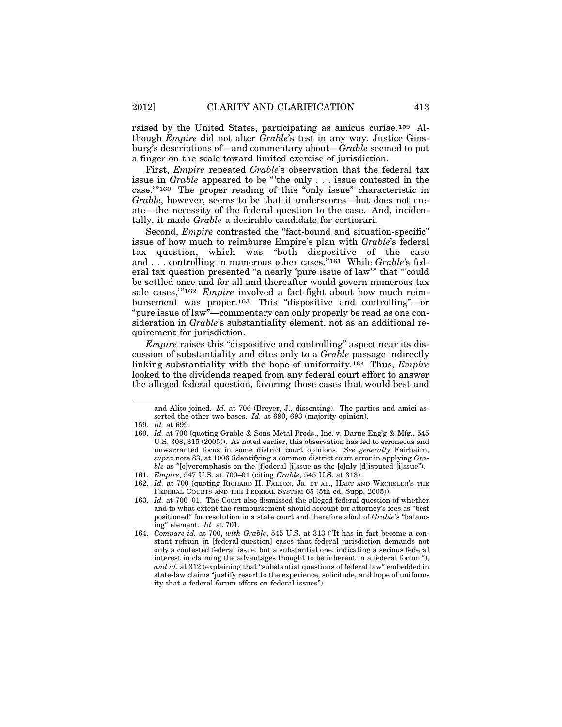raised by the United States, participating as amicus curiae.159 Although *Empire* did not alter *Grable*'s test in any way, Justice Ginsburg's descriptions of—and commentary about—*Grable* seemed to put a finger on the scale toward limited exercise of jurisdiction.

First, *Empire* repeated *Grable*'s observation that the federal tax issue in *Grable* appeared to be "'the only . . . issue contested in the case.'"160 The proper reading of this "only issue" characteristic in *Grable*, however, seems to be that it underscores—but does not create—the necessity of the federal question to the case. And, incidentally, it made *Grable* a desirable candidate for certiorari.

Second, *Empire* contrasted the "fact-bound and situation-specific" issue of how much to reimburse Empire's plan with *Grable*'s federal tax question, which was "both dispositive of the case and . . . controlling in numerous other cases."161 While *Grable*'s federal tax question presented "a nearly 'pure issue of law'" that "'could be settled once and for all and thereafter would govern numerous tax sale cases,'"162 *Empire* involved a fact-fight about how much reimbursement was proper.163 This "dispositive and controlling"—or "pure issue of law"—commentary can only properly be read as one consideration in *Grable*'s substantiality element, not as an additional requirement for jurisdiction.

*Empire* raises this "dispositive and controlling" aspect near its discussion of substantiality and cites only to a *Grable* passage indirectly linking substantiality with the hope of uniformity.164 Thus, *Empire* looked to the dividends reaped from any federal court effort to answer the alleged federal question, favoring those cases that would best and

and Alito joined. *Id.* at 706 (Breyer, J., dissenting). The parties and amici asserted the other two bases. *Id.* at 690, 693 (majority opinion).

- 161. *Empire*, 547 U.S. at 700–01 (citing *Grable*, 545 U.S. at 313).
- 162. *Id.* at 700 (quoting RICHARD H. FALLON, JR. ET AL., HART AND WECHSLER'S THE FEDERAL COURTS AND THE FEDERAL SYSTEM 65 (5th ed. Supp. 2005)).
- 163. *Id.* at 700–01. The Court also dismissed the alleged federal question of whether and to what extent the reimbursement should account for attorney's fees as "best positioned" for resolution in a state court and therefore afoul of *Grable*'s "balancing" element. *Id.* at 701.
- 164. *Compare id.* at 700, *with Grable*, 545 U.S. at 313 ("It has in fact become a constant refrain in [federal-question] cases that federal jurisdiction demands not only a contested federal issue, but a substantial one, indicating a serious federal interest in claiming the advantages thought to be inherent in a federal forum."), *and id.* at 312 (explaining that "substantial questions of federal law" embedded in state-law claims "justify resort to the experience, solicitude, and hope of uniformity that a federal forum offers on federal issues").

<sup>159.</sup> *Id.* at 699.

<sup>160.</sup> *Id.* at 700 (quoting Grable & Sons Metal Prods., Inc. v. Darue Eng'g & Mfg., 545 U.S. 308, 315 (2005)). As noted earlier, this observation has led to erroneous and unwarranted focus in some district court opinions. *See generally* Fairbairn, *supra* note 83, at 1006 (identifying a common district court error in applying *Grable* as "[o]veremphasis on the [f]ederal [i]ssue as the [o]nly [d]isputed [i]ssue").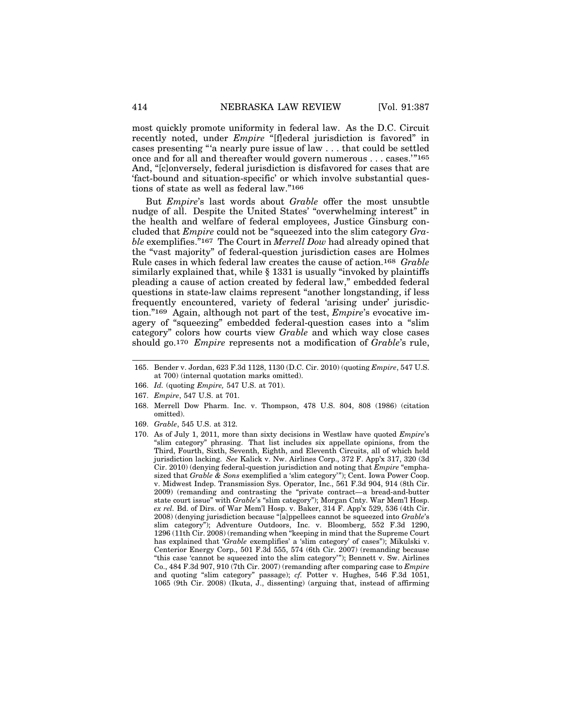most quickly promote uniformity in federal law. As the D.C. Circuit recently noted, under *Empire* "[f]ederal jurisdiction is favored" in cases presenting "'a nearly pure issue of law . . . that could be settled once and for all and thereafter would govern numerous . . . cases.'"165 And, "[c]onversely, federal jurisdiction is disfavored for cases that are 'fact-bound and situation-specific' or which involve substantial questions of state as well as federal law."166

But *Empire*'s last words about *Grable* offer the most unsubtle nudge of all. Despite the United States' "overwhelming interest" in the health and welfare of federal employees, Justice Ginsburg concluded that *Empire* could not be "squeezed into the slim category *Grable* exemplifies."167 The Court in *Merrell Dow* had already opined that the "vast majority" of federal-question jurisdiction cases are Holmes Rule cases in which federal law creates the cause of action.168 *Grable* similarly explained that, while § 1331 is usually "invoked by plaintiffs pleading a cause of action created by federal law," embedded federal questions in state-law claims represent "another longstanding, if less frequently encountered, variety of federal 'arising under' jurisdiction."169 Again, although not part of the test, *Empire*'s evocative imagery of "squeezing" embedded federal-question cases into a "slim category" colors how courts view *Grable* and which way close cases should go.170 *Empire* represents not a modification of *Grable*'s rule,

- 166. *Id.* (quoting *Empire,* 547 U.S. at 701).
- 167. *Empire*, 547 U.S. at 701.
- 168. Merrell Dow Pharm. Inc. v. Thompson, 478 U.S. 804, 808 (1986) (citation omitted).
- 169. *Grable*, 545 U.S. at 312.
- 170. As of July 1, 2011, more than sixty decisions in Westlaw have quoted *Empire*'s "slim category" phrasing. That list includes six appellate opinions, from the Third, Fourth, Sixth, Seventh, Eighth, and Eleventh Circuits, all of which held jurisdiction lacking. *See* Kalick v. Nw. Airlines Corp., 372 F. App'x 317, 320 (3d Cir. 2010) (denying federal-question jurisdiction and noting that *Empire* "emphasized that *Grable & Sons* exemplified a 'slim category'"); Cent. Iowa Power Coop. v. Midwest Indep. Transmission Sys. Operator, Inc., 561 F.3d 904, 914 (8th Cir. 2009) (remanding and contrasting the "private contract—a bread-and-butter state court issue" with *Grable*'s "slim category"); Morgan Cnty. War Mem'l Hosp. *ex rel.* Bd. of Dirs. of War Mem'l Hosp. v. Baker, 314 F. App'x 529, 536 (4th Cir. 2008) (denying jurisdiction because "[a]ppellees cannot be squeezed into *Grable*'s slim category"); Adventure Outdoors, Inc. v. Bloomberg, 552 F.3d 1290, 1296 (11th Cir. 2008) (remanding when "keeping in mind that the Supreme Court has explained that '*Grable* exemplifies' a 'slim category' of cases"); Mikulski v. Centerior Energy Corp., 501 F.3d 555, 574 (6th Cir. 2007) (remanding because "this case 'cannot be squeezed into the slim category'"); Bennett v. Sw. Airlines Co., 484 F.3d 907, 910 (7th Cir. 2007) (remanding after comparing case to *Empire* and quoting "slim category" passage); *cf.* Potter v. Hughes, 546 F.3d 1051, 1065 (9th Cir. 2008) (Ikuta, J., dissenting) (arguing that, instead of affirming

<sup>165.</sup> Bender v. Jordan, 623 F.3d 1128, 1130 (D.C. Cir. 2010) (quoting *Empire*, 547 U.S. at 700) (internal quotation marks omitted).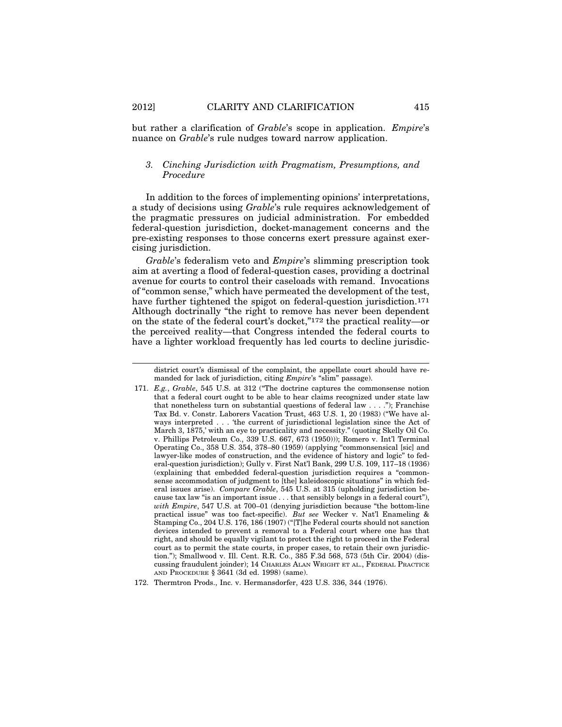but rather a clarification of *Grable*'s scope in application. *Empire*'s nuance on *Grable*'s rule nudges toward narrow application.

#### *3. Cinching Jurisdiction with Pragmatism, Presumptions, and Procedure*

In addition to the forces of implementing opinions' interpretations, a study of decisions using *Grable*'s rule requires acknowledgement of the pragmatic pressures on judicial administration. For embedded federal-question jurisdiction, docket-management concerns and the pre-existing responses to those concerns exert pressure against exercising jurisdiction.

*Grable*'s federalism veto and *Empire*'s slimming prescription took aim at averting a flood of federal-question cases, providing a doctrinal avenue for courts to control their caseloads with remand. Invocations of "common sense," which have permeated the development of the test, have further tightened the spigot on federal-question jurisdiction.<sup>171</sup> Although doctrinally "the right to remove has never been dependent on the state of the federal court's docket,"172 the practical reality—or the perceived reality—that Congress intended the federal courts to have a lighter workload frequently has led courts to decline jurisdic-

district court's dismissal of the complaint, the appellate court should have remanded for lack of jurisdiction, citing *Empire*'s "slim" passage).

<sup>171.</sup> *E.g.*, *Grable*, 545 U.S. at 312 ("The doctrine captures the commonsense notion that a federal court ought to be able to hear claims recognized under state law that nonetheless turn on substantial questions of federal law . . . ."); Franchise Tax Bd. v. Constr. Laborers Vacation Trust, 463 U.S. 1, 20 (1983) ("We have always interpreted . . . 'the current of jurisdictional legislation since the Act of March 3, 1875,' with an eye to practicality and necessity." (quoting Skelly Oil Co. v. Phillips Petroleum Co., 339 U.S. 667, 673 (1950))); Romero v. Int'l Terminal Operating Co., 358 U.S. 354, 378–80 (1959) (applying "commonsensical [sic] and lawyer-like modes of construction, and the evidence of history and logic" to federal-question jurisdiction); Gully v. First Nat'l Bank, 299 U.S. 109, 117–18 (1936) (explaining that embedded federal-question jurisdiction requires a "commonsense accommodation of judgment to [the] kaleidoscopic situations" in which federal issues arise). *Compare Grable*, 545 U.S. at 315 (upholding jurisdiction because tax law "is an important issue . . . that sensibly belongs in a federal court"), *with Empire*, 547 U.S. at 700–01 (denying jurisdiction because "the bottom-line practical issue" was too fact-specific). *But see* Wecker v. Nat'l Enameling & Stamping Co., 204 U.S. 176, 186 (1907) ("[T]he Federal courts should not sanction devices intended to prevent a removal to a Federal court where one has that right, and should be equally vigilant to protect the right to proceed in the Federal court as to permit the state courts, in proper cases, to retain their own jurisdiction."); Smallwood v. Ill. Cent. R.R. Co., 385 F.3d 568, 573 (5th Cir. 2004) (discussing fraudulent joinder); 14 CHARLES ALAN WRIGHT ET AL., FEDERAL PRACTICE AND PROCEDURE § 3641 (3d ed. 1998) (same).

<sup>172.</sup> Thermtron Prods., Inc. v. Hermansdorfer, 423 U.S. 336, 344 (1976).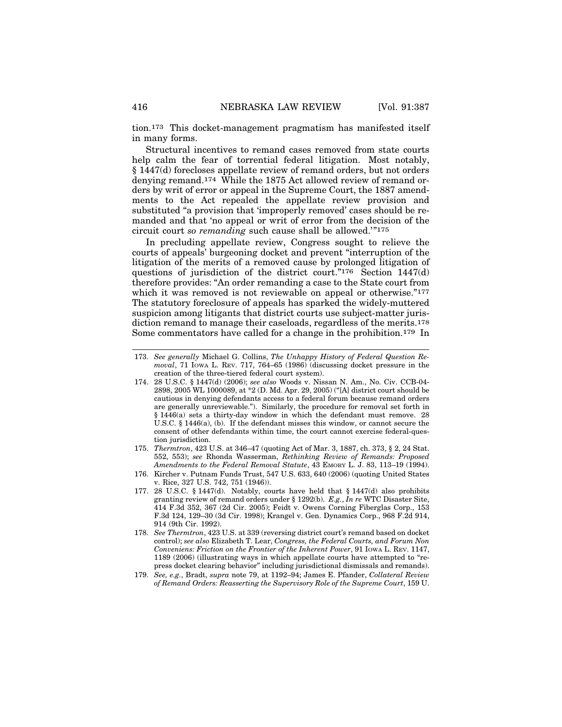tion.173 This docket-management pragmatism has manifested itself in many forms.

Structural incentives to remand cases removed from state courts help calm the fear of torrential federal litigation. Most notably, § 1447(d) forecloses appellate review of remand orders, but not orders denying remand.174 While the 1875 Act allowed review of remand orders by writ of error or appeal in the Supreme Court, the 1887 amendments to the Act repealed the appellate review provision and substituted "a provision that 'improperly removed' cases should be remanded and that 'no appeal or writ of error from the decision of the circuit court *so remanding* such cause shall be allowed.'"175

In precluding appellate review, Congress sought to relieve the courts of appeals' burgeoning docket and prevent "interruption of the litigation of the merits of a removed cause by prolonged litigation of questions of jurisdiction of the district court."176 Section 1447(d) therefore provides: "An order remanding a case to the State court from which it was removed is not reviewable on appeal or otherwise."<sup>177</sup> The statutory foreclosure of appeals has sparked the widely-muttered suspicion among litigants that district courts use subject-matter jurisdiction remand to manage their caseloads, regardless of the merits.178 Some commentators have called for a change in the prohibition.179 In

- 173. *See generally* Michael G. Collins, *The Unhappy History of Federal Question Removal*, 71 IOWA L. REV. 717, 764–65 (1986) (discussing docket pressure in the creation of the three-tiered federal court system).
- 174. 28 U.S.C. § 1447(d) (2006); *see also* Woods v. Nissan N. Am., No. Civ. CCB-04- 2898, 2005 WL 1000089, at \*2 (D. Md. Apr. 29, 2005) ("[A] district court should be cautious in denying defendants access to a federal forum because remand orders are generally unreviewable."). Similarly, the procedure for removal set forth in § 1446(a) sets a thirty-day window in which the defendant must remove. 28 U.S.C. § 1446(a), (b). If the defendant misses this window, or cannot secure the consent of other defendants within time, the court cannot exercise federal-question jurisdiction.
- 175. *Thermtron*, 423 U.S. at 346–47 (quoting Act of Mar. 3, 1887, ch. 373, § 2, 24 Stat. 552, 553); *see* Rhonda Wasserman, *Rethinking Review of Remands: Proposed Amendments to the Federal Removal Statute*, 43 EMORY L. J. 83, 113–19 (1994).
- 176. Kircher v. Putnam Funds Trust, 547 U.S. 633, 640 (2006) (quoting United States v. Rice, 327 U.S. 742, 751 (1946)).
- 177. 28 U.S.C. § 1447(d). Notably, courts have held that § 1447(d) also prohibits granting review of remand orders under § 1292(b). *E.g.*, *In re* WTC Disaster Site, 414 F.3d 352, 367 (2d Cir. 2005); Feidt v. Owens Corning Fiberglas Corp., 153 F.3d 124, 129–30 (3d Cir. 1998); Krangel v. Gen. Dynamics Corp., 968 F.2d 914, 914 (9th Cir. 1992).
- 178. *See Thermtron*, 423 U.S. at 339 (reversing district court's remand based on docket control); *see also* Elizabeth T. Lear, *Congress, the Federal Courts, and Forum Non Conveniens: Friction on the Frontier of the Inherent Power*, 91 IOWA L. REV. 1147, 1189 (2006) (illustrating ways in which appellate courts have attempted to "repress docket clearing behavior" including jurisdictional dismissals and remands).
- 179. *See, e.g.*, Bradt, *supra* note 79, at 1192–94; James E. Pfander, *Collateral Review of Remand Orders: Reasserting the Supervisory Role of the Supreme Court*, 159 U.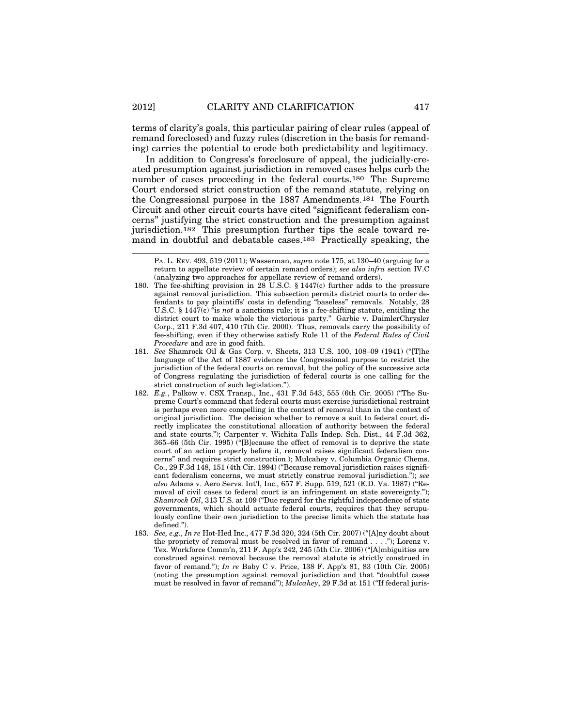terms of clarity's goals, this particular pairing of clear rules (appeal of remand foreclosed) and fuzzy rules (discretion in the basis for remanding) carries the potential to erode both predictability and legitimacy.

In addition to Congress's foreclosure of appeal, the judicially-created presumption against jurisdiction in removed cases helps curb the number of cases proceeding in the federal courts.180 The Supreme Court endorsed strict construction of the remand statute, relying on the Congressional purpose in the 1887 Amendments.181 The Fourth Circuit and other circuit courts have cited "significant federalism concerns" justifying the strict construction and the presumption against jurisdiction.182 This presumption further tips the scale toward remand in doubtful and debatable cases.183 Practically speaking, the

- 180. The fee-shifting provision in 28 U.S.C. § 1447(c) further adds to the pressure against removal jurisdiction. This subsection permits district courts to order defendants to pay plaintiffs' costs in defending "baseless" removals. Notably, 28 U.S.C. § 1447(c) "is *not* a sanctions rule; it is a fee-shifting statute, entitling the district court to make whole the victorious party." Garbie v. DaimlerChrysler Corp., 211 F.3d 407, 410 (7th Cir. 2000). Thus, removals carry the possibility of fee-shifting, even if they otherwise satisfy Rule 11 of the *Federal Rules of Civil Procedure* and are in good faith.
- 181. *See* Shamrock Oil & Gas Corp. v. Sheets, 313 U.S. 100, 108–09 (1941) ("[T]he language of the Act of 1887 evidence the Congressional purpose to restrict the jurisdiction of the federal courts on removal, but the policy of the successive acts of Congress regulating the jurisdiction of federal courts is one calling for the strict construction of such legislation.").
- 182. *E.g.*, Palkow v. CSX Transp., Inc., 431 F.3d 543, 555 (6th Cir. 2005) ("The Supreme Court's command that federal courts must exercise jurisdictional restraint is perhaps even more compelling in the context of removal than in the context of original jurisdiction. The decision whether to remove a suit to federal court directly implicates the constitutional allocation of authority between the federal and state courts."); Carpenter v. Wichita Falls Indep. Sch. Dist., 44 F.3d 362, 365–66 (5th Cir. 1995) ("[B]ecause the effect of removal is to deprive the state court of an action properly before it, removal raises significant federalism concerns" and requires strict construction.); Mulcahey v. Columbia Organic Chems. Co., 29 F.3d 148, 151 (4th Cir. 1994) ("Because removal jurisdiction raises significant federalism concerns, we must strictly construe removal jurisdiction."); *see also* Adams v. Aero Servs. Int'l, Inc., 657 F. Supp. 519, 521 (E.D. Va. 1987) ("Removal of civil cases to federal court is an infringement on state sovereignty."); *Shamrock Oil*, 313 U.S. at 109 ("Due regard for the rightful independence of state governments, which should actuate federal courts, requires that they scrupulously confine their own jurisdiction to the precise limits which the statute has defined.").
- 183. *See, e.g.*, *In re* Hot-Hed Inc., 477 F.3d 320, 324 (5th Cir. 2007) ("[A]ny doubt about the propriety of removal must be resolved in favor of remand . . . ."); Lorenz v. Tex. Workforce Comm'n, 211 F. App'x 242, 245 (5th Cir. 2006) ("[A]mbiguities are construed against removal because the removal statute is strictly construed in favor of remand."); *In re* Baby C v. Price, 138 F. App'x 81, 83 (10th Cir. 2005) (noting the presumption against removal jurisdiction and that "doubtful cases must be resolved in favor of remand"); *Mulcahey*, 29 F.3d at 151 ("If federal juris-

PA. L. REV. 493, 519 (2011); Wasserman, *supra* note 175, at 130–40 (arguing for a return to appellate review of certain remand orders); *see also infra* section IV.C (analyzing two approaches for appellate review of remand orders).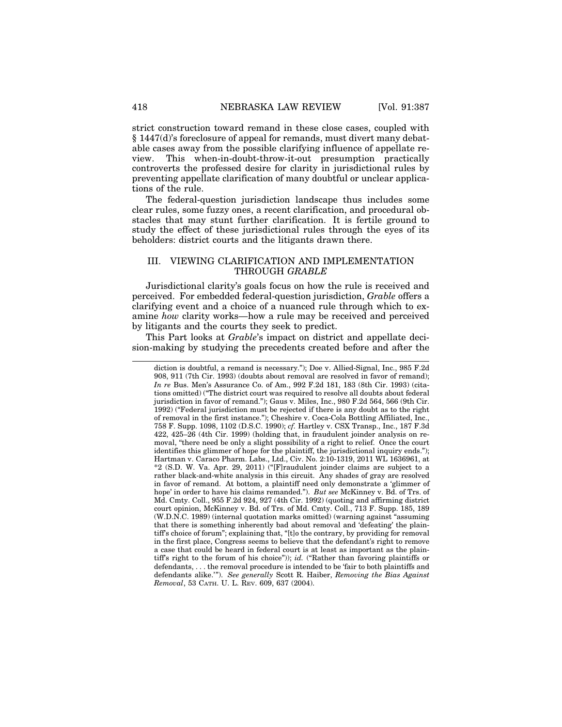strict construction toward remand in these close cases, coupled with § 1447(d)'s foreclosure of appeal for remands, must divert many debatable cases away from the possible clarifying influence of appellate review. This when-in-doubt-throw-it-out presumption practically controverts the professed desire for clarity in jurisdictional rules by preventing appellate clarification of many doubtful or unclear applications of the rule.

The federal-question jurisdiction landscape thus includes some clear rules, some fuzzy ones, a recent clarification, and procedural obstacles that may stunt further clarification. It is fertile ground to study the effect of these jurisdictional rules through the eyes of its beholders: district courts and the litigants drawn there.

#### III. VIEWING CLARIFICATION AND IMPLEMENTATION THROUGH *GRABLE*

Jurisdictional clarity's goals focus on how the rule is received and perceived. For embedded federal-question jurisdiction, *Grable* offers a clarifying event and a choice of a nuanced rule through which to examine *how* clarity works—how a rule may be received and perceived by litigants and the courts they seek to predict.

This Part looks at *Grable*'s impact on district and appellate decision-making by studying the precedents created before and after the

diction is doubtful, a remand is necessary."); Doe v. Allied-Signal, Inc., 985 F.2d 908, 911 (7th Cir. 1993) (doubts about removal are resolved in favor of remand); *In re* Bus. Men's Assurance Co. of Am., 992 F.2d 181, 183 (8th Cir. 1993) (citations omitted) ("The district court was required to resolve all doubts about federal jurisdiction in favor of remand."); Gaus v. Miles, Inc., 980 F.2d 564, 566 (9th Cir. 1992) ("Federal jurisdiction must be rejected if there is any doubt as to the right of removal in the first instance."); Cheshire v. Coca-Cola Bottling Affiliated, Inc., 758 F. Supp. 1098, 1102 (D.S.C. 1990); *cf.* Hartley v. CSX Transp., Inc., 187 F.3d 422, 425–26 (4th Cir. 1999) (holding that, in fraudulent joinder analysis on removal, "there need be only a slight possibility of a right to relief. Once the court identifies this glimmer of hope for the plaintiff, the jurisdictional inquiry ends."); Hartman v. Caraco Pharm. Labs., Ltd., Civ. No. 2:10-1319, 2011 WL 1636961, at \*2 (S.D. W. Va. Apr. 29, 2011) ("[F]raudulent joinder claims are subject to a rather black-and-white analysis in this circuit. Any shades of gray are resolved in favor of remand. At bottom, a plaintiff need only demonstrate a 'glimmer of hope' in order to have his claims remanded."). *But see* McKinney v. Bd. of Trs. of Md. Cmty. Coll., 955 F.2d 924, 927 (4th Cir. 1992) (quoting and affirming district court opinion, McKinney v. Bd. of Trs. of Md. Cmty. Coll., 713 F. Supp. 185, 189 (W.D.N.C. 1989) (internal quotation marks omitted) (warning against "assuming that there is something inherently bad about removal and 'defeating' the plaintiff's choice of forum"; explaining that, "[t]o the contrary, by providing for removal in the first place, Congress seems to believe that the defendant's right to remove a case that could be heard in federal court is at least as important as the plaintiff's right to the forum of his choice")); *id.* ("Rather than favoring plaintiffs or defendants, . . . the removal procedure is intended to be 'fair to both plaintiffs and defendants alike.'"). *See generally* Scott R. Haiber, *Removing the Bias Against Removal*, 53 CATH. U. L. REV. 609, 637 (2004).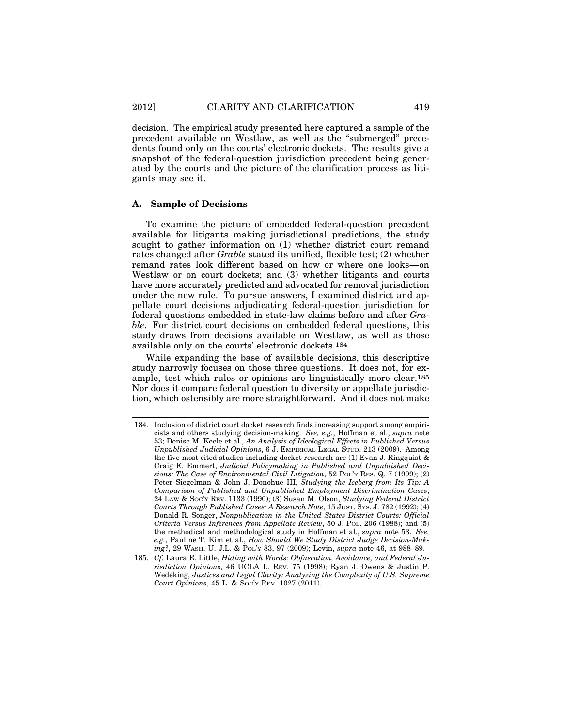decision. The empirical study presented here captured a sample of the precedent available on Westlaw, as well as the "submerged" precedents found only on the courts' electronic dockets. The results give a snapshot of the federal-question jurisdiction precedent being generated by the courts and the picture of the clarification process as litigants may see it.

#### **A. Sample of Decisions**

To examine the picture of embedded federal-question precedent available for litigants making jurisdictional predictions, the study sought to gather information on (1) whether district court remand rates changed after *Grable* stated its unified, flexible test; (2) whether remand rates look different based on how or where one looks—on Westlaw or on court dockets; and (3) whether litigants and courts have more accurately predicted and advocated for removal jurisdiction under the new rule. To pursue answers, I examined district and appellate court decisions adjudicating federal-question jurisdiction for federal questions embedded in state-law claims before and after *Grable*. For district court decisions on embedded federal questions, this study draws from decisions available on Westlaw, as well as those available only on the courts' electronic dockets.184

While expanding the base of available decisions, this descriptive study narrowly focuses on those three questions. It does not, for example, test which rules or opinions are linguistically more clear.185 Nor does it compare federal question to diversity or appellate jurisdiction, which ostensibly are more straightforward. And it does not make

<sup>184.</sup> Inclusion of district court docket research finds increasing support among empiricists and others studying decision-making. *See, e.g.*, Hoffman et al., *supra* note 53; Denise M. Keele et al., *An Analysis of Ideological Effects in Published Versus Unpublished Judicial Opinions*, 6 J. EMPIRICAL LEGAL STUD. 213 (2009). Among the five most cited studies including docket research are  $(1)$  Evan J. Ringquist & Craig E. Emmert, *Judicial Policymaking in Published and Unpublished Decisions: The Case of Environmental Civil Litigation*, 52 POL'Y RES. Q. 7 (1999); (2) Peter Siegelman & John J. Donohue III, *Studying the Iceberg from Its Tip: A Comparison of Published and Unpublished Employment Discrimination Cases*, 24 LAW & SOC'Y REV. 1133 (1990); (3) Susan M. Olson, *Studying Federal District Courts Through Published Cases: A Research Note*, 15 JUST. SYS. J. 782 (1992); (4) Donald R. Songer, *Nonpublication in the United States District Courts: Official Criteria Versus Inferences from Appellate Review*, 50 J. POL. 206 (1988); and (5) the methodical and methodological study in Hoffman et al., *supra* note 53. *See, e.g.*, Pauline T. Kim et al., *How Should We Study District Judge Decision-Making?*, 29 WASH. U. J.L. & POL'Y 83, 97 (2009); Levin, *supra* note 46, at 988–89.

<sup>185.</sup> *Cf.* Laura E. Little, *Hiding with Words: Obfuscation, Avoidance, and Federal Jurisdiction Opinions*, 46 UCLA L. REV. 75 (1998); Ryan J. Owens & Justin P. Wedeking, *Justices and Legal Clarity: Analyzing the Complexity of U.S. Supreme Court Opinions*, 45 L. & Soc'y Rev. 1027 (2011).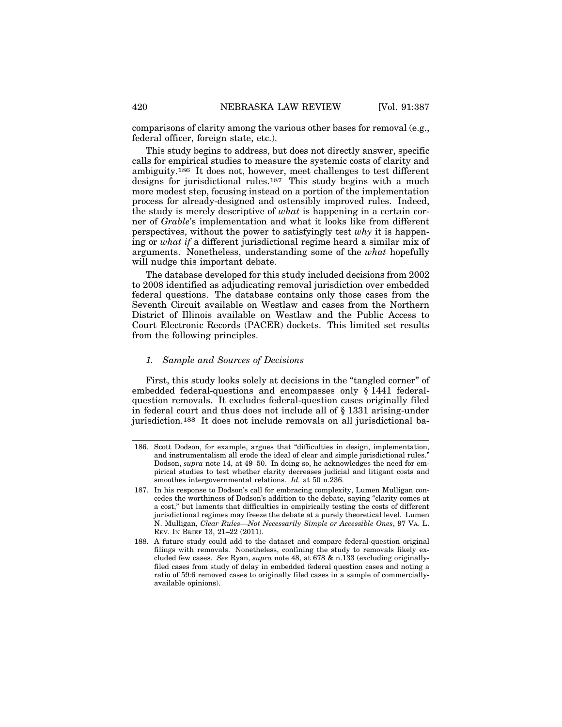comparisons of clarity among the various other bases for removal (e.g., federal officer, foreign state, etc.).

This study begins to address, but does not directly answer, specific calls for empirical studies to measure the systemic costs of clarity and ambiguity.186 It does not, however, meet challenges to test different designs for jurisdictional rules.<sup>187</sup> This study begins with a much more modest step, focusing instead on a portion of the implementation process for already-designed and ostensibly improved rules. Indeed, the study is merely descriptive of *what* is happening in a certain corner of *Grable*'s implementation and what it looks like from different perspectives, without the power to satisfyingly test *why* it is happening or *what if* a different jurisdictional regime heard a similar mix of arguments. Nonetheless, understanding some of the *what* hopefully will nudge this important debate.

The database developed for this study included decisions from 2002 to 2008 identified as adjudicating removal jurisdiction over embedded federal questions. The database contains only those cases from the Seventh Circuit available on Westlaw and cases from the Northern District of Illinois available on Westlaw and the Public Access to Court Electronic Records (PACER) dockets. This limited set results from the following principles.

#### *1. Sample and Sources of Decisions*

First, this study looks solely at decisions in the "tangled corner" of embedded federal-questions and encompasses only § 1441 federalquestion removals. It excludes federal-question cases originally filed in federal court and thus does not include all of § 1331 arising-under jurisdiction.188 It does not include removals on all jurisdictional ba-

<sup>186.</sup> Scott Dodson, for example, argues that "difficulties in design, implementation, and instrumentalism all erode the ideal of clear and simple jurisdictional rules." Dodson, *supra* note 14, at 49–50. In doing so, he acknowledges the need for empirical studies to test whether clarity decreases judicial and litigant costs and smoothes intergovernmental relations. *Id.* at 50 n.236.

<sup>187.</sup> In his response to Dodson's call for embracing complexity, Lumen Mulligan concedes the worthiness of Dodson's addition to the debate, saying "clarity comes at a cost," but laments that difficulties in empirically testing the costs of different jurisdictional regimes may freeze the debate at a purely theoretical level. Lumen N. Mulligan, *Clear Rules—Not Necessarily Simple or Accessible Ones*, 97 VA. L. REV. IN BRIEF 13, 21–22 (2011).

<sup>188.</sup> A future study could add to the dataset and compare federal-question original filings with removals. Nonetheless, confining the study to removals likely excluded few cases. *See* Ryan, *supra* note 48, at 678 & n.133 (excluding originallyfiled cases from study of delay in embedded federal question cases and noting a ratio of 59:6 removed cases to originally filed cases in a sample of commerciallyavailable opinions).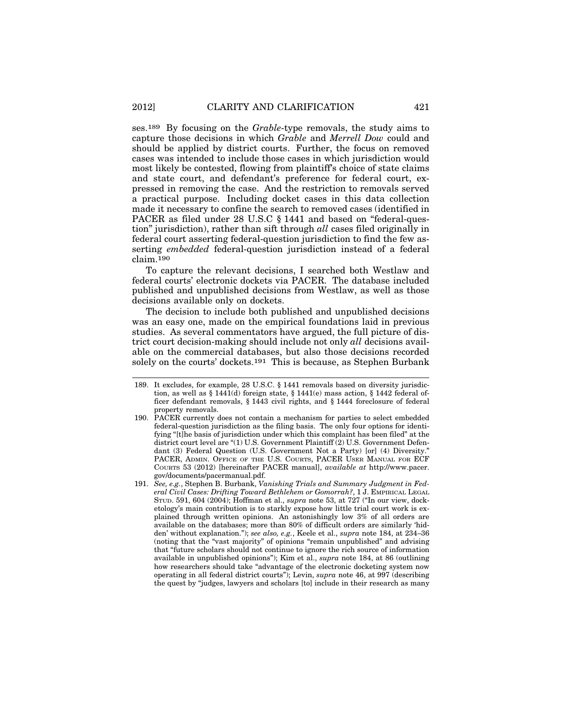ses.189 By focusing on the *Grable*-type removals, the study aims to capture those decisions in which *Grable* and *Merrell Dow* could and should be applied by district courts. Further, the focus on removed cases was intended to include those cases in which jurisdiction would most likely be contested, flowing from plaintiff's choice of state claims and state court, and defendant's preference for federal court, expressed in removing the case. And the restriction to removals served a practical purpose. Including docket cases in this data collection made it necessary to confine the search to removed cases (identified in PACER as filed under 28 U.S.C § 1441 and based on "federal-question" jurisdiction), rather than sift through *all* cases filed originally in federal court asserting federal-question jurisdiction to find the few asserting *embedded* federal-question jurisdiction instead of a federal claim.190

To capture the relevant decisions, I searched both Westlaw and federal courts' electronic dockets via PACER. The database included published and unpublished decisions from Westlaw, as well as those decisions available only on dockets.

The decision to include both published and unpublished decisions was an easy one, made on the empirical foundations laid in previous studies. As several commentators have argued, the full picture of district court decision-making should include not only *all* decisions available on the commercial databases, but also those decisions recorded solely on the courts' dockets.191 This is because, as Stephen Burbank

<sup>189.</sup> It excludes, for example, 28 U.S.C. § 1441 removals based on diversity jurisdiction, as well as § 1441(d) foreign state, § 1441(e) mass action, § 1442 federal officer defendant removals, § 1443 civil rights, and § 1444 foreclosure of federal property removals.

<sup>190.</sup> PACER currently does not contain a mechanism for parties to select embedded federal-question jurisdiction as the filing basis. The only four options for identifying "[t]he basis of jurisdiction under which this complaint has been filed" at the district court level are "(1) U.S. Government Plaintiff (2) U.S. Government Defendant (3) Federal Question (U.S. Government Not a Party) [or] (4) Diversity." PACER, ADMIN. OFFICE OF THE U.S. COURTS, PACER USER MANUAL FOR ECF COURTS 53 (2012) [hereinafter PACER manual], *available at* http://www.pacer. gov/documents/pacermanual.pdf.

<sup>191.</sup> *See, e.g.*, Stephen B. Burbank, *Vanishing Trials and Summary Judgment in Federal Civil Cases: Drifting Toward Bethlehem or Gomorrah?*, 1 J. EMPIRICAL LEGAL STUD. 591, 604 (2004); Hoffman et al., *supra* note 53, at 727 ("In our view, docketology's main contribution is to starkly expose how little trial court work is explained through written opinions. An astonishingly low 3% of all orders are available on the databases; more than 80% of difficult orders are similarly 'hidden' without explanation."); *see also, e.g.*, Keele et al., *supra* note 184, at 234–36 (noting that the "vast majority" of opinions "remain unpublished" and advising that "future scholars should not continue to ignore the rich source of information available in unpublished opinions"); Kim et al., *supra* note 184, at 86 (outlining how researchers should take "advantage of the electronic docketing system now operating in all federal district courts"); Levin, *supra* note 46, at 997 (describing the quest by "judges, lawyers and scholars [to] include in their research as many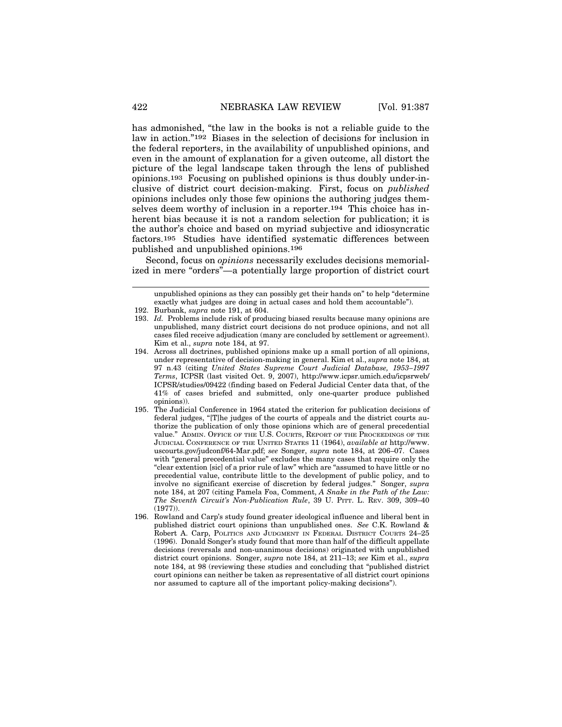has admonished, "the law in the books is not a reliable guide to the law in action."192 Biases in the selection of decisions for inclusion in the federal reporters, in the availability of unpublished opinions, and even in the amount of explanation for a given outcome, all distort the picture of the legal landscape taken through the lens of published opinions.193 Focusing on published opinions is thus doubly under-inclusive of district court decision-making. First, focus on *published* opinions includes only those few opinions the authoring judges themselves deem worthy of inclusion in a reporter.194 This choice has inherent bias because it is not a random selection for publication; it is the author's choice and based on myriad subjective and idiosyncratic factors.195 Studies have identified systematic differences between published and unpublished opinions.196

Second, focus on *opinions* necessarily excludes decisions memorialized in mere "orders"—a potentially large proportion of district court

unpublished opinions as they can possibly get their hands on" to help "determine exactly what judges are doing in actual cases and hold them accountable").

- 194. Across all doctrines, published opinions make up a small portion of all opinions, under representative of decision-making in general. Kim et al., *supra* note 184, at 97 n.43 (citing *United States Supreme Court Judicial Database, 1953–1997 Terms*, ICPSR (last visited Oct. 9, 2007), http://www.icpsr.umich.edu/icpsrweb/ ICPSR/studies/09422 (finding based on Federal Judicial Center data that, of the 41% of cases briefed and submitted, only one-quarter produce published opinions)).
- 195. The Judicial Conference in 1964 stated the criterion for publication decisions of federal judges, "[T]he judges of the courts of appeals and the district courts authorize the publication of only those opinions which are of general precedential value." ADMIN. OFFICE OF THE U.S. COURTS, REPORT OF THE PROCEEDINGS OF THE JUDICIAL CONFERENCE OF THE UNITED STATES 11 (1964), *available at* http://www. uscourts.gov/judconf/64-Mar.pdf; *see* Songer, *supra* note 184, at 206–07. Cases with "general precedential value" excludes the many cases that require only the "clear extention [sic] of a prior rule of law" which are "assumed to have little or no precedential value, contribute little to the development of public policy, and to involve no significant exercise of discretion by federal judges." Songer, *supra* note 184, at 207 (citing Pamela Foa, Comment, *A Snake in the Path of the Law: The Seventh Circuit's Non-Publication Rule*, 39 U. PITT. L. REV. 309, 309–40 (1977)).
- 196. Rowland and Carp's study found greater ideological influence and liberal bent in published district court opinions than unpublished ones. *See* C.K. Rowland & Robert A. Carp, POLITICS AND JUDGMENT IN FEDERAL DISTRICT COURTS 24–25 (1996). Donald Songer's study found that more than half of the difficult appellate decisions (reversals and non-unanimous decisions) originated with unpublished district court opinions. Songer, *supra* note 184, at 211–13; *see* Kim et al., *supra* note 184, at 98 (reviewing these studies and concluding that "published district court opinions can neither be taken as representative of all district court opinions nor assumed to capture all of the important policy-making decisions").

<sup>192.</sup> Burbank, *supra* note 191, at 604.

<sup>193.</sup> *Id.* Problems include risk of producing biased results because many opinions are unpublished, many district court decisions do not produce opinions, and not all cases filed receive adjudication (many are concluded by settlement or agreement). Kim et al., *supra* note 184, at 97.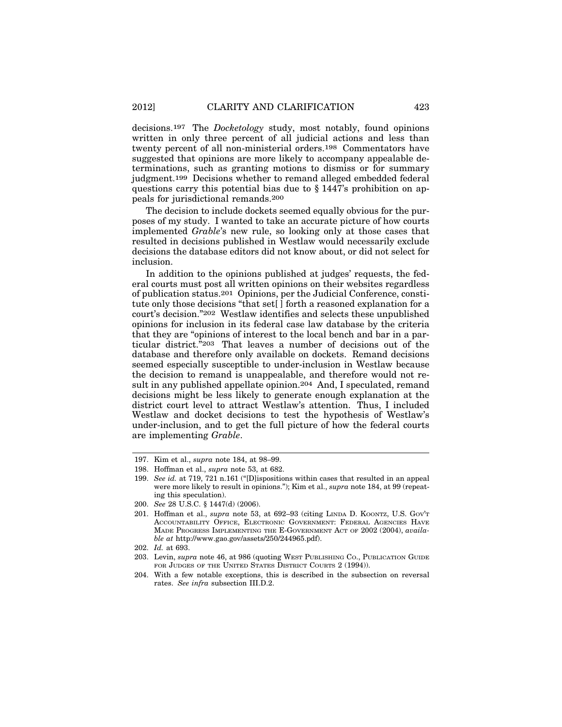decisions.197 The *Docketology* study, most notably, found opinions written in only three percent of all judicial actions and less than twenty percent of all non-ministerial orders.198 Commentators have suggested that opinions are more likely to accompany appealable determinations, such as granting motions to dismiss or for summary judgment.199 Decisions whether to remand alleged embedded federal questions carry this potential bias due to § 1447's prohibition on appeals for jurisdictional remands.200

The decision to include dockets seemed equally obvious for the purposes of my study. I wanted to take an accurate picture of how courts implemented *Grable*'s new rule, so looking only at those cases that resulted in decisions published in Westlaw would necessarily exclude decisions the database editors did not know about, or did not select for inclusion.

In addition to the opinions published at judges' requests, the federal courts must post all written opinions on their websites regardless of publication status.201 Opinions, per the Judicial Conference, constitute only those decisions "that set[ ] forth a reasoned explanation for a court's decision."202 Westlaw identifies and selects these unpublished opinions for inclusion in its federal case law database by the criteria that they are "opinions of interest to the local bench and bar in a particular district."203 That leaves a number of decisions out of the database and therefore only available on dockets. Remand decisions seemed especially susceptible to under-inclusion in Westlaw because the decision to remand is unappealable, and therefore would not result in any published appellate opinion.204 And, I speculated, remand decisions might be less likely to generate enough explanation at the district court level to attract Westlaw's attention. Thus, I included Westlaw and docket decisions to test the hypothesis of Westlaw's under-inclusion, and to get the full picture of how the federal courts are implementing *Grable*.

- 197. Kim et al., *supra* note 184, at 98–99.
- 198. Hoffman et al., *supra* note 53, at 682.
- 199. *See id.* at 719, 721 n.161 ("[D]ispositions within cases that resulted in an appeal were more likely to result in opinions."); Kim et al., *supra* note 184, at 99 (repeating this speculation).
- 200. *See* 28 U.S.C. § 1447(d) (2006).
- 201. Hoffman et al., *supra* note 53, at 692–93 (citing LINDA D. KOONTZ, U.S. GOV'T ACCOUNTABILITY OFFICE, ELECTRONIC GOVERNMENT: FEDERAL AGENCIES HAVE MADE PROGRESS IMPLEMENTING THE E-GOVERNMENT ACT OF 2002 (2004), *available at* http://www.gao.gov/assets/250/244965.pdf).

<sup>202.</sup> *Id.* at 693.

<sup>203.</sup> Levin, *supra* note 46, at 986 (quoting WEST PUBLISHING CO., PUBLICATION GUIDE FOR JUDGES OF THE UNITED STATES DISTRICT COURTS 2 (1994)).

<sup>204.</sup> With a few notable exceptions, this is described in the subsection on reversal rates. *See infra* subsection III.D.2.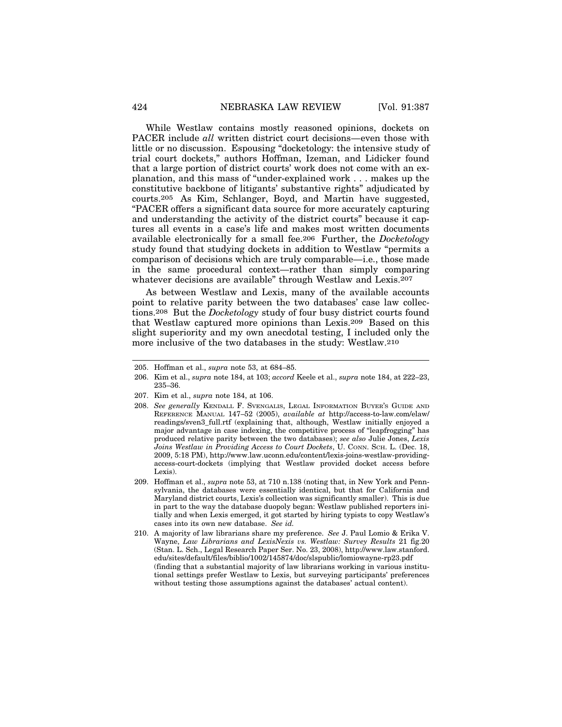While Westlaw contains mostly reasoned opinions, dockets on PACER include *all* written district court decisions—even those with little or no discussion. Espousing "docketology: the intensive study of trial court dockets," authors Hoffman, Izeman, and Lidicker found that a large portion of district courts' work does not come with an explanation, and this mass of "under-explained work . . . makes up the constitutive backbone of litigants' substantive rights" adjudicated by courts.205 As Kim, Schlanger, Boyd, and Martin have suggested, "PACER offers a significant data source for more accurately capturing and understanding the activity of the district courts" because it captures all events in a case's life and makes most written documents available electronically for a small fee.206 Further, the *Docketology* study found that studying dockets in addition to Westlaw "permits a comparison of decisions which are truly comparable—i.e., those made in the same procedural context—rather than simply comparing whatever decisions are available" through Westlaw and Lexis.<sup>207</sup>

As between Westlaw and Lexis, many of the available accounts point to relative parity between the two databases' case law collections.208 But the *Docketology* study of four busy district courts found that Westlaw captured more opinions than Lexis.209 Based on this slight superiority and my own anecdotal testing, I included only the more inclusive of the two databases in the study: Westlaw.210

<sup>205.</sup> Hoffman et al., *supra* note 53, at 684–85.

<sup>206.</sup> Kim et al., *supra* note 184, at 103; *accord* Keele et al., *supra* note 184, at 222–23, 235–36.

<sup>207.</sup> Kim et al., *supra* note 184, at 106.

<sup>208.</sup> *See generally* KENDALL F. SVENGALIS, LEGAL INFORMATION BUYER'S GUIDE AND REFERENCE MANUAL 147–52 (2005), *available at* http://access-to-law.com/elaw/ readings/sven3\_full.rtf (explaining that, although, Westlaw initially enjoyed a major advantage in case indexing, the competitive process of "leapfrogging" has produced relative parity between the two databases); *see also* Julie Jones, *Lexis Joins Westlaw in Providing Access to Court Dockets*, U. CONN. SCH. L. (Dec. 18, 2009, 5:18 PM), http://www.law.uconn.edu/content/lexis-joins-westlaw-providingaccess-court-dockets (implying that Westlaw provided docket access before Lexis).

<sup>209.</sup> Hoffman et al., *supra* note 53, at 710 n.138 (noting that, in New York and Pennsylvania, the databases were essentially identical, but that for California and Maryland district courts, Lexis's collection was significantly smaller). This is due in part to the way the database duopoly began: Westlaw published reporters initially and when Lexis emerged, it got started by hiring typists to copy Westlaw's cases into its own new database. *See id.*

<sup>210.</sup> A majority of law librarians share my preference. *See* J. Paul Lomio & Erika V. Wayne, *Law Librarians and LexisNexis vs. Westlaw: Survey Results* 21 fig.20 (Stan. L. Sch., Legal Research Paper Ser. No. 23, 2008), http://www.law.stanford. edu/sites/default/files/biblio/1002/145874/doc/slspublic/lomiowayne-rp23.pdf (finding that a substantial majority of law librarians working in various institutional settings prefer Westlaw to Lexis, but surveying participants' preferences without testing those assumptions against the databases' actual content).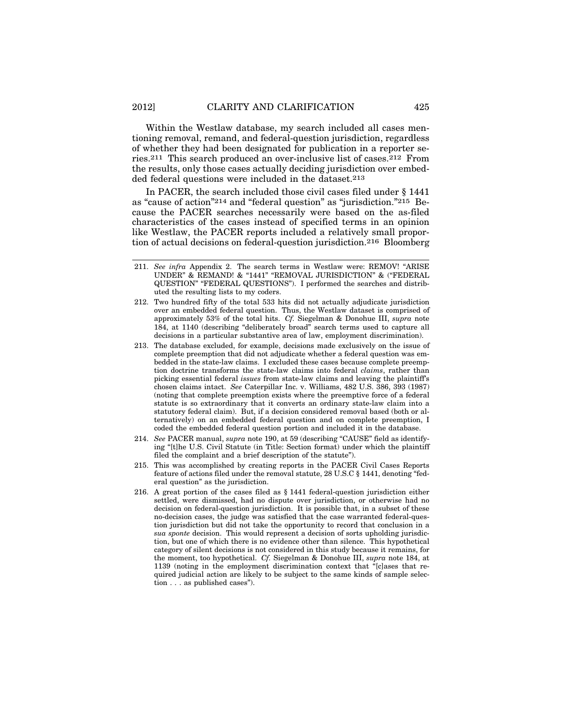Within the Westlaw database, my search included all cases mentioning removal, remand, and federal-question jurisdiction, regardless of whether they had been designated for publication in a reporter series.211 This search produced an over-inclusive list of cases.212 From the results, only those cases actually deciding jurisdiction over embedded federal questions were included in the dataset.213

In PACER, the search included those civil cases filed under § 1441 as "cause of action"214 and "federal question" as "jurisdiction."215 Because the PACER searches necessarily were based on the as-filed characteristics of the cases instead of specified terms in an opinion like Westlaw, the PACER reports included a relatively small proportion of actual decisions on federal-question jurisdiction.216 Bloomberg

- 211. *See infra* Appendix 2. The search terms in Westlaw were: REMOV! "ARISE UNDER" & REMAND! & "1441" "REMOVAL JURISDICTION" & ("FEDERAL QUESTION" "FEDERAL QUESTIONS"). I performed the searches and distributed the resulting lists to my coders.
- 212. Two hundred fifty of the total 533 hits did not actually adjudicate jurisdiction over an embedded federal question. Thus, the Westlaw dataset is comprised of approximately 53% of the total hits. *Cf.* Siegelman & Donohue III, *supra* note 184, at 1140 (describing "deliberately broad" search terms used to capture all decisions in a particular substantive area of law, employment discrimination).
- 213. The database excluded, for example, decisions made exclusively on the issue of complete preemption that did not adjudicate whether a federal question was embedded in the state-law claims. I excluded these cases because complete preemption doctrine transforms the state-law claims into federal *claims*, rather than picking essential federal *issues* from state-law claims and leaving the plaintiff's chosen claims intact. *See* Caterpillar Inc. v. Williams, 482 U.S. 386, 393 (1987) (noting that complete preemption exists where the preemptive force of a federal statute is so extraordinary that it converts an ordinary state-law claim into a statutory federal claim). But, if a decision considered removal based (both or alternatively) on an embedded federal question and on complete preemption, I coded the embedded federal question portion and included it in the database.
- 214. *See* PACER manual, *supra* note 190, at 59 (describing "CAUSE" field as identifying "[t]he U.S. Civil Statute (in Title: Section format) under which the plaintiff filed the complaint and a brief description of the statute").
- 215. This was accomplished by creating reports in the PACER Civil Cases Reports feature of actions filed under the removal statute, 28 U.S.C § 1441, denoting "federal question" as the jurisdiction.
- 216. A great portion of the cases filed as § 1441 federal-question jurisdiction either settled, were dismissed, had no dispute over jurisdiction, or otherwise had no decision on federal-question jurisdiction. It is possible that, in a subset of these no-decision cases, the judge was satisfied that the case warranted federal-question jurisdiction but did not take the opportunity to record that conclusion in a *sua sponte* decision. This would represent a decision of sorts upholding jurisdiction, but one of which there is no evidence other than silence. This hypothetical category of silent decisions is not considered in this study because it remains, for the moment, too hypothetical. *Cf.* Siegelman & Donohue III, *supra* note 184, at 1139 (noting in the employment discrimination context that "[c]ases that required judicial action are likely to be subject to the same kinds of sample selection . . . as published cases").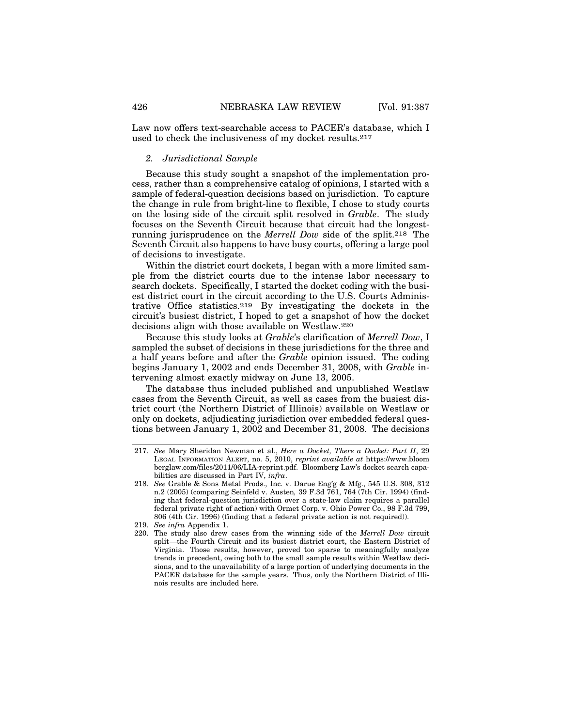Law now offers text-searchable access to PACER's database, which I used to check the inclusiveness of my docket results.217

#### *2. Jurisdictional Sample*

Because this study sought a snapshot of the implementation process, rather than a comprehensive catalog of opinions, I started with a sample of federal-question decisions based on jurisdiction. To capture the change in rule from bright-line to flexible, I chose to study courts on the losing side of the circuit split resolved in *Grable*. The study focuses on the Seventh Circuit because that circuit had the longestrunning jurisprudence on the *Merrell Dow* side of the split.218 The Seventh Circuit also happens to have busy courts, offering a large pool of decisions to investigate.

Within the district court dockets, I began with a more limited sample from the district courts due to the intense labor necessary to search dockets. Specifically, I started the docket coding with the busiest district court in the circuit according to the U.S. Courts Administrative Office statistics.219 By investigating the dockets in the circuit's busiest district, I hoped to get a snapshot of how the docket decisions align with those available on Westlaw.220

Because this study looks at *Grable*'s clarification of *Merrell Dow*, I sampled the subset of decisions in these jurisdictions for the three and a half years before and after the *Grable* opinion issued. The coding begins January 1, 2002 and ends December 31, 2008, with *Grable* intervening almost exactly midway on June 13, 2005.

The database thus included published and unpublished Westlaw cases from the Seventh Circuit, as well as cases from the busiest district court (the Northern District of Illinois) available on Westlaw or only on dockets, adjudicating jurisdiction over embedded federal questions between January 1, 2002 and December 31, 2008. The decisions

<sup>217.</sup> *See* Mary Sheridan Newman et al., *Here a Docket, There a Docket: Part II*, 29 LEGAL INFORMATION ALERT, no. 5, 2010, *reprint available at* https://www.bloom berglaw.com/files/2011/06/LIA-reprint.pdf. Bloomberg Law's docket search capabilities are discussed in Part IV, *infra*.

<sup>218.</sup> *See* Grable & Sons Metal Prods., Inc. v. Darue Eng'g & Mfg., 545 U.S. 308, 312 n.2 (2005) (comparing Seinfeld v. Austen*,* 39 F.3d 761, 764 (7th Cir. 1994) (finding that federal-question jurisdiction over a state-law claim requires a parallel federal private right of action) with Ormet Corp. v. Ohio Power Co., 98 F.3d 799, 806 (4th Cir. 1996) (finding that a federal private action is not required)).

<sup>219.</sup> *See infra* Appendix 1.

<sup>220.</sup> The study also drew cases from the winning side of the *Merrell Dow* circuit split—the Fourth Circuit and its busiest district court, the Eastern District of Virginia. Those results, however, proved too sparse to meaningfully analyze trends in precedent, owing both to the small sample results within Westlaw decisions, and to the unavailability of a large portion of underlying documents in the PACER database for the sample years. Thus, only the Northern District of Illinois results are included here.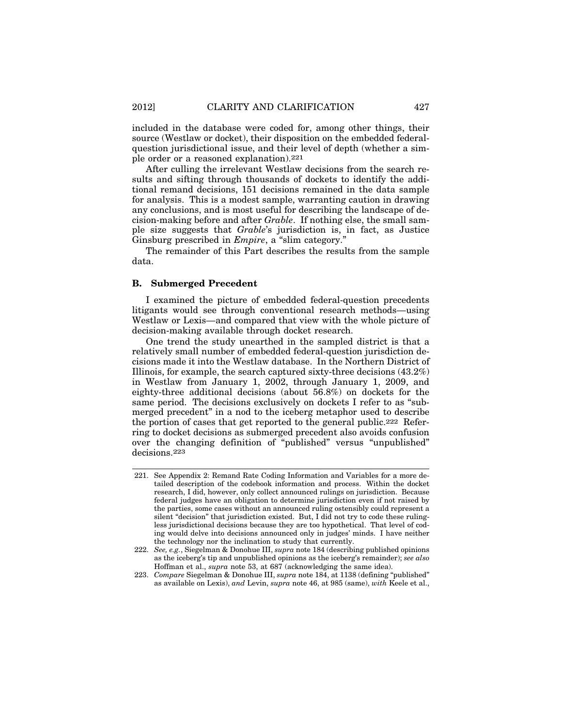included in the database were coded for, among other things, their source (Westlaw or docket), their disposition on the embedded federalquestion jurisdictional issue, and their level of depth (whether a simple order or a reasoned explanation).221

After culling the irrelevant Westlaw decisions from the search results and sifting through thousands of dockets to identify the additional remand decisions, 151 decisions remained in the data sample for analysis. This is a modest sample, warranting caution in drawing any conclusions, and is most useful for describing the landscape of decision-making before and after *Grable*. If nothing else, the small sample size suggests that *Grable*'s jurisdiction is, in fact, as Justice Ginsburg prescribed in *Empire*, a "slim category."

The remainder of this Part describes the results from the sample data.

#### **B. Submerged Precedent**

I examined the picture of embedded federal-question precedents litigants would see through conventional research methods—using Westlaw or Lexis—and compared that view with the whole picture of decision-making available through docket research.

One trend the study unearthed in the sampled district is that a relatively small number of embedded federal-question jurisdiction decisions made it into the Westlaw database. In the Northern District of Illinois, for example, the search captured sixty-three decisions (43.2%) in Westlaw from January 1, 2002, through January 1, 2009, and eighty-three additional decisions (about 56.8%) on dockets for the same period. The decisions exclusively on dockets I refer to as "submerged precedent" in a nod to the iceberg metaphor used to describe the portion of cases that get reported to the general public.222 Referring to docket decisions as submerged precedent also avoids confusion over the changing definition of "published" versus "unpublished" decisions.223

<sup>221.</sup> See Appendix 2: Remand Rate Coding Information and Variables for a more detailed description of the codebook information and process. Within the docket research, I did, however, only collect announced rulings on jurisdiction. Because federal judges have an obligation to determine jurisdiction even if not raised by the parties, some cases without an announced ruling ostensibly could represent a silent "decision" that jurisdiction existed. But, I did not try to code these rulingless jurisdictional decisions because they are too hypothetical. That level of coding would delve into decisions announced only in judges' minds. I have neither the technology nor the inclination to study that currently.

<sup>222.</sup> *See, e.g.*, Siegelman & Donohue III, *supra* note 184 (describing published opinions as the iceberg's tip and unpublished opinions as the iceberg's remainder); *see also* Hoffman et al., *supra* note 53, at 687 (acknowledging the same idea).

<sup>223.</sup> *Compare* Siegelman & Donohue III, *supra* note 184, at 1138 (defining "published" as available on Lexis), *and* Levin, *supra* note 46, at 985 (same), *with* Keele et al.,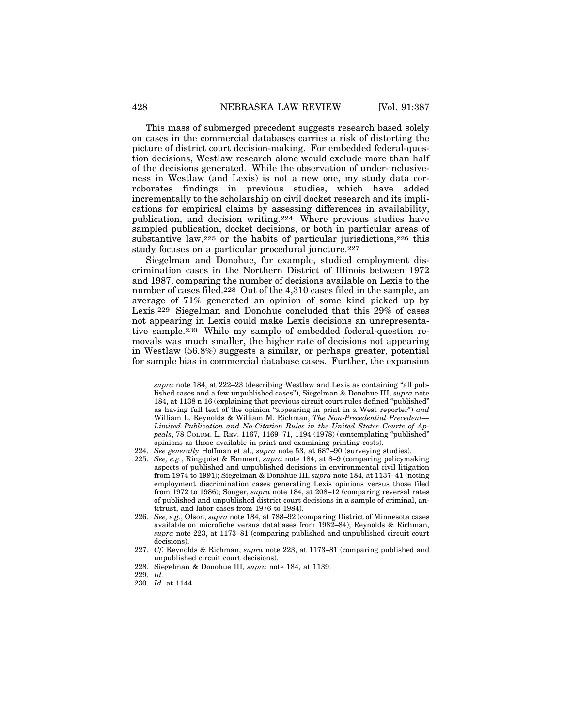This mass of submerged precedent suggests research based solely on cases in the commercial databases carries a risk of distorting the picture of district court decision-making. For embedded federal-question decisions, Westlaw research alone would exclude more than half of the decisions generated. While the observation of under-inclusiveness in Westlaw (and Lexis) is not a new one, my study data corroborates findings in previous studies, which have added incrementally to the scholarship on civil docket research and its implications for empirical claims by assessing differences in availability, publication, and decision writing.224 Where previous studies have sampled publication, docket decisions, or both in particular areas of substantive law,  $225$  or the habits of particular jurisdictions,  $226$  this study focuses on a particular procedural juncture.227

Siegelman and Donohue, for example, studied employment discrimination cases in the Northern District of Illinois between 1972 and 1987, comparing the number of decisions available on Lexis to the number of cases filed.228 Out of the 4,310 cases filed in the sample, an average of 71% generated an opinion of some kind picked up by Lexis.229 Siegelman and Donohue concluded that this 29% of cases not appearing in Lexis could make Lexis decisions an unrepresentative sample.230 While my sample of embedded federal-question removals was much smaller, the higher rate of decisions not appearing in Westlaw (56.8%) suggests a similar, or perhaps greater, potential for sample bias in commercial database cases. Further, the expansion

225. *See, e.g.*, Ringquist & Emmert, *supra* note 184, at 8–9 (comparing policymaking aspects of published and unpublished decisions in environmental civil litigation from 1974 to 1991); Siegelman & Donohue III, *supra* note 184, at 1137–41 (noting employment discrimination cases generating Lexis opinions versus those filed from 1972 to 1986); Songer, *supra* note 184, at 208–12 (comparing reversal rates of published and unpublished district court decisions in a sample of criminal, antitrust, and labor cases from 1976 to 1984).

*supra* note 184, at 222–23 (describing Westlaw and Lexis as containing "all published cases and a few unpublished cases"), Siegelman & Donohue III, *supra* note 184, at 1138 n.16 (explaining that previous circuit court rules defined "published" as having full text of the opinion "appearing in print in a West reporter") *and* William L. Reynolds & William M. Richman, *The Non-Precedential Precedent— Limited Publication and No-Citation Rules in the United States Courts of Appeals*, 78 COLUM. L. REV. 1167, 1169–71, 1194 (1978) (contemplating "published" opinions as those available in print and examining printing costs).

<sup>224.</sup> *See generally* Hoffman et al., *supra* note 53, at 687–90 (surveying studies).

<sup>226.</sup> *See, e.g.*, Olson, *supra* note 184, at 788–92 (comparing District of Minnesota cases available on microfiche versus databases from 1982–84); Reynolds & Richman, *supra* note 223, at 1173–81 (comparing published and unpublished circuit court decisions).

<sup>227.</sup> *Cf.* Reynolds & Richman, *supra* note 223, at 1173–81 (comparing published and unpublished circuit court decisions).

<sup>228.</sup> Siegelman & Donohue III, *supra* note 184, at 1139.

<sup>229.</sup> *Id.*

<sup>230.</sup> *Id.* at 1144.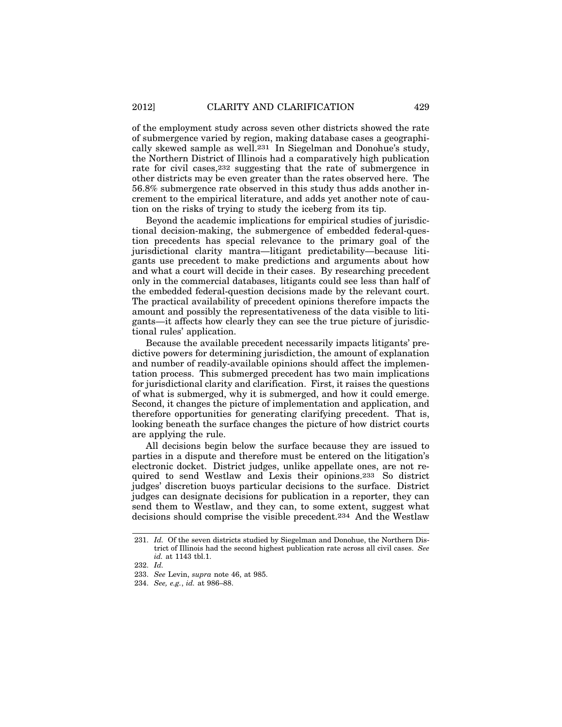of the employment study across seven other districts showed the rate of submergence varied by region, making database cases a geographically skewed sample as well.231 In Siegelman and Donohue's study, the Northern District of Illinois had a comparatively high publication rate for civil cases,232 suggesting that the rate of submergence in other districts may be even greater than the rates observed here. The 56.8% submergence rate observed in this study thus adds another increment to the empirical literature, and adds yet another note of caution on the risks of trying to study the iceberg from its tip.

Beyond the academic implications for empirical studies of jurisdictional decision-making, the submergence of embedded federal-question precedents has special relevance to the primary goal of the jurisdictional clarity mantra—litigant predictability—because litigants use precedent to make predictions and arguments about how and what a court will decide in their cases. By researching precedent only in the commercial databases, litigants could see less than half of the embedded federal-question decisions made by the relevant court. The practical availability of precedent opinions therefore impacts the amount and possibly the representativeness of the data visible to litigants—it affects how clearly they can see the true picture of jurisdictional rules' application.

Because the available precedent necessarily impacts litigants' predictive powers for determining jurisdiction, the amount of explanation and number of readily-available opinions should affect the implementation process. This submerged precedent has two main implications for jurisdictional clarity and clarification. First, it raises the questions of what is submerged, why it is submerged, and how it could emerge. Second, it changes the picture of implementation and application, and therefore opportunities for generating clarifying precedent. That is, looking beneath the surface changes the picture of how district courts are applying the rule.

All decisions begin below the surface because they are issued to parties in a dispute and therefore must be entered on the litigation's electronic docket. District judges, unlike appellate ones, are not required to send Westlaw and Lexis their opinions.233 So district judges' discretion buoys particular decisions to the surface. District judges can designate decisions for publication in a reporter, they can send them to Westlaw, and they can, to some extent, suggest what decisions should comprise the visible precedent.234 And the Westlaw

<sup>231.</sup> *Id.* Of the seven districts studied by Siegelman and Donohue, the Northern District of Illinois had the second highest publication rate across all civil cases. *See id.* at 1143 tbl.1.

<sup>232.</sup> *Id.*

<sup>233.</sup> *See* Levin, *supra* note 46, at 985.

<sup>234.</sup> *See, e.g.*, *id.* at 986–88.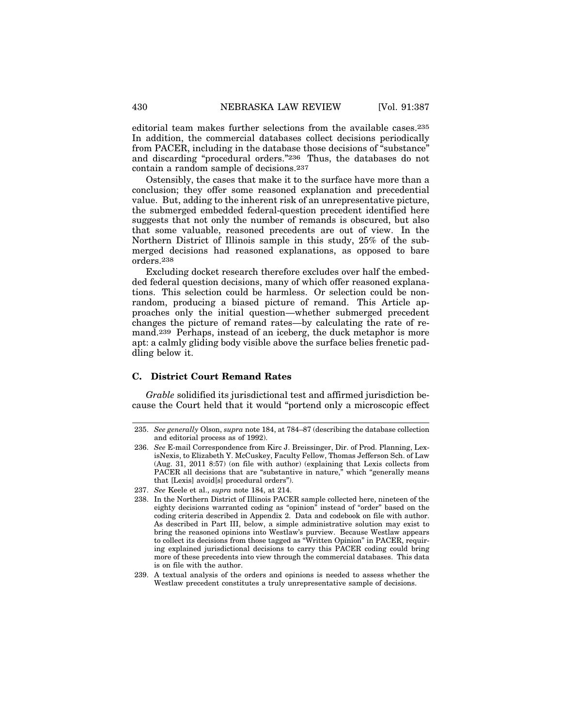editorial team makes further selections from the available cases.235 In addition, the commercial databases collect decisions periodically from PACER, including in the database those decisions of "substance" and discarding "procedural orders."236 Thus, the databases do not contain a random sample of decisions.237

Ostensibly, the cases that make it to the surface have more than a conclusion; they offer some reasoned explanation and precedential value. But, adding to the inherent risk of an unrepresentative picture, the submerged embedded federal-question precedent identified here suggests that not only the number of remands is obscured, but also that some valuable, reasoned precedents are out of view. In the Northern District of Illinois sample in this study, 25% of the submerged decisions had reasoned explanations, as opposed to bare orders.238

Excluding docket research therefore excludes over half the embedded federal question decisions, many of which offer reasoned explanations. This selection could be harmless. Or selection could be nonrandom, producing a biased picture of remand. This Article approaches only the initial question—whether submerged precedent changes the picture of remand rates—by calculating the rate of remand.239 Perhaps, instead of an iceberg, the duck metaphor is more apt: a calmly gliding body visible above the surface belies frenetic paddling below it.

### **C. District Court Remand Rates**

*Grable* solidified its jurisdictional test and affirmed jurisdiction because the Court held that it would "portend only a microscopic effect

<sup>235.</sup> *See generally* Olson, *supra* note 184, at 784–87 (describing the database collection and editorial process as of 1992).

<sup>236.</sup> *See* E-mail Correspondence from Kirc J. Breissinger, Dir. of Prod. Planning, LexisNexis, to Elizabeth Y. McCuskey, Faculty Fellow, Thomas Jefferson Sch. of Law (Aug. 31, 2011 8:57) (on file with author) (explaining that Lexis collects from PACER all decisions that are "substantive in nature," which "generally means that [Lexis] avoid[s] procedural orders").

<sup>237.</sup> *See* Keele et al., *supra* note 184, at 214.

<sup>238.</sup> In the Northern District of Illinois PACER sample collected here, nineteen of the eighty decisions warranted coding as "opinion" instead of "order" based on the coding criteria described in Appendix 2. Data and codebook on file with author. As described in Part III, below, a simple administrative solution may exist to bring the reasoned opinions into Westlaw's purview. Because Westlaw appears to collect its decisions from those tagged as "Written Opinion" in PACER, requiring explained jurisdictional decisions to carry this PACER coding could bring more of these precedents into view through the commercial databases. This data is on file with the author.

<sup>239.</sup> A textual analysis of the orders and opinions is needed to assess whether the Westlaw precedent constitutes a truly unrepresentative sample of decisions.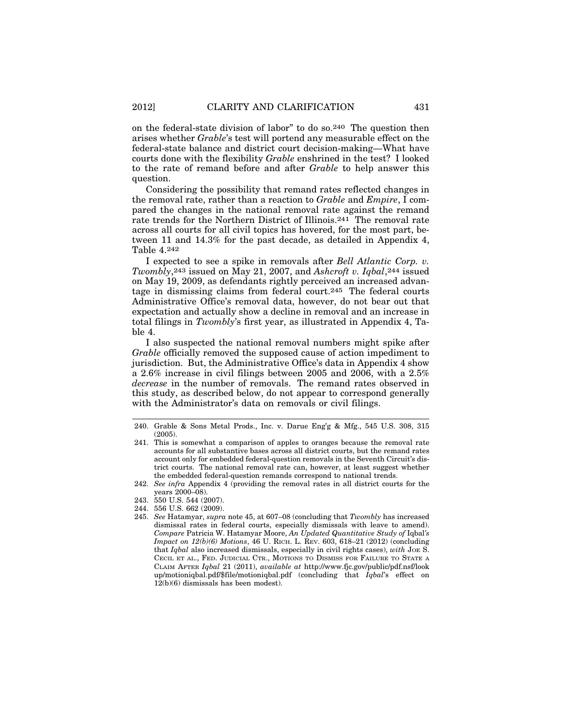on the federal-state division of labor" to do so.240 The question then arises whether *Grable*'s test will portend any measurable effect on the federal-state balance and district court decision-making—What have courts done with the flexibility *Grable* enshrined in the test? I looked to the rate of remand before and after *Grable* to help answer this question.

Considering the possibility that remand rates reflected changes in the removal rate, rather than a reaction to *Grable* and *Empire*, I compared the changes in the national removal rate against the remand rate trends for the Northern District of Illinois.241 The removal rate across all courts for all civil topics has hovered, for the most part, between 11 and 14.3% for the past decade, as detailed in Appendix 4, Table 4.242

I expected to see a spike in removals after *Bell Atlantic Corp. v. Twombly*,243 issued on May 21, 2007, and *Ashcroft v. Iqbal*,244 issued on May 19, 2009, as defendants rightly perceived an increased advantage in dismissing claims from federal court.245 The federal courts Administrative Office's removal data, however, do not bear out that expectation and actually show a decline in removal and an increase in total filings in *Twombly*'s first year, as illustrated in Appendix 4, Table 4.

I also suspected the national removal numbers might spike after *Grable* officially removed the supposed cause of action impediment to jurisdiction. But, the Administrative Office's data in Appendix 4 show a 2.6% increase in civil filings between 2005 and 2006, with a 2.5% *decrease* in the number of removals. The remand rates observed in this study, as described below, do not appear to correspond generally with the Administrator's data on removals or civil filings.

244. 556 U.S. 662 (2009).

<sup>240.</sup> Grable & Sons Metal Prods., Inc. v. Darue Eng'g & Mfg., 545 U.S. 308, 315 (2005).

<sup>241.</sup> This is somewhat a comparison of apples to oranges because the removal rate accounts for all substantive bases across all district courts, but the remand rates account only for embedded federal-question removals in the Seventh Circuit's district courts. The national removal rate can, however, at least suggest whether the embedded federal-question remands correspond to national trends.

<sup>242.</sup> *See infra* Appendix 4 (providing the removal rates in all district courts for the years 2000–08).

<sup>243. 550</sup> U.S. 544 (2007).

<sup>245.</sup> *See* Hatamyar, *supra* note 45, at 607–08 (concluding that *Twombly* has increased dismissal rates in federal courts, especially dismissals with leave to amend). *Compare* Patricia W. Hatamyar Moore, *An Updated Quantitative Study of* Iqbal*'s Impact on 12(b)(6) Motions*, 46 U. RICH. L. REV. 603, 618–21 (2012) (concluding that *Iqbal* also increased dismissals, especially in civil rights cases), *with* JOE S. CECIL ET AL., FED. JUDICIAL CTR., MOTIONS TO DISMISS FOR FAILURE TO STATE A CLAIM AFTER *Iqbal* 21 (2011), *available at* http://www.fjc.gov/public/pdf.nsf/look up/motioniqbal.pdf/\$file/motioniqbal.pdf (concluding that *Iqbal*'s effect on 12(b)(6) dismissals has been modest).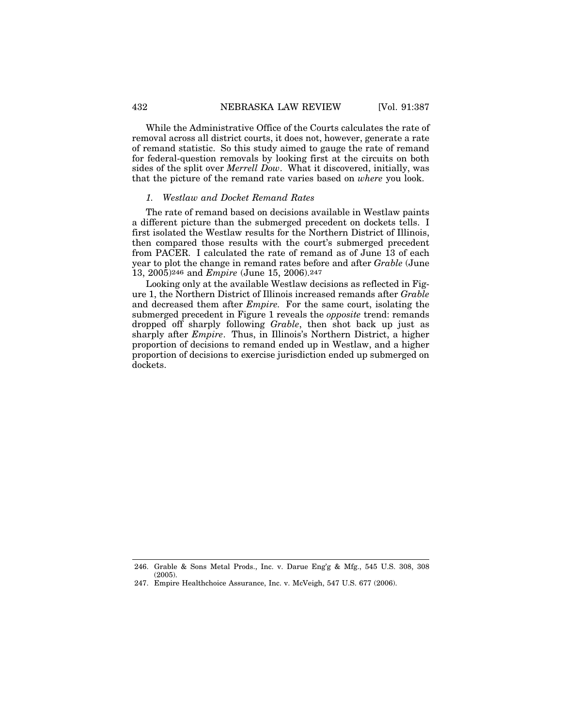While the Administrative Office of the Courts calculates the rate of removal across all district courts, it does not, however, generate a rate of remand statistic. So this study aimed to gauge the rate of remand for federal-question removals by looking first at the circuits on both sides of the split over *Merrell Dow*. What it discovered, initially, was that the picture of the remand rate varies based on *where* you look.

### *1. Westlaw and Docket Remand Rates*

The rate of remand based on decisions available in Westlaw paints a different picture than the submerged precedent on dockets tells. I first isolated the Westlaw results for the Northern District of Illinois, then compared those results with the court's submerged precedent from PACER. I calculated the rate of remand as of June 13 of each year to plot the change in remand rates before and after *Grable* (June 13, 2005)246 and *Empire* (June 15, 2006).247

Looking only at the available Westlaw decisions as reflected in Figure 1, the Northern District of Illinois increased remands after *Grable* and decreased them after *Empire.* For the same court, isolating the submerged precedent in Figure 1 reveals the *opposite* trend: remands dropped off sharply following *Grable*, then shot back up just as sharply after *Empire*. Thus, in Illinois's Northern District, a higher proportion of decisions to remand ended up in Westlaw, and a higher proportion of decisions to exercise jurisdiction ended up submerged on dockets.

<sup>246.</sup> Grable & Sons Metal Prods., Inc. v. Darue Eng'g & Mfg., 545 U.S. 308, 308 (2005).

<sup>247.</sup> Empire Healthchoice Assurance, Inc. v. McVeigh, 547 U.S. 677 (2006).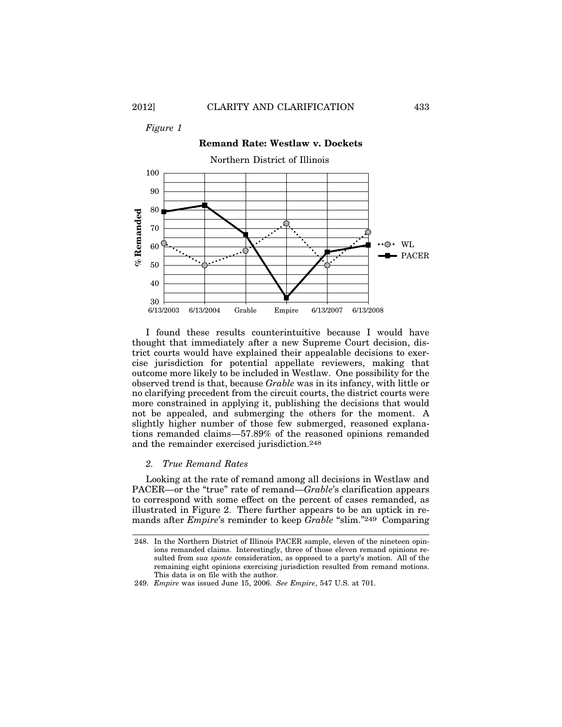*Figure 1*



I found these results counterintuitive because I would have thought that immediately after a new Supreme Court decision, district courts would have explained their appealable decisions to exercise jurisdiction for potential appellate reviewers, making that outcome more likely to be included in Westlaw. One possibility for the observed trend is that, because *Grable* was in its infancy, with little or no clarifying precedent from the circuit courts, the district courts were more constrained in applying it, publishing the decisions that would not be appealed, and submerging the others for the moment. A slightly higher number of those few submerged, reasoned explanations remanded claims—57.89% of the reasoned opinions remanded and the remainder exercised jurisdiction.248

#### *2. True Remand Rates*

Looking at the rate of remand among all decisions in Westlaw and PACER—or the "true" rate of remand—*Grable*'s clarification appears to correspond with some effect on the percent of cases remanded, as illustrated in Figure 2. There further appears to be an uptick in remands after *Empire*'s reminder to keep *Grable* "slim."249 Comparing

<sup>248.</sup> In the Northern District of Illinois PACER sample, eleven of the nineteen opinions remanded claims. Interestingly, three of those eleven remand opinions resulted from *sua sponte* consideration, as opposed to a party's motion. All of the remaining eight opinions exercising jurisdiction resulted from remand motions. This data is on file with the author.

<sup>249.</sup> *Empire* was issued June 15, 2006. *See Empire*, 547 U.S. at 701.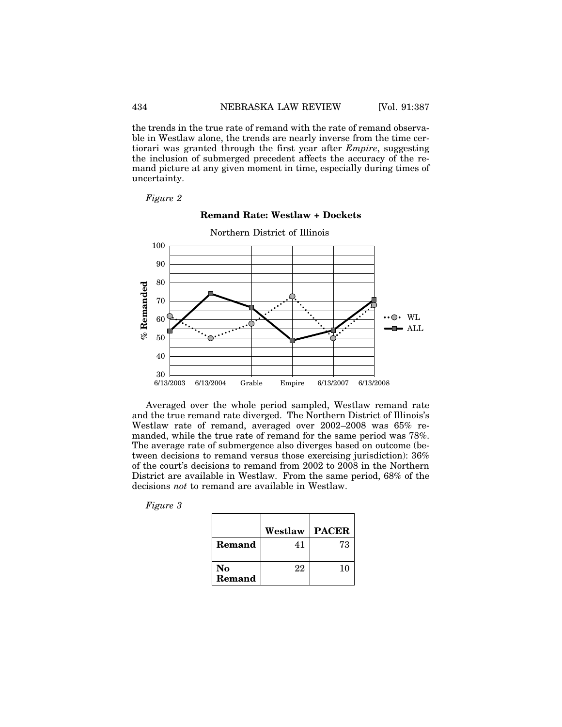the trends in the true rate of remand with the rate of remand observable in Westlaw alone, the trends are nearly inverse from the time certiorari was granted through the first year after *Empire*, suggesting the inclusion of submerged precedent affects the accuracy of the remand picture at any given moment in time, especially during times of uncertainty.

*Figure 2*

# Northern District of Illinois 100 90 80  $%$  Remanded **% Remanded** 70  $\cdots$   $\odot$  WL 60  $\blacktriangleright$  ALL 50 40  $30 \sim 6/13/2003$ 6/13/2003 6/13/2004 6/13/2007 6/13/2008 Grable Empire

## **Remand Rate: Westlaw + Dockets**

Averaged over the whole period sampled, Westlaw remand rate and the true remand rate diverged. The Northern District of Illinois's Westlaw rate of remand, averaged over 2002–2008 was 65% remanded, while the true rate of remand for the same period was 78%. The average rate of submergence also diverges based on outcome (between decisions to remand versus those exercising jurisdiction): 36% of the court's decisions to remand from 2002 to 2008 in the Northern District are available in Westlaw. From the same period, 68% of the decisions *not* to remand are available in Westlaw.

*Figure 3*

|              | Westlaw | <b>PACER</b> |
|--------------|---------|--------------|
| Remand       | 41      | 73           |
| No<br>Remand | 22      | 10           |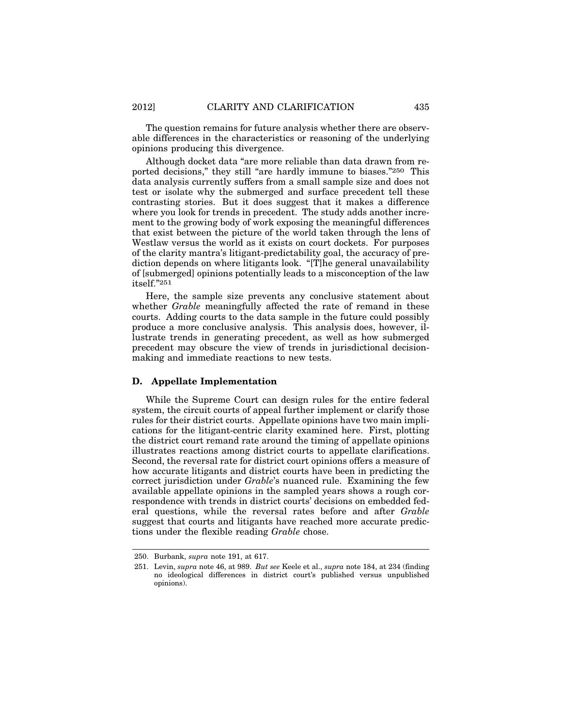The question remains for future analysis whether there are observable differences in the characteristics or reasoning of the underlying opinions producing this divergence.

Although docket data "are more reliable than data drawn from reported decisions," they still "are hardly immune to biases."250 This data analysis currently suffers from a small sample size and does not test or isolate why the submerged and surface precedent tell these contrasting stories. But it does suggest that it makes a difference where you look for trends in precedent. The study adds another increment to the growing body of work exposing the meaningful differences that exist between the picture of the world taken through the lens of Westlaw versus the world as it exists on court dockets. For purposes of the clarity mantra's litigant-predictability goal, the accuracy of prediction depends on where litigants look. "[T]he general unavailability of [submerged] opinions potentially leads to a misconception of the law itself."251

Here, the sample size prevents any conclusive statement about whether *Grable* meaningfully affected the rate of remand in these courts. Adding courts to the data sample in the future could possibly produce a more conclusive analysis. This analysis does, however, illustrate trends in generating precedent, as well as how submerged precedent may obscure the view of trends in jurisdictional decisionmaking and immediate reactions to new tests.

### **D. Appellate Implementation**

While the Supreme Court can design rules for the entire federal system, the circuit courts of appeal further implement or clarify those rules for their district courts. Appellate opinions have two main implications for the litigant-centric clarity examined here. First, plotting the district court remand rate around the timing of appellate opinions illustrates reactions among district courts to appellate clarifications. Second, the reversal rate for district court opinions offers a measure of how accurate litigants and district courts have been in predicting the correct jurisdiction under *Grable*'s nuanced rule. Examining the few available appellate opinions in the sampled years shows a rough correspondence with trends in district courts' decisions on embedded federal questions, while the reversal rates before and after *Grable* suggest that courts and litigants have reached more accurate predictions under the flexible reading *Grable* chose.

<sup>250.</sup> Burbank, *supra* note 191, at 617.

<sup>251.</sup> Levin, *supra* note 46, at 989. *But see* Keele et al., *supra* note 184, at 234 (finding no ideological differences in district court's published versus unpublished opinions).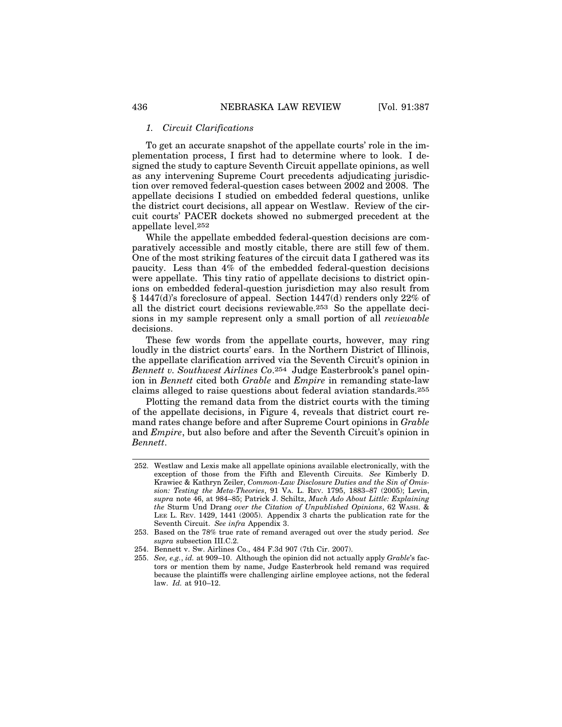#### *1. Circuit Clarifications*

To get an accurate snapshot of the appellate courts' role in the implementation process, I first had to determine where to look. I designed the study to capture Seventh Circuit appellate opinions, as well as any intervening Supreme Court precedents adjudicating jurisdiction over removed federal-question cases between 2002 and 2008. The appellate decisions I studied on embedded federal questions, unlike the district court decisions, all appear on Westlaw. Review of the circuit courts' PACER dockets showed no submerged precedent at the appellate level.252

While the appellate embedded federal-question decisions are comparatively accessible and mostly citable, there are still few of them. One of the most striking features of the circuit data I gathered was its paucity. Less than 4% of the embedded federal-question decisions were appellate. This tiny ratio of appellate decisions to district opinions on embedded federal-question jurisdiction may also result from § 1447(d)'s foreclosure of appeal. Section 1447(d) renders only 22% of all the district court decisions reviewable.253 So the appellate decisions in my sample represent only a small portion of all *reviewable* decisions.

These few words from the appellate courts, however, may ring loudly in the district courts' ears. In the Northern District of Illinois, the appellate clarification arrived via the Seventh Circuit's opinion in *Bennett v. Southwest Airlines Co*.254 Judge Easterbrook's panel opinion in *Bennett* cited both *Grable* and *Empire* in remanding state-law claims alleged to raise questions about federal aviation standards.255

Plotting the remand data from the district courts with the timing of the appellate decisions, in Figure 4, reveals that district court remand rates change before and after Supreme Court opinions in *Grable* and *Empire*, but also before and after the Seventh Circuit's opinion in *Bennett*.

252. Westlaw and Lexis make all appellate opinions available electronically, with the exception of those from the Fifth and Eleventh Circuits. *See* Kimberly D. Krawiec & Kathryn Zeiler, *Common-Law Disclosure Duties and the Sin of Omission: Testing the Meta-Theories*, 91 VA. L. REV. 1795, 1883–87 (2005); Levin, *supra* note 46, at 984–85; Patrick J. Schiltz, *Much Ado About Little: Explaining the* Sturm Und Drang *over the Citation of Unpublished Opinions*, 62 WASH. & LEE L. REV. 1429, 1441 (2005). Appendix 3 charts the publication rate for the Seventh Circuit. *See infra* Appendix 3.

<sup>253.</sup> Based on the 78% true rate of remand averaged out over the study period. *See supra* subsection III.C.2.

<sup>254.</sup> Bennett v. Sw. Airlines Co., 484 F.3d 907 (7th Cir. 2007).

<sup>255.</sup> *See, e.g.*, *id.* at 909–10. Although the opinion did not actually apply *Grable*'s factors or mention them by name, Judge Easterbrook held remand was required because the plaintiffs were challenging airline employee actions, not the federal law. *Id.* at 910–12.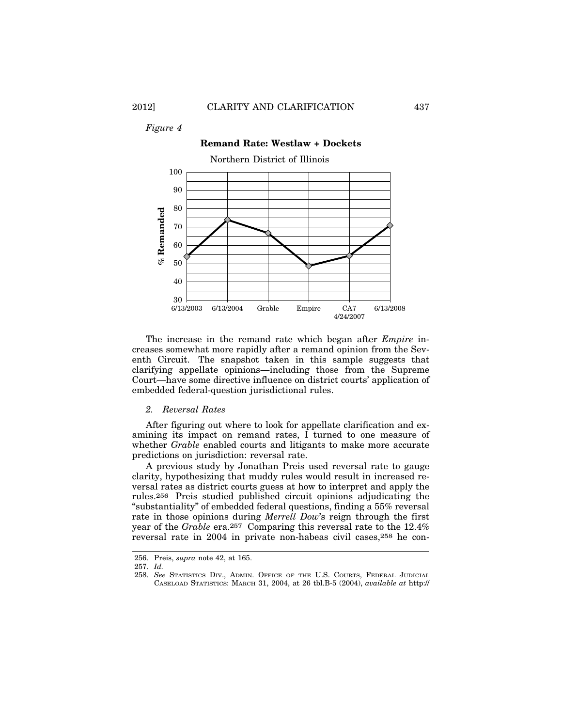*Figure 4*



The increase in the remand rate which began after *Empire* increases somewhat more rapidly after a remand opinion from the Seventh Circuit. The snapshot taken in this sample suggests that clarifying appellate opinions—including those from the Supreme Court—have some directive influence on district courts' application of embedded federal-question jurisdictional rules.

### *2. Reversal Rates*

After figuring out where to look for appellate clarification and examining its impact on remand rates, I turned to one measure of whether *Grable* enabled courts and litigants to make more accurate predictions on jurisdiction: reversal rate.

A previous study by Jonathan Preis used reversal rate to gauge clarity, hypothesizing that muddy rules would result in increased reversal rates as district courts guess at how to interpret and apply the rules.256 Preis studied published circuit opinions adjudicating the "substantiality" of embedded federal questions, finding a 55% reversal rate in those opinions during *Merrell Dow*'s reign through the first year of the *Grable* era.257 Comparing this reversal rate to the 12.4% reversal rate in 2004 in private non-habeas civil cases,258 he con-

<sup>256.</sup> Preis, *supra* note 42, at 165.

<sup>257.</sup> *Id.*

<sup>258.</sup> *See* STATISTICS DIV., ADMIN. OFFICE OF THE U.S. COURTS, FEDERAL JUDICIAL CASELOAD STATISTICS: MARCH 31, 2004, at 26 tbl.B-5 (2004), *available at* http://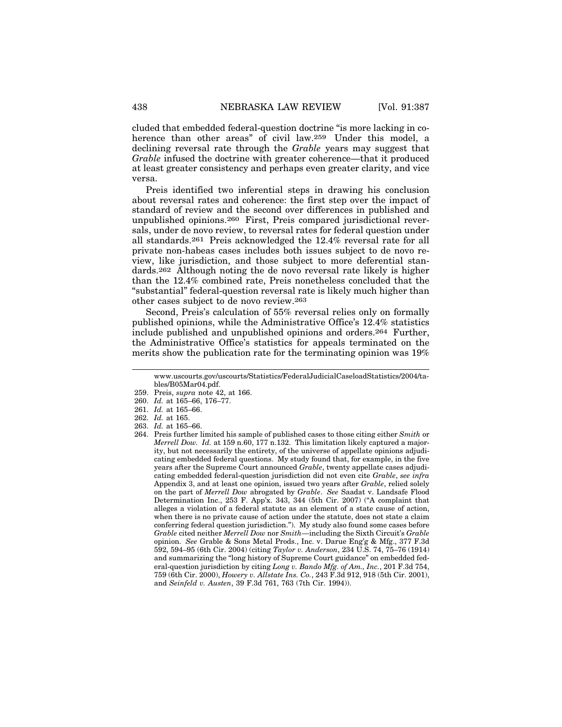cluded that embedded federal-question doctrine "is more lacking in coherence than other areas" of civil law.<sup>259</sup> Under this model, a declining reversal rate through the *Grable* years may suggest that *Grable* infused the doctrine with greater coherence—that it produced at least greater consistency and perhaps even greater clarity, and vice versa.

Preis identified two inferential steps in drawing his conclusion about reversal rates and coherence: the first step over the impact of standard of review and the second over differences in published and unpublished opinions.260 First, Preis compared jurisdictional reversals, under de novo review, to reversal rates for federal question under all standards.261 Preis acknowledged the 12.4% reversal rate for all private non-habeas cases includes both issues subject to de novo review, like jurisdiction, and those subject to more deferential standards.262 Although noting the de novo reversal rate likely is higher than the 12.4% combined rate, Preis nonetheless concluded that the "substantial" federal-question reversal rate is likely much higher than other cases subject to de novo review.263

Second, Preis's calculation of 55% reversal relies only on formally published opinions, while the Administrative Office's 12.4% statistics include published and unpublished opinions and orders.264 Further, the Administrative Office's statistics for appeals terminated on the merits show the publication rate for the terminating opinion was 19%

www.uscourts.gov/uscourts/Statistics/FederalJudicialCaseloadStatistics/2004/tables/B05Mar04.pdf.

<sup>259.</sup> Preis, *supra* note 42, at 166.

<sup>260.</sup> *Id.* at 165–66, 176–77.

<sup>261.</sup> *Id.* at 165–66.

<sup>262.</sup> *Id.* at 165.

<sup>263.</sup> *Id.* at 165–66.

<sup>264.</sup> Preis further limited his sample of published cases to those citing either *Smith* or *Merrell Dow. Id.* at 159 n.60, 177 n.132. This limitation likely captured a majority, but not necessarily the entirety, of the universe of appellate opinions adjudicating embedded federal questions. My study found that, for example, in the five years after the Supreme Court announced *Grable*, twenty appellate cases adjudicating embedded federal-question jurisdiction did not even cite *Grable*, *see infra* Appendix 3, and at least one opinion, issued two years after *Grable*, relied solely on the part of *Merrell Dow* abrogated by *Grable*. *See* Saadat v. Landsafe Flood Determination Inc., 253 F. App'x. 343, 344 (5th Cir. 2007) ("A complaint that alleges a violation of a federal statute as an element of a state cause of action, when there is no private cause of action under the statute, does not state a claim conferring federal question jurisdiction."). My study also found some cases before *Grable* cited neither *Merrell Dow* nor *Smith*—including the Sixth Circuit's *Grable* opinion. *See* Grable & Sons Metal Prods., Inc. v. Darue Eng'g & Mfg., 377 F.3d 592, 594–95 (6th Cir. 2004) (citing *Taylor v. Anderson*, 234 U.S. 74, 75–76 (1914) and summarizing the "long history of Supreme Court guidance" on embedded federal-question jurisdiction by citing *Long v. Bando Mfg. of Am., Inc.*, 201 F.3d 754, 759 (6th Cir. 2000), *Howery v. Allstate Ins. Co.*, 243 F.3d 912, 918 (5th Cir. 2001), and *Seinfeld v. Austen*, 39 F.3d 761, 763 (7th Cir. 1994)).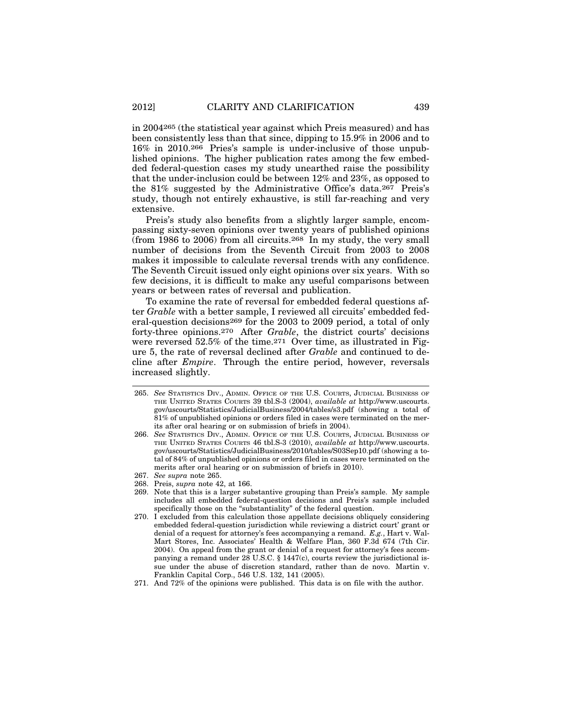in 2004265 (the statistical year against which Preis measured) and has been consistently less than that since, dipping to 15.9% in 2006 and to 16% in 2010.266 Pries's sample is under-inclusive of those unpublished opinions. The higher publication rates among the few embedded federal-question cases my study unearthed raise the possibility that the under-inclusion could be between 12% and 23%, as opposed to the 81% suggested by the Administrative Office's data.267 Preis's study, though not entirely exhaustive, is still far-reaching and very extensive.

Preis's study also benefits from a slightly larger sample, encompassing sixty-seven opinions over twenty years of published opinions (from 1986 to 2006) from all circuits.<sup>268</sup> In my study, the very small number of decisions from the Seventh Circuit from 2003 to 2008 makes it impossible to calculate reversal trends with any confidence. The Seventh Circuit issued only eight opinions over six years. With so few decisions, it is difficult to make any useful comparisons between years or between rates of reversal and publication.

To examine the rate of reversal for embedded federal questions after *Grable* with a better sample, I reviewed all circuits' embedded federal-question decisions269 for the 2003 to 2009 period, a total of only forty-three opinions.270 After *Grable*, the district courts' decisions were reversed 52.5% of the time.<sup>271</sup> Over time, as illustrated in Figure 5, the rate of reversal declined after *Grable* and continued to decline after *Empire*. Through the entire period, however, reversals increased slightly.

- 265. *See* STATISTICS DIV., ADMIN. OFFICE OF THE U.S. COURTS, JUDICIAL BUSINESS OF THE UNITED STATES COURTS 39 tbl.S-3 (2004), *available at* http://www.uscourts. gov/uscourts/Statistics/JudicialBusiness/2004/tables/s3.pdf (showing a total of 81% of unpublished opinions or orders filed in cases were terminated on the merits after oral hearing or on submission of briefs in 2004).
- 266. *See* STATISTICS DIV., ADMIN. OFFICE OF THE U.S. COURTS, JUDICIAL BUSINESS OF THE UNITED STATES COURTS 46 tbl.S-3 (2010), *available at* http://www.uscourts. gov/uscourts/Statistics/JudicialBusiness/2010/tables/S03Sep10.pdf (showing a total of 84% of unpublished opinions or orders filed in cases were terminated on the merits after oral hearing or on submission of briefs in 2010).
- 267. *See supra* note 265.
- 268. Preis, *supra* note 42, at 166.
- 269. Note that this is a larger substantive grouping than Preis's sample. My sample includes all embedded federal-question decisions and Preis's sample included specifically those on the "substantiality" of the federal question.
- 270. I excluded from this calculation those appellate decisions obliquely considering embedded federal-question jurisdiction while reviewing a district court' grant or denial of a request for attorney's fees accompanying a remand. *E.g.*, Hart v. Wal-Mart Stores, Inc. Associates' Health & Welfare Plan, 360 F.3d 674 (7th Cir. 2004). On appeal from the grant or denial of a request for attorney's fees accompanying a remand under 28 U.S.C. § 1447(c), courts review the jurisdictional issue under the abuse of discretion standard, rather than de novo. Martin v. Franklin Capital Corp., 546 U.S. 132, 141 (2005).
- 271. And 72% of the opinions were published. This data is on file with the author.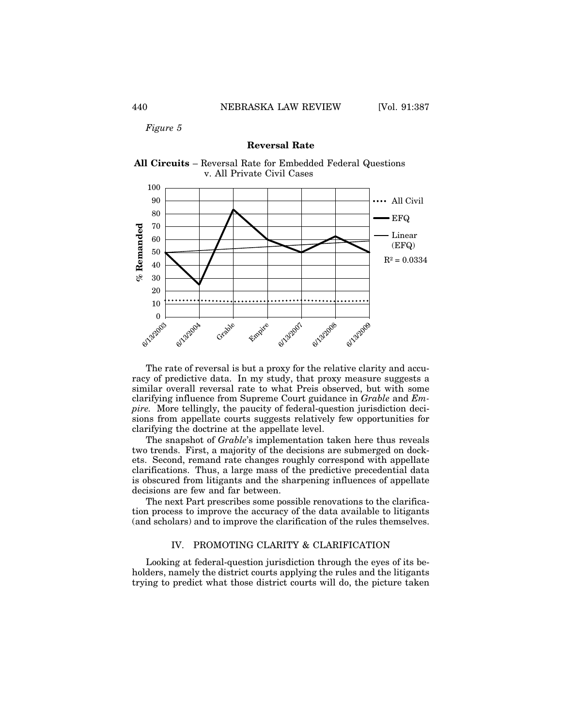*Figure 5*

#### **Reversal Rate**





The rate of reversal is but a proxy for the relative clarity and accuracy of predictive data. In my study, that proxy measure suggests a similar overall reversal rate to what Preis observed, but with some clarifying influence from Supreme Court guidance in *Grable* and *Empire.* More tellingly, the paucity of federal-question jurisdiction decisions from appellate courts suggests relatively few opportunities for clarifying the doctrine at the appellate level.

The snapshot of *Grable*'s implementation taken here thus reveals two trends. First, a majority of the decisions are submerged on dockets. Second, remand rate changes roughly correspond with appellate clarifications. Thus, a large mass of the predictive precedential data is obscured from litigants and the sharpening influences of appellate decisions are few and far between.

The next Part prescribes some possible renovations to the clarification process to improve the accuracy of the data available to litigants (and scholars) and to improve the clarification of the rules themselves.

# IV. PROMOTING CLARITY & CLARIFICATION

Looking at federal-question jurisdiction through the eyes of its beholders, namely the district courts applying the rules and the litigants trying to predict what those district courts will do, the picture taken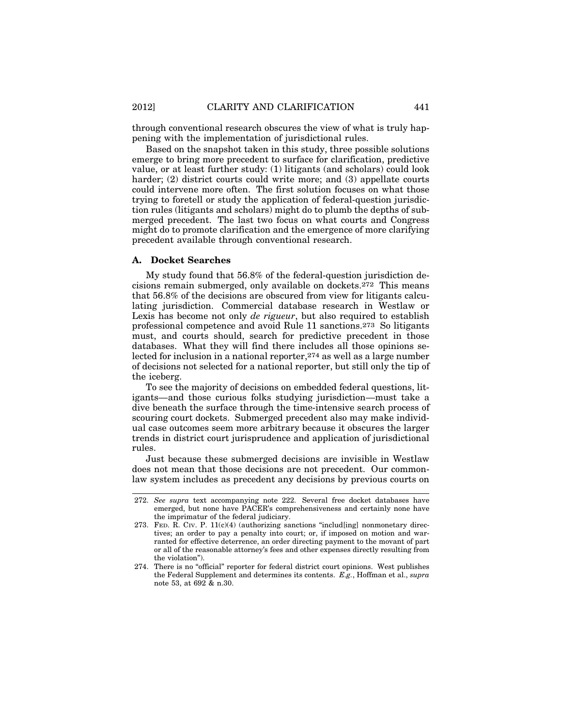through conventional research obscures the view of what is truly happening with the implementation of jurisdictional rules.

Based on the snapshot taken in this study, three possible solutions emerge to bring more precedent to surface for clarification, predictive value, or at least further study: (1) litigants (and scholars) could look harder; (2) district courts could write more; and (3) appellate courts could intervene more often. The first solution focuses on what those trying to foretell or study the application of federal-question jurisdiction rules (litigants and scholars) might do to plumb the depths of submerged precedent. The last two focus on what courts and Congress might do to promote clarification and the emergence of more clarifying precedent available through conventional research.

# **A. Docket Searches**

My study found that 56.8% of the federal-question jurisdiction decisions remain submerged, only available on dockets.272 This means that 56.8% of the decisions are obscured from view for litigants calculating jurisdiction. Commercial database research in Westlaw or Lexis has become not only *de rigueur*, but also required to establish professional competence and avoid Rule 11 sanctions.273 So litigants must, and courts should, search for predictive precedent in those databases. What they will find there includes all those opinions selected for inclusion in a national reporter,274 as well as a large number of decisions not selected for a national reporter, but still only the tip of the iceberg.

To see the majority of decisions on embedded federal questions, litigants—and those curious folks studying jurisdiction—must take a dive beneath the surface through the time-intensive search process of scouring court dockets. Submerged precedent also may make individual case outcomes seem more arbitrary because it obscures the larger trends in district court jurisprudence and application of jurisdictional rules.

Just because these submerged decisions are invisible in Westlaw does not mean that those decisions are not precedent. Our commonlaw system includes as precedent any decisions by previous courts on

<sup>272.</sup> *See supra* text accompanying note 222. Several free docket databases have emerged, but none have PACER's comprehensiveness and certainly none have the imprimatur of the federal judiciary.

<sup>273.</sup> FED. R. CIV. P. 11(c)(4) (authorizing sanctions "includ[ing] nonmonetary directives; an order to pay a penalty into court; or, if imposed on motion and warranted for effective deterrence, an order directing payment to the movant of part or all of the reasonable attorney's fees and other expenses directly resulting from the violation").

<sup>274.</sup> There is no "official" reporter for federal district court opinions. West publishes the Federal Supplement and determines its contents. *E.g.*, Hoffman et al., *supra* note 53, at 692 & n.30.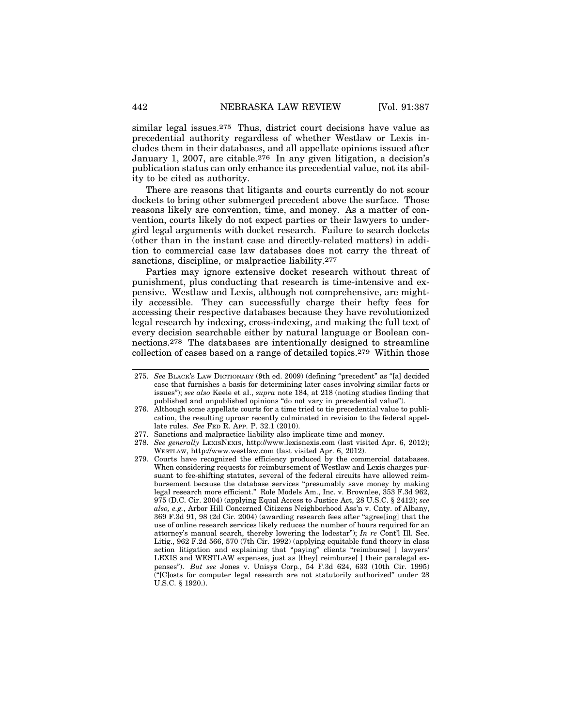similar legal issues.275 Thus, district court decisions have value as precedential authority regardless of whether Westlaw or Lexis includes them in their databases, and all appellate opinions issued after January 1, 2007, are citable.276 In any given litigation, a decision's publication status can only enhance its precedential value, not its ability to be cited as authority.

There are reasons that litigants and courts currently do not scour dockets to bring other submerged precedent above the surface. Those reasons likely are convention, time, and money. As a matter of convention, courts likely do not expect parties or their lawyers to undergird legal arguments with docket research. Failure to search dockets (other than in the instant case and directly-related matters) in addition to commercial case law databases does not carry the threat of sanctions, discipline, or malpractice liability.<sup>277</sup>

Parties may ignore extensive docket research without threat of punishment, plus conducting that research is time-intensive and expensive. Westlaw and Lexis, although not comprehensive, are mightily accessible. They can successfully charge their hefty fees for accessing their respective databases because they have revolutionized legal research by indexing, cross-indexing, and making the full text of every decision searchable either by natural language or Boolean connections.278 The databases are intentionally designed to streamline collection of cases based on a range of detailed topics.279 Within those

<sup>275.</sup> *See* BLACK'S LAW DICTIONARY (9th ed. 2009) (defining "precedent" as "[a] decided case that furnishes a basis for determining later cases involving similar facts or issues"); *see also* Keele et al., *supra* note 184, at 218 (noting studies finding that published and unpublished opinions "do not vary in precedential value").

<sup>276.</sup> Although some appellate courts for a time tried to tie precedential value to publication, the resulting uproar recently culminated in revision to the federal appellate rules. *See* FED R. APP. P. 32.1 (2010).

<sup>277.</sup> Sanctions and malpractice liability also implicate time and money.

<sup>278.</sup> *See generally* LEXISNEXIS, http://www.lexisnexis.com (last visited Apr. 6, 2012); WESTLAW, http://www.westlaw.com (last visited Apr. 6, 2012).

<sup>279.</sup> Courts have recognized the efficiency produced by the commercial databases. When considering requests for reimbursement of Westlaw and Lexis charges pursuant to fee-shifting statutes, several of the federal circuits have allowed reimbursement because the database services "presumably save money by making legal research more efficient." Role Models Am., Inc. v. Brownlee, 353 F.3d 962, 975 (D.C. Cir. 2004) (applying Equal Access to Justice Act, 28 U.S.C. § 2412); *see also, e.g.*, Arbor Hill Concerned Citizens Neighborhood Ass'n v. Cnty. of Albany, 369 F.3d 91, 98 (2d Cir. 2004) (awarding research fees after "agree[ing] that the use of online research services likely reduces the number of hours required for an attorney's manual search, thereby lowering the lodestar"); *In re* Cont'l Ill. Sec. Litig., 962 F.2d 566, 570 (7th Cir. 1992) (applying equitable fund theory in class action litigation and explaining that "paying" clients "reimburse[ ] lawyers' LEXIS and WESTLAW expenses, just as [they] reimburse[ ] their paralegal expenses"). *But see* Jones v. Unisys Corp*.*, 54 F.3d 624, 633 (10th Cir. 1995) ("[C]osts for computer legal research are not statutorily authorized" under 28 U.S.C. § 1920.).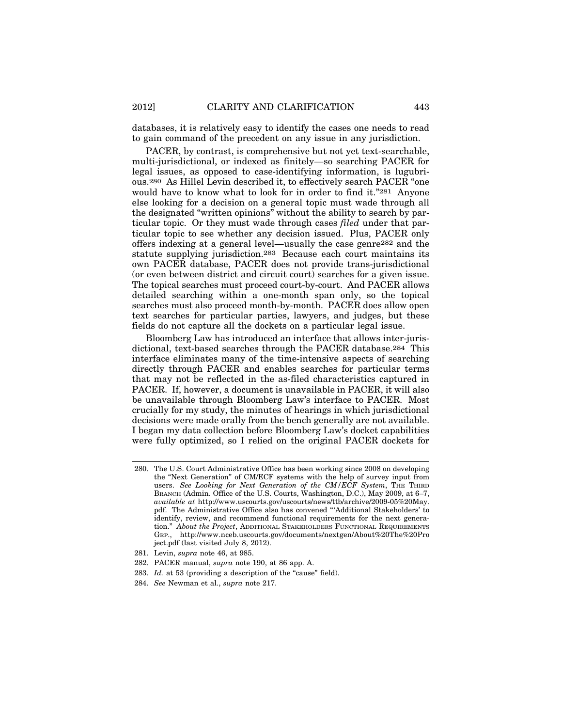databases, it is relatively easy to identify the cases one needs to read to gain command of the precedent on any issue in any jurisdiction.

PACER, by contrast, is comprehensive but not yet text-searchable, multi-jurisdictional, or indexed as finitely—so searching PACER for legal issues, as opposed to case-identifying information, is lugubrious.280 As Hillel Levin described it, to effectively search PACER "one would have to know what to look for in order to find it."281 Anyone else looking for a decision on a general topic must wade through all the designated "written opinions" without the ability to search by particular topic. Or they must wade through cases *filed* under that particular topic to see whether any decision issued. Plus, PACER only offers indexing at a general level—usually the case genre282 and the statute supplying jurisdiction.283 Because each court maintains its own PACER database, PACER does not provide trans-jurisdictional (or even between district and circuit court) searches for a given issue. The topical searches must proceed court-by-court. And PACER allows detailed searching within a one-month span only, so the topical searches must also proceed month-by-month. PACER does allow open text searches for particular parties, lawyers, and judges, but these fields do not capture all the dockets on a particular legal issue.

Bloomberg Law has introduced an interface that allows inter-jurisdictional, text-based searches through the PACER database.284 This interface eliminates many of the time-intensive aspects of searching directly through PACER and enables searches for particular terms that may not be reflected in the as-filed characteristics captured in PACER. If, however, a document is unavailable in PACER, it will also be unavailable through Bloomberg Law's interface to PACER. Most crucially for my study, the minutes of hearings in which jurisdictional decisions were made orally from the bench generally are not available. I began my data collection before Bloomberg Law's docket capabilities were fully optimized, so I relied on the original PACER dockets for

- 281. Levin, *supra* note 46, at 985.
- 282. PACER manual, *supra* note 190, at 86 app. A.
- 283. *Id.* at 53 (providing a description of the "cause" field).
- 284. *See* Newman et al., *supra* note 217.

<sup>280.</sup> The U.S. Court Administrative Office has been working since 2008 on developing the "Next Generation" of CM/ECF systems with the help of survey input from users. See Looking for Next Generation of the CM/ECF System, THE THIRD BRANCH (Admin. Office of the U.S. Courts, Washington, D.C.), May 2009, at 6–7, *available at* http://www.uscourts.gov/uscourts/news/ttb/archive/2009-05%20May. pdf. The Administrative Office also has convened "'Additional Stakeholders' to identify, review, and recommend functional requirements for the next generation." *About the Project*, ADDITIONAL STAKEHOLDERS FUNCTIONAL REQUIREMENTS GRP., http://www.nceb.uscourts.gov/documents/nextgen/About%20The%20Pro ject.pdf (last visited July 8, 2012).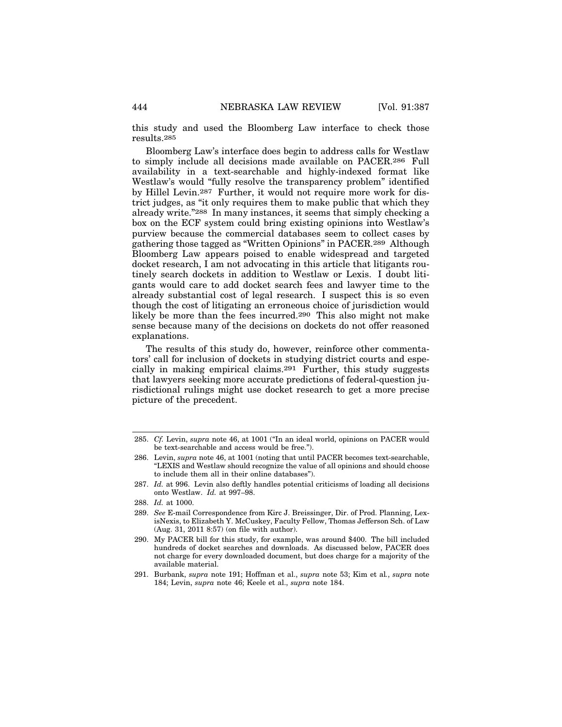this study and used the Bloomberg Law interface to check those results.285

Bloomberg Law's interface does begin to address calls for Westlaw to simply include all decisions made available on PACER.286 Full availability in a text-searchable and highly-indexed format like Westlaw's would "fully resolve the transparency problem" identified by Hillel Levin.287 Further, it would not require more work for district judges, as "it only requires them to make public that which they already write."288 In many instances, it seems that simply checking a box on the ECF system could bring existing opinions into Westlaw's purview because the commercial databases seem to collect cases by gathering those tagged as "Written Opinions" in PACER.289 Although Bloomberg Law appears poised to enable widespread and targeted docket research, I am not advocating in this article that litigants routinely search dockets in addition to Westlaw or Lexis. I doubt litigants would care to add docket search fees and lawyer time to the already substantial cost of legal research. I suspect this is so even though the cost of litigating an erroneous choice of jurisdiction would likely be more than the fees incurred.290 This also might not make sense because many of the decisions on dockets do not offer reasoned explanations.

The results of this study do, however, reinforce other commentators' call for inclusion of dockets in studying district courts and especially in making empirical claims.291 Further, this study suggests that lawyers seeking more accurate predictions of federal-question jurisdictional rulings might use docket research to get a more precise picture of the precedent.

288. *Id.* at 1000.

<sup>285.</sup> *Cf.* Levin, *supra* note 46, at 1001 ("In an ideal world, opinions on PACER would be text-searchable and access would be free.").

<sup>286.</sup> Levin, *supra* note 46, at 1001 (noting that until PACER becomes text-searchable, "LEXIS and Westlaw should recognize the value of all opinions and should choose to include them all in their online databases").

<sup>287.</sup> *Id.* at 996. Levin also deftly handles potential criticisms of loading all decisions onto Westlaw. *Id.* at 997–98.

<sup>289.</sup> *See* E-mail Correspondence from Kirc J. Breissinger, Dir. of Prod. Planning, LexisNexis, to Elizabeth Y. McCuskey, Faculty Fellow, Thomas Jefferson Sch. of Law (Aug. 31, 2011 8:57) (on file with author).

<sup>290.</sup> My PACER bill for this study, for example, was around \$400. The bill included hundreds of docket searches and downloads. As discussed below, PACER does not charge for every downloaded document, but does charge for a majority of the available material.

<sup>291.</sup> Burbank, *supra* note 191; Hoffman et al., *supra* note 53; Kim et al*.*, *supra* note 184; Levin, *supra* note 46; Keele et al., *supra* note 184.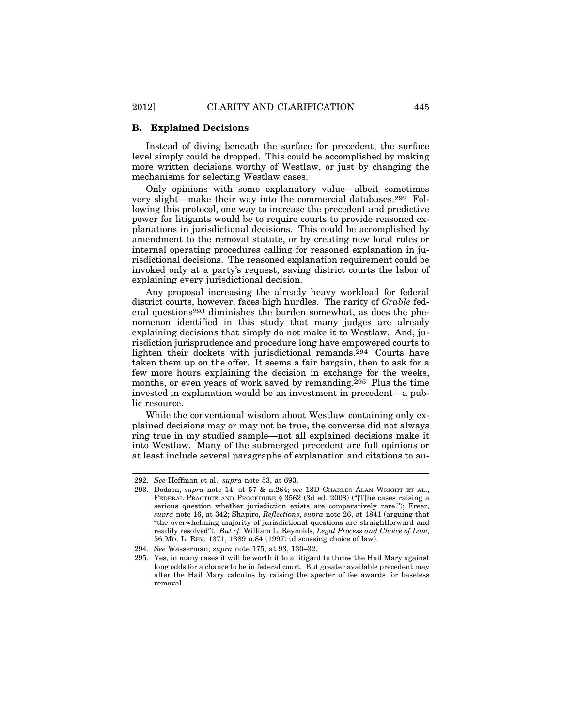#### **B. Explained Decisions**

Instead of diving beneath the surface for precedent, the surface level simply could be dropped. This could be accomplished by making more written decisions worthy of Westlaw, or just by changing the mechanisms for selecting Westlaw cases.

Only opinions with some explanatory value—albeit sometimes very slight—make their way into the commercial databases.292 Following this protocol, one way to increase the precedent and predictive power for litigants would be to require courts to provide reasoned explanations in jurisdictional decisions. This could be accomplished by amendment to the removal statute, or by creating new local rules or internal operating procedures calling for reasoned explanation in jurisdictional decisions. The reasoned explanation requirement could be invoked only at a party's request, saving district courts the labor of explaining every jurisdictional decision.

Any proposal increasing the already heavy workload for federal district courts, however, faces high hurdles. The rarity of *Grable* federal questions293 diminishes the burden somewhat, as does the phenomenon identified in this study that many judges are already explaining decisions that simply do not make it to Westlaw. And, jurisdiction jurisprudence and procedure long have empowered courts to lighten their dockets with jurisdictional remands.294 Courts have taken them up on the offer. It seems a fair bargain, then to ask for a few more hours explaining the decision in exchange for the weeks, months, or even years of work saved by remanding.295 Plus the time invested in explanation would be an investment in precedent—a public resource.

While the conventional wisdom about Westlaw containing only explained decisions may or may not be true, the converse did not always ring true in my studied sample—not all explained decisions make it into Westlaw. Many of the submerged precedent are full opinions or at least include several paragraphs of explanation and citations to au-

<sup>292.</sup> *See* Hoffman et al., *supra* note 53, at 693.

<sup>293.</sup> Dodson, *supra* note 14, at 57 & n.264; *see* 13D CHARLES ALAN WRIGHT ET AL., FEDERAL PRACTICE AND PROCEDURE § 3562 (3d ed. 2008) ("[T]he cases raising a serious question whether jurisdiction exists are comparatively rare."); Freer, *supra* note 16, at 342; Shapiro, *Reflections*, *supra* note 26, at 1841 (arguing that "the overwhelming majority of jurisdictional questions are straightforward and readily resolved"). *But cf.* William L. Reynolds, *Legal Process and Choice of Law*, 56 MD. L. REV. 1371, 1389 n.84 (1997) (discussing choice of law).

<sup>294.</sup> *See* Wasserman, *supra* note 175, at 93, 130–32.

<sup>295.</sup> Yes, in many cases it will be worth it to a litigant to throw the Hail Mary against long odds for a chance to be in federal court. But greater available precedent may alter the Hail Mary calculus by raising the specter of fee awards for baseless removal.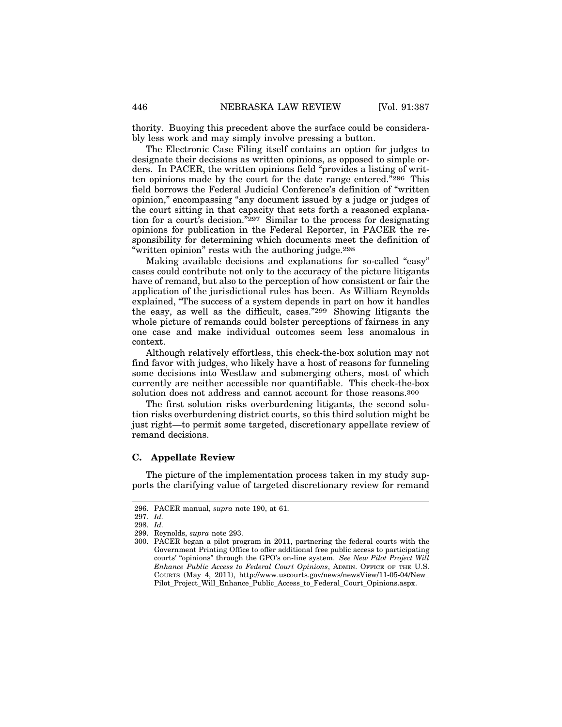thority. Buoying this precedent above the surface could be considerably less work and may simply involve pressing a button.

The Electronic Case Filing itself contains an option for judges to designate their decisions as written opinions, as opposed to simple orders. In PACER, the written opinions field "provides a listing of written opinions made by the court for the date range entered."296 This field borrows the Federal Judicial Conference's definition of "written opinion," encompassing "any document issued by a judge or judges of the court sitting in that capacity that sets forth a reasoned explanation for a court's decision."<sup>297</sup> Similar to the process for designating opinions for publication in the Federal Reporter, in PACER the responsibility for determining which documents meet the definition of "written opinion" rests with the authoring judge.298

Making available decisions and explanations for so-called "easy" cases could contribute not only to the accuracy of the picture litigants have of remand, but also to the perception of how consistent or fair the application of the jurisdictional rules has been. As William Reynolds explained, "The success of a system depends in part on how it handles the easy, as well as the difficult, cases."299 Showing litigants the whole picture of remands could bolster perceptions of fairness in any one case and make individual outcomes seem less anomalous in context.

Although relatively effortless, this check-the-box solution may not find favor with judges, who likely have a host of reasons for funneling some decisions into Westlaw and submerging others, most of which currently are neither accessible nor quantifiable. This check-the-box solution does not address and cannot account for those reasons.<sup>300</sup>

The first solution risks overburdening litigants, the second solution risks overburdening district courts, so this third solution might be just right—to permit some targeted, discretionary appellate review of remand decisions.

#### **C. Appellate Review**

The picture of the implementation process taken in my study supports the clarifying value of targeted discretionary review for remand

<sup>296.</sup> PACER manual, *supra* note 190, at 61.

<sup>297.</sup> *Id.*

<sup>298.</sup> *Id.*

<sup>299.</sup> Reynolds, *supra* note 293.

<sup>300.</sup> PACER began a pilot program in 2011, partnering the federal courts with the Government Printing Office to offer additional free public access to participating courts' "opinions" through the GPO's on-line system. *See New Pilot Project Will Enhance Public Access to Federal Court Opinions*, ADMIN. OFFICE OF THE U.S. COURTS (May 4, 2011), http://www.uscourts.gov/news/newsView/11-05-04/New\_ Pilot\_Project\_Will\_Enhance\_Public\_Access\_to\_Federal\_Court\_Opinions.aspx.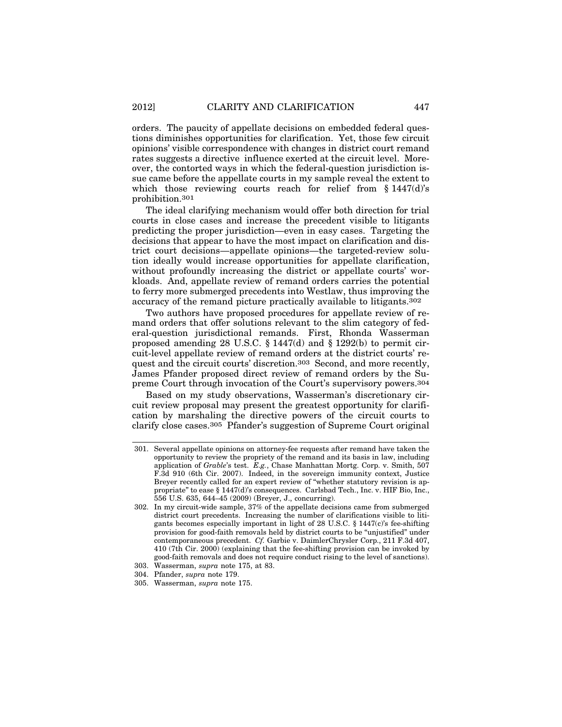orders. The paucity of appellate decisions on embedded federal questions diminishes opportunities for clarification. Yet, those few circuit opinions' visible correspondence with changes in district court remand rates suggests a directive influence exerted at the circuit level. Moreover, the contorted ways in which the federal-question jurisdiction issue came before the appellate courts in my sample reveal the extent to which those reviewing courts reach for relief from  $§ 1447(d)$ 's prohibition.301

The ideal clarifying mechanism would offer both direction for trial courts in close cases and increase the precedent visible to litigants predicting the proper jurisdiction—even in easy cases. Targeting the decisions that appear to have the most impact on clarification and district court decisions—appellate opinions—the targeted-review solution ideally would increase opportunities for appellate clarification, without profoundly increasing the district or appellate courts' workloads. And, appellate review of remand orders carries the potential to ferry more submerged precedents into Westlaw, thus improving the accuracy of the remand picture practically available to litigants.302

Two authors have proposed procedures for appellate review of remand orders that offer solutions relevant to the slim category of federal-question jurisdictional remands. First, Rhonda Wasserman proposed amending 28 U.S.C.  $\S$  1447(d) and  $\S$  1292(b) to permit circuit-level appellate review of remand orders at the district courts' request and the circuit courts' discretion.303 Second, and more recently, James Pfander proposed direct review of remand orders by the Supreme Court through invocation of the Court's supervisory powers.304

Based on my study observations, Wasserman's discretionary circuit review proposal may present the greatest opportunity for clarification by marshaling the directive powers of the circuit courts to clarify close cases.305 Pfander's suggestion of Supreme Court original

<sup>301.</sup> Several appellate opinions on attorney-fee requests after remand have taken the opportunity to review the propriety of the remand and its basis in law, including application of *Grable*'s test. *E.g.*, Chase Manhattan Mortg. Corp. v. Smith, 507 F.3d 910 (6th Cir. 2007). Indeed, in the sovereign immunity context, Justice Breyer recently called for an expert review of "whether statutory revision is appropriate" to ease § 1447(d)'s consequences. Carlsbad Tech., Inc. v. HIF Bio, Inc., 556 U.S. 635, 644–45 (2009) (Breyer, J., concurring).

<sup>302.</sup> In my circuit-wide sample, 37% of the appellate decisions came from submerged district court precedents. Increasing the number of clarifications visible to litigants becomes especially important in light of 28 U.S.C. § 1447(c)'s fee-shifting provision for good-faith removals held by district courts to be "unjustified" under contemporaneous precedent. *Cf.* Garbie v. DaimlerChrysler Corp., 211 F.3d 407, 410 (7th Cir. 2000) (explaining that the fee-shifting provision can be invoked by good-faith removals and does not require conduct rising to the level of sanctions).

<sup>303.</sup> Wasserman, *supra* note 175, at 83.

<sup>304.</sup> Pfander, *supra* note 179.

<sup>305.</sup> Wasserman, *supra* note 175.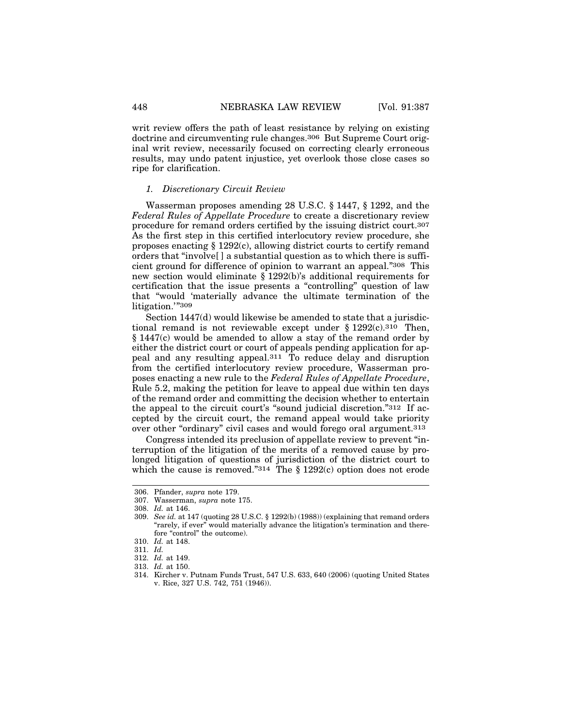writ review offers the path of least resistance by relying on existing doctrine and circumventing rule changes.306 But Supreme Court original writ review, necessarily focused on correcting clearly erroneous results, may undo patent injustice, yet overlook those close cases so ripe for clarification.

#### *1. Discretionary Circuit Review*

Wasserman proposes amending 28 U.S.C. § 1447, § 1292, and the *Federal Rules of Appellate Procedure* to create a discretionary review procedure for remand orders certified by the issuing district court.307 As the first step in this certified interlocutory review procedure, she proposes enacting  $\S 1292(c)$ , allowing district courts to certify remand orders that "involve[ ] a substantial question as to which there is sufficient ground for difference of opinion to warrant an appeal."308 This new section would eliminate § 1292(b)'s additional requirements for certification that the issue presents a "controlling" question of law that "would 'materially advance the ultimate termination of the litigation.'"309

Section 1447(d) would likewise be amended to state that a jurisdictional remand is not reviewable except under  $\S 1292(c).$ <sup>310</sup> Then, § 1447(c) would be amended to allow a stay of the remand order by either the district court or court of appeals pending application for appeal and any resulting appeal.311 To reduce delay and disruption from the certified interlocutory review procedure, Wasserman proposes enacting a new rule to the *Federal Rules of Appellate Procedure*, Rule 5.2, making the petition for leave to appeal due within ten days of the remand order and committing the decision whether to entertain the appeal to the circuit court's "sound judicial discretion."312 If accepted by the circuit court, the remand appeal would take priority over other "ordinary" civil cases and would forego oral argument.313

Congress intended its preclusion of appellate review to prevent "interruption of the litigation of the merits of a removed cause by prolonged litigation of questions of jurisdiction of the district court to which the cause is removed." $314$  The § 1292(c) option does not erode

- 312. *Id.* at 149.
- 313. *Id.* at 150.

<sup>306.</sup> Pfander, *supra* note 179.

<sup>307.</sup> Wasserman, *supra* note 175.

<sup>308.</sup> *Id.* at 146.

<sup>309.</sup> *See id.* at 147 (quoting 28 U.S.C. § 1292(b) (1988)) (explaining that remand orders "rarely, if ever" would materially advance the litigation's termination and therefore "control" the outcome).

<sup>310.</sup> *Id.* at 148.

<sup>311.</sup> *Id.*

<sup>314.</sup> Kircher v. Putnam Funds Trust, 547 U.S. 633, 640 (2006) (quoting United States v. Rice, 327 U.S. 742, 751 (1946)).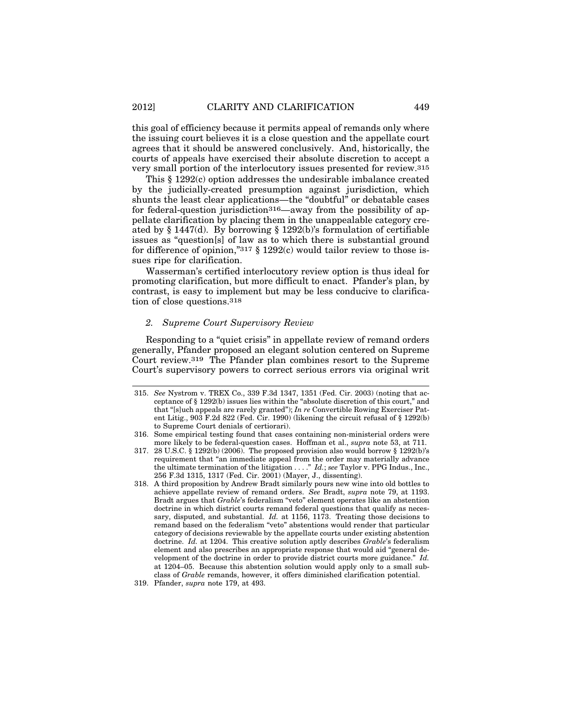this goal of efficiency because it permits appeal of remands only where the issuing court believes it is a close question and the appellate court agrees that it should be answered conclusively. And, historically, the courts of appeals have exercised their absolute discretion to accept a very small portion of the interlocutory issues presented for review.315

This § 1292(c) option addresses the undesirable imbalance created by the judicially-created presumption against jurisdiction, which shunts the least clear applications—the "doubtful" or debatable cases for federal-question jurisdiction316—away from the possibility of appellate clarification by placing them in the unappealable category created by § 1447(d). By borrowing § 1292(b)'s formulation of certifiable issues as "question[s] of law as to which there is substantial ground for difference of opinion,"317  $\S$  1292(c) would tailor review to those issues ripe for clarification.

Wasserman's certified interlocutory review option is thus ideal for promoting clarification, but more difficult to enact. Pfander's plan, by contrast, is easy to implement but may be less conducive to clarification of close questions.318

#### *2. Supreme Court Supervisory Review*

Responding to a "quiet crisis" in appellate review of remand orders generally, Pfander proposed an elegant solution centered on Supreme Court review.319 The Pfander plan combines resort to the Supreme Court's supervisory powers to correct serious errors via original writ

<sup>315.</sup> *See* Nystrom v. TREX Co., 339 F.3d 1347, 1351 (Fed. Cir. 2003) (noting that acceptance of § 1292(b) issues lies within the "absolute discretion of this court," and that "[s]uch appeals are rarely granted"); *In re* Convertible Rowing Exerciser Patent Litig., 903 F.2d 822 (Fed. Cir. 1990) (likening the circuit refusal of § 1292(b) to Supreme Court denials of certiorari).

<sup>316.</sup> Some empirical testing found that cases containing non-ministerial orders were more likely to be federal-question cases. Hoffman et al., *supra* note 53, at 711.

<sup>317. 28</sup> U.S.C. § 1292(b) (2006). The proposed provision also would borrow § 1292(b)'s requirement that "an immediate appeal from the order may materially advance the ultimate termination of the litigation . . . ." *Id.*; *see* Taylor v. PPG Indus., Inc., 256 F.3d 1315, 1317 (Fed. Cir. 2001) (Mayer, J., dissenting).

<sup>318.</sup> A third proposition by Andrew Bradt similarly pours new wine into old bottles to achieve appellate review of remand orders. *See* Bradt, *supra* note 79, at 1193. Bradt argues that *Grable*'s federalism "veto" element operates like an abstention doctrine in which district courts remand federal questions that qualify as necessary, disputed, and substantial. *Id.* at 1156, 1173. Treating those decisions to remand based on the federalism "veto" abstentions would render that particular category of decisions reviewable by the appellate courts under existing abstention doctrine. *Id.* at 1204. This creative solution aptly describes *Grable*'s federalism element and also prescribes an appropriate response that would aid "general development of the doctrine in order to provide district courts more guidance." *Id.* at 1204–05. Because this abstention solution would apply only to a small subclass of *Grable* remands, however, it offers diminished clarification potential.

<sup>319.</sup> Pfander, *supra* note 179, at 493.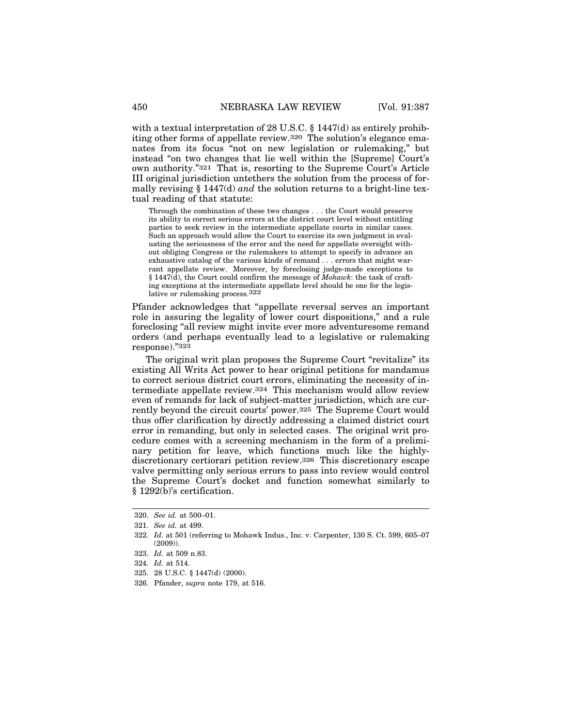with a textual interpretation of 28 U.S.C. § 1447(d) as entirely prohibiting other forms of appellate review.320 The solution's elegance emanates from its focus "not on new legislation or rulemaking," but instead "on two changes that lie well within the [Supreme] Court's own authority."321 That is, resorting to the Supreme Court's Article III original jurisdiction untethers the solution from the process of formally revising § 1447(d) *and* the solution returns to a bright-line textual reading of that statute:

Through the combination of these two changes . . . the Court would preserve its ability to correct serious errors at the district court level without entitling parties to seek review in the intermediate appellate courts in similar cases. Such an approach would allow the Court to exercise its own judgment in evaluating the seriousness of the error and the need for appellate oversight without obliging Congress or the rulemakers to attempt to specify in advance an exhaustive catalog of the various kinds of remand . . . errors that might warrant appellate review. Moreover, by foreclosing judge-made exceptions to § 1447(d), the Court could confirm the message of *Mohawk*: the task of crafting exceptions at the intermediate appellate level should be one for the legislative or rulemaking process.322

Pfander acknowledges that "appellate reversal serves an important role in assuring the legality of lower court dispositions," and a rule foreclosing "all review might invite ever more adventuresome remand orders (and perhaps eventually lead to a legislative or rulemaking response)."323

The original writ plan proposes the Supreme Court "revitalize" its existing All Writs Act power to hear original petitions for mandamus to correct serious district court errors, eliminating the necessity of intermediate appellate review.324 This mechanism would allow review even of remands for lack of subject-matter jurisdiction, which are currently beyond the circuit courts' power.325 The Supreme Court would thus offer clarification by directly addressing a claimed district court error in remanding, but only in selected cases. The original writ procedure comes with a screening mechanism in the form of a preliminary petition for leave, which functions much like the highlydiscretionary certiorari petition review.326 This discretionary escape valve permitting only serious errors to pass into review would control the Supreme Court's docket and function somewhat similarly to § 1292(b)'s certification.

326. Pfander, *supra* note 179, at 516.

<sup>320.</sup> *See id.* at 500–01.

<sup>321.</sup> *See id.* at 499.

<sup>322.</sup> *Id.* at 501 (referring to Mohawk Indus., Inc. v. Carpenter, 130 S. Ct. 599, 605–07 (2009)).

<sup>323.</sup> *Id.* at 509 n.83.

<sup>324.</sup> *Id.* at 514.

<sup>325. 28</sup> U.S.C. § 1447(d) (2000).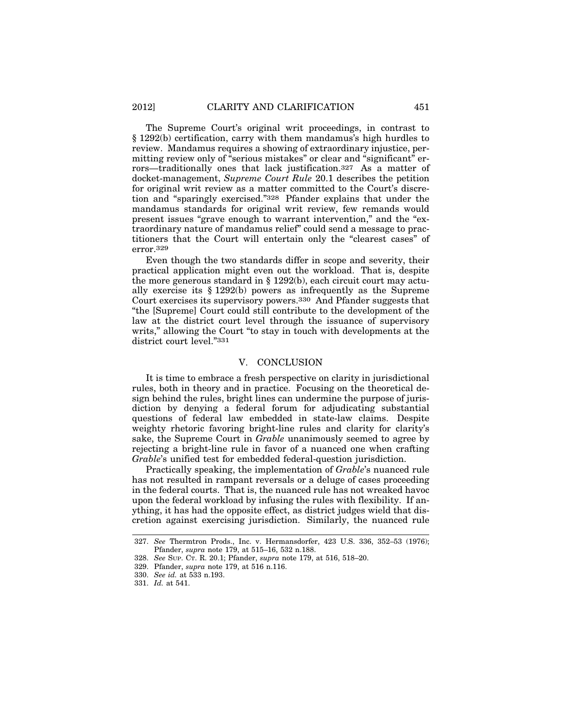The Supreme Court's original writ proceedings, in contrast to § 1292(b) certification, carry with them mandamus's high hurdles to review. Mandamus requires a showing of extraordinary injustice, permitting review only of "serious mistakes" or clear and "significant" errors—traditionally ones that lack justification.327 As a matter of docket-management, *Supreme Court Rule* 20.1 describes the petition for original writ review as a matter committed to the Court's discretion and "sparingly exercised."328 Pfander explains that under the mandamus standards for original writ review, few remands would present issues "grave enough to warrant intervention," and the "extraordinary nature of mandamus relief" could send a message to practitioners that the Court will entertain only the "clearest cases" of error.329

Even though the two standards differ in scope and severity, their practical application might even out the workload. That is, despite the more generous standard in  $\S 1292(b)$ , each circuit court may actually exercise its § 1292(b) powers as infrequently as the Supreme Court exercises its supervisory powers.330 And Pfander suggests that "the [Supreme] Court could still contribute to the development of the law at the district court level through the issuance of supervisory writs," allowing the Court "to stay in touch with developments at the district court level."331

### V. CONCLUSION

It is time to embrace a fresh perspective on clarity in jurisdictional rules, both in theory and in practice. Focusing on the theoretical design behind the rules, bright lines can undermine the purpose of jurisdiction by denying a federal forum for adjudicating substantial questions of federal law embedded in state-law claims. Despite weighty rhetoric favoring bright-line rules and clarity for clarity's sake, the Supreme Court in *Grable* unanimously seemed to agree by rejecting a bright-line rule in favor of a nuanced one when crafting *Grable*'s unified test for embedded federal-question jurisdiction.

Practically speaking, the implementation of *Grable*'s nuanced rule has not resulted in rampant reversals or a deluge of cases proceeding in the federal courts. That is, the nuanced rule has not wreaked havoc upon the federal workload by infusing the rules with flexibility. If anything, it has had the opposite effect, as district judges wield that discretion against exercising jurisdiction. Similarly, the nuanced rule

<sup>327.</sup> *See* Thermtron Prods., Inc. v. Hermansdorfer, 423 U.S. 336, 352–53 (1976); Pfander, *supra* note 179, at 515–16, 532 n.188.

<sup>328.</sup> *See* SUP. CT. R. 20.1; Pfander, *supra* note 179, at 516, 518–20.

<sup>329.</sup> Pfander, *supra* note 179, at 516 n.116.

<sup>330.</sup> *See id.* at 533 n.193.

<sup>331.</sup> *Id.* at 541.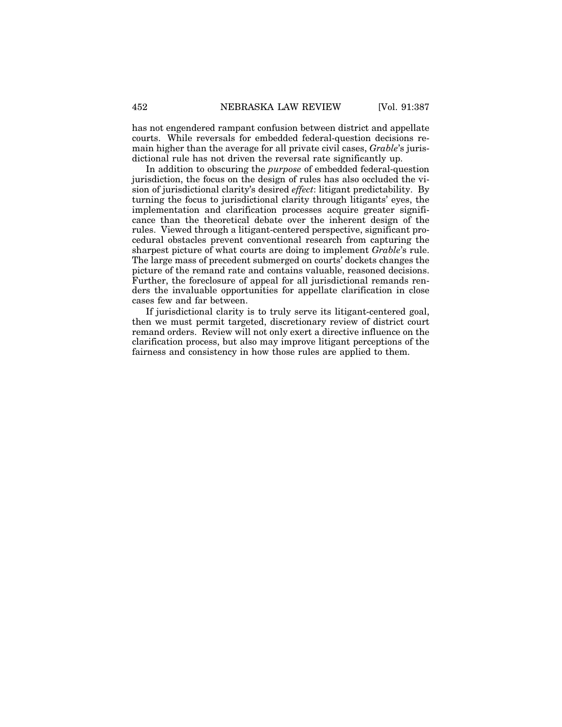has not engendered rampant confusion between district and appellate courts. While reversals for embedded federal-question decisions remain higher than the average for all private civil cases, *Grable*'s jurisdictional rule has not driven the reversal rate significantly up.

In addition to obscuring the *purpose* of embedded federal-question jurisdiction, the focus on the design of rules has also occluded the vision of jurisdictional clarity's desired *effect*: litigant predictability. By turning the focus to jurisdictional clarity through litigants' eyes, the implementation and clarification processes acquire greater significance than the theoretical debate over the inherent design of the rules. Viewed through a litigant-centered perspective, significant procedural obstacles prevent conventional research from capturing the sharpest picture of what courts are doing to implement *Grable*'s rule. The large mass of precedent submerged on courts' dockets changes the picture of the remand rate and contains valuable, reasoned decisions. Further, the foreclosure of appeal for all jurisdictional remands renders the invaluable opportunities for appellate clarification in close cases few and far between.

If jurisdictional clarity is to truly serve its litigant-centered goal, then we must permit targeted, discretionary review of district court remand orders. Review will not only exert a directive influence on the clarification process, but also may improve litigant perceptions of the fairness and consistency in how those rules are applied to them.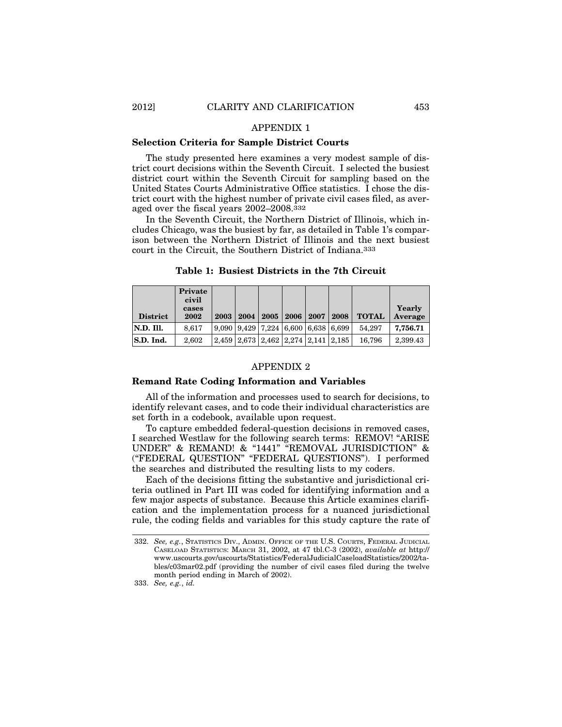## APPENDIX 1

### **Selection Criteria for Sample District Courts**

The study presented here examines a very modest sample of district court decisions within the Seventh Circuit. I selected the busiest district court within the Seventh Circuit for sampling based on the United States Courts Administrative Office statistics. I chose the district court with the highest number of private civil cases filed, as averaged over the fiscal years 2002–2008.332

In the Seventh Circuit, the Northern District of Illinois, which includes Chicago, was the busiest by far, as detailed in Table 1's comparison between the Northern District of Illinois and the next busiest court in the Circuit, the Southern District of Indiana.333

|                 | Private<br>civil |      |      |      |      |                                                           |                                               |              |                   |
|-----------------|------------------|------|------|------|------|-----------------------------------------------------------|-----------------------------------------------|--------------|-------------------|
| <b>District</b> | cases<br>2002    | 2003 | 2004 | 2005 | 2006 | 2007                                                      | 2008                                          | <b>TOTAL</b> | Yearly<br>Average |
| N.D. Ill.       | 8.617            |      |      |      |      | $9.090$   $9.429$   $7.224$   $6.600$   $6.638$   $6.699$ |                                               | 54.297       | 7,756.71          |
| S.D. Ind.       | 2.602            |      |      |      |      |                                                           | 2.459   2.673   2.462   2.274   2.141   2.185 | 16.796       | 2,399.43          |

**Table 1: Busiest Districts in the 7th Circuit**

#### APPENDIX 2

#### **Remand Rate Coding Information and Variables**

All of the information and processes used to search for decisions, to identify relevant cases, and to code their individual characteristics are set forth in a codebook, available upon request.

To capture embedded federal-question decisions in removed cases, I searched Westlaw for the following search terms: REMOV! "ARISE UNDER" & REMAND! & "1441" "REMOVAL JURISDICTION" & ("FEDERAL QUESTION" "FEDERAL QUESTIONS"). I performed the searches and distributed the resulting lists to my coders.

Each of the decisions fitting the substantive and jurisdictional criteria outlined in Part III was coded for identifying information and a few major aspects of substance. Because this Article examines clarification and the implementation process for a nuanced jurisdictional rule, the coding fields and variables for this study capture the rate of

<sup>332.</sup> *See, e.g.*, STATISTICS DIV., ADMIN. OFFICE OF THE U.S. COURTS, FEDERAL JUDICIAL CASELOAD STATISTICS: MARCH 31, 2002, at 47 tbl.C-3 (2002), *available at* http:// www.uscourts.gov/uscourts/Statistics/FederalJudicialCaseloadStatistics/2002/tables/c03mar02.pdf (providing the number of civil cases filed during the twelve month period ending in March of 2002).

<sup>333.</sup> *See, e.g.*, *id.*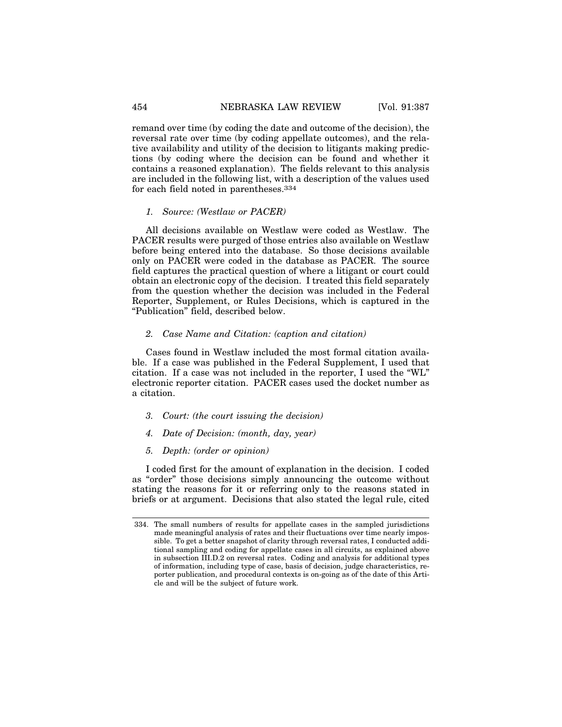remand over time (by coding the date and outcome of the decision), the reversal rate over time (by coding appellate outcomes), and the relative availability and utility of the decision to litigants making predictions (by coding where the decision can be found and whether it contains a reasoned explanation). The fields relevant to this analysis are included in the following list, with a description of the values used for each field noted in parentheses.334

#### *1. Source: (Westlaw or PACER)*

All decisions available on Westlaw were coded as Westlaw. The PACER results were purged of those entries also available on Westlaw before being entered into the database. So those decisions available only on PACER were coded in the database as PACER. The source field captures the practical question of where a litigant or court could obtain an electronic copy of the decision. I treated this field separately from the question whether the decision was included in the Federal Reporter, Supplement, or Rules Decisions, which is captured in the "Publication" field, described below.

#### *2. Case Name and Citation: (caption and citation)*

Cases found in Westlaw included the most formal citation available. If a case was published in the Federal Supplement, I used that citation. If a case was not included in the reporter, I used the "WL" electronic reporter citation. PACER cases used the docket number as a citation.

- *3. Court: (the court issuing the decision)*
- *4. Date of Decision: (month, day, year)*
- *5. Depth: (order or opinion)*

I coded first for the amount of explanation in the decision. I coded as "order" those decisions simply announcing the outcome without stating the reasons for it or referring only to the reasons stated in briefs or at argument. Decisions that also stated the legal rule, cited

<sup>334.</sup> The small numbers of results for appellate cases in the sampled jurisdictions made meaningful analysis of rates and their fluctuations over time nearly impossible. To get a better snapshot of clarity through reversal rates, I conducted additional sampling and coding for appellate cases in all circuits, as explained above in subsection III.D.2 on reversal rates. Coding and analysis for additional types of information, including type of case, basis of decision, judge characteristics, reporter publication, and procedural contexts is on-going as of the date of this Article and will be the subject of future work.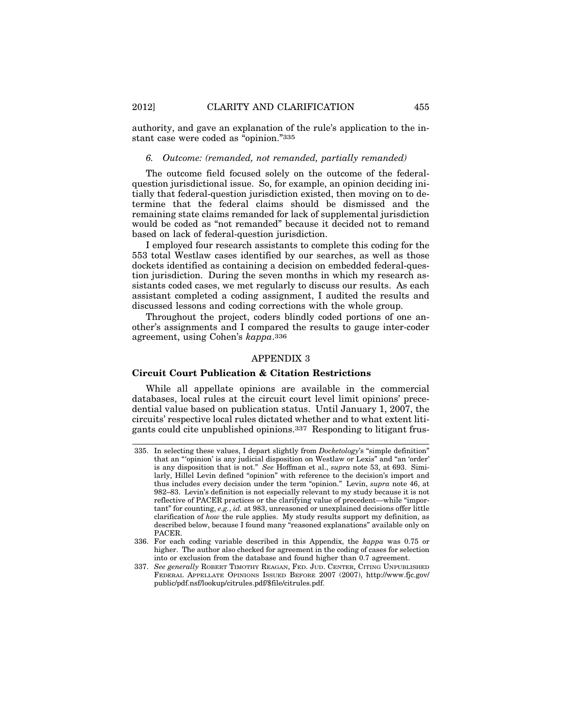authority, and gave an explanation of the rule's application to the instant case were coded as "opinion."335

# *6. Outcome: (remanded, not remanded, partially remanded)*

The outcome field focused solely on the outcome of the federalquestion jurisdictional issue. So, for example, an opinion deciding initially that federal-question jurisdiction existed, then moving on to determine that the federal claims should be dismissed and the remaining state claims remanded for lack of supplemental jurisdiction would be coded as "not remanded" because it decided not to remand based on lack of federal-question jurisdiction.

I employed four research assistants to complete this coding for the 553 total Westlaw cases identified by our searches, as well as those dockets identified as containing a decision on embedded federal-question jurisdiction. During the seven months in which my research assistants coded cases, we met regularly to discuss our results. As each assistant completed a coding assignment, I audited the results and discussed lessons and coding corrections with the whole group.

Throughout the project, coders blindly coded portions of one another's assignments and I compared the results to gauge inter-coder agreement, using Cohen's *kappa*.336

# APPENDIX 3

#### **Circuit Court Publication & Citation Restrictions**

While all appellate opinions are available in the commercial databases, local rules at the circuit court level limit opinions' precedential value based on publication status. Until January 1, 2007, the circuits' respective local rules dictated whether and to what extent litigants could cite unpublished opinions.337 Responding to litigant frus-

<sup>335.</sup> In selecting these values, I depart slightly from *Docketology*'s "simple definition" that an "'opinion' is any judicial disposition on Westlaw or Lexis" and "an 'order' is any disposition that is not." *See* Hoffman et al., *supra* note 53, at 693. Similarly, Hillel Levin defined "opinion" with reference to the decision's import and thus includes every decision under the term "opinion." Levin, *supra* note 46, at 982–83. Levin's definition is not especially relevant to my study because it is not reflective of PACER practices or the clarifying value of precedent—while "important" for counting, *e.g.*, *id.* at 983, unreasoned or unexplained decisions offer little clarification of *how* the rule applies. My study results support my definition, as described below, because I found many "reasoned explanations" available only on PACER.

<sup>336.</sup> For each coding variable described in this Appendix, the *kappa* was 0.75 or higher. The author also checked for agreement in the coding of cases for selection into or exclusion from the database and found higher than 0.7 agreement.

<sup>337.</sup> *See generally* ROBERT TIMOTHY REAGAN, FED. JUD. CENTER, CITING UNPUBLISHED FEDERAL APPELLATE OPINIONS ISSUED BEFORE 2007 (2007), http://www.fjc.gov/ public/pdf.nsf/lookup/citrules.pdf/\$file/citrules.pdf.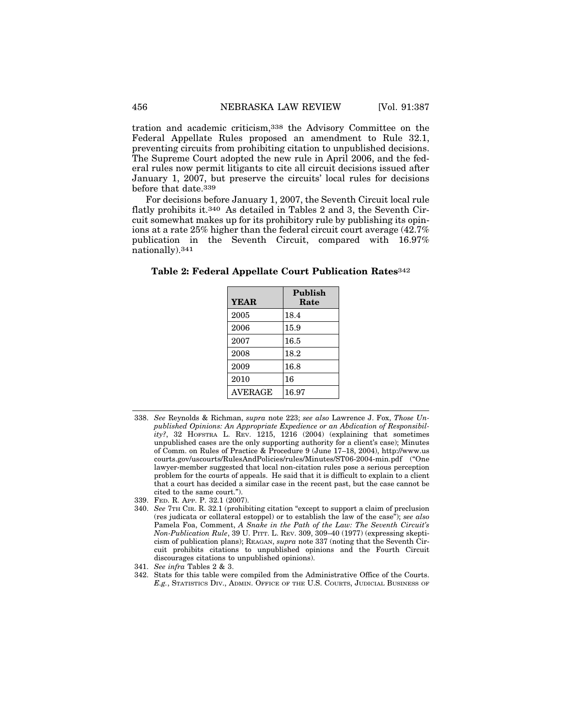tration and academic criticism,338 the Advisory Committee on the Federal Appellate Rules proposed an amendment to Rule 32.1, preventing circuits from prohibiting citation to unpublished decisions. The Supreme Court adopted the new rule in April 2006, and the federal rules now permit litigants to cite all circuit decisions issued after January 1, 2007, but preserve the circuits' local rules for decisions before that date.339

For decisions before January 1, 2007, the Seventh Circuit local rule flatly prohibits it.340 As detailed in Tables 2 and 3, the Seventh Circuit somewhat makes up for its prohibitory rule by publishing its opinions at a rate 25% higher than the federal circuit court average (42.7% publication in the Seventh Circuit, compared with 16.97% nationally).341

**Table 2: Federal Appellate Court Publication Rates**342

| <b>YEAR</b>    | Publish<br>Rate |
|----------------|-----------------|
| 2005           | 18.4            |
| 2006           | 15.9            |
| 2007           | 16.5            |
| 2008           | 18.2            |
| 2009           | 16.8            |
| 2010           | 16              |
| <b>AVERAGE</b> | 16.97           |

<sup>338.</sup> *See* Reynolds & Richman, *supra* note 223; *see also* Lawrence J. Fox, *Those Unpublished Opinions: An Appropriate Expedience or an Abdication of Responsibility?*, 32 HOFSTRA L. REV. 1215, 1216 (2004) (explaining that sometimes unpublished cases are the only supporting authority for a client's case); Minutes of Comm. on Rules of Practice & Procedure 9 (June 17–18, 2004), http://www.us courts.gov/uscourts/RulesAndPolicies/rules/Minutes/ST06-2004-min.pdf ("One lawyer-member suggested that local non-citation rules pose a serious perception problem for the courts of appeals. He said that it is difficult to explain to a client that a court has decided a similar case in the recent past, but the case cannot be cited to the same court.").

339. FED. R. APP. P. 32.1 (2007).

- 341. *See infra* Tables 2 & 3.
- 342. Stats for this table were compiled from the Administrative Office of the Courts. *E.g.*, STATISTICS DIV., ADMIN. OFFICE OF THE U.S. COURTS, JUDICIAL BUSINESS OF

<sup>340.</sup> *See* 7TH CIR. R. 32.1 (prohibiting citation "except to support a claim of preclusion (res judicata or collateral estoppel) or to establish the law of the case"); *see also* Pamela Foa, Comment, *A Snake in the Path of the Law: The Seventh Circuit's Non-Publication Rule*, 39 U. PITT. L. REV. 309, 309–40 (1977) (expressing skepticism of publication plans); REAGAN, *supra* note 337 (noting that the Seventh Circuit prohibits citations to unpublished opinions and the Fourth Circuit discourages citations to unpublished opinions).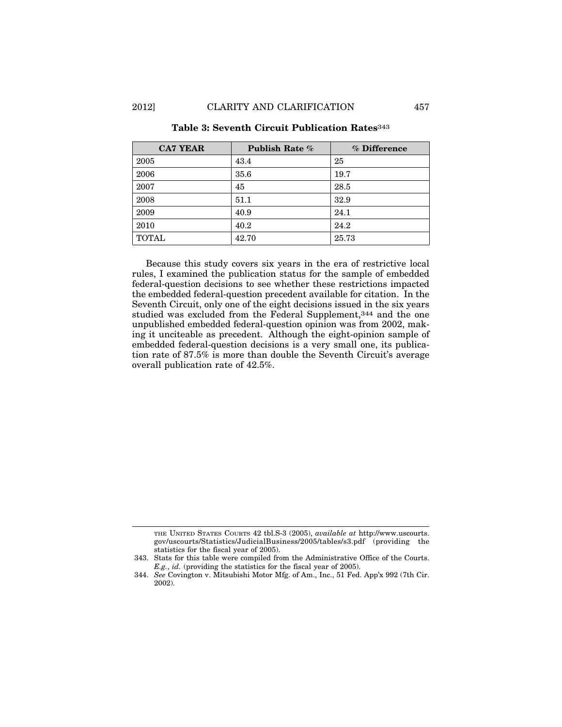| <b>CA7 YEAR</b> | <b>Publish Rate %</b> | % Difference |
|-----------------|-----------------------|--------------|
| 2005            | 43.4                  | 25           |
| 2006            | 35.6                  | 19.7         |
| 2007            | 45                    | 28.5         |
| 2008            | 51.1                  | 32.9         |
| 2009            | 40.9                  | 24.1         |
| 2010            | 40.2                  | 24.2         |
| <b>TOTAL</b>    | 42.70                 | 25.73        |

# **Table 3: Seventh Circuit Publication Rates**343

Because this study covers six years in the era of restrictive local rules, I examined the publication status for the sample of embedded federal-question decisions to see whether these restrictions impacted the embedded federal-question precedent available for citation. In the Seventh Circuit, only one of the eight decisions issued in the six years studied was excluded from the Federal Supplement,344 and the one unpublished embedded federal-question opinion was from 2002, making it unciteable as precedent. Although the eight-opinion sample of embedded federal-question decisions is a very small one, its publication rate of 87.5% is more than double the Seventh Circuit's average overall publication rate of 42.5%.

THE UNITED STATES COURTS 42 tbl.S-3 (2005), *available at* http://www.uscourts. gov/uscourts/Statistics/JudicialBusiness/2005/tables/s3.pdf (providing the statistics for the fiscal year of 2005).

<sup>343.</sup> Stats for this table were compiled from the Administrative Office of the Courts. *E.g.*, *id.* (providing the statistics for the fiscal year of 2005).

<sup>344.</sup> *See* Covington v. Mitsubishi Motor Mfg. of Am., Inc., 51 Fed. App'x 992 (7th Cir. 2002).